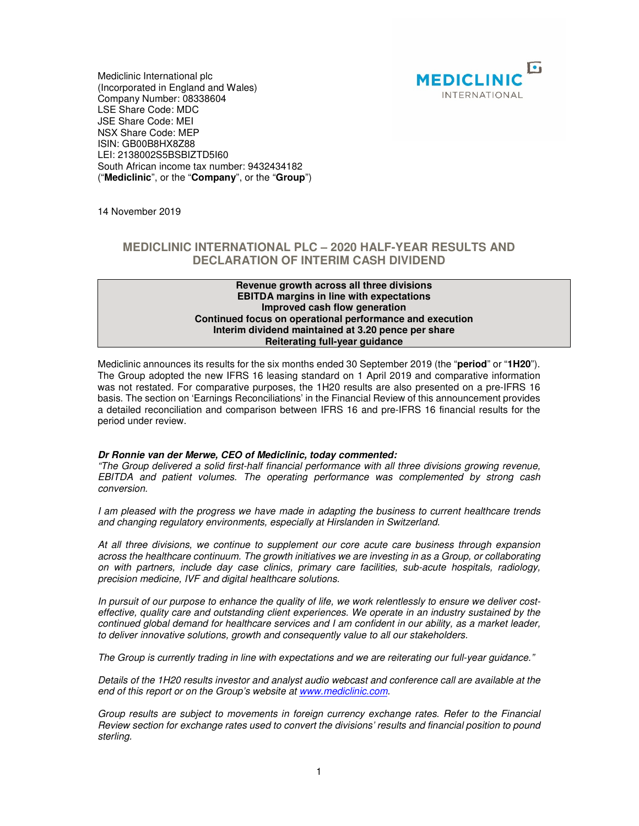

Mediclinic International plc (Incorporated in England and Wales) Company Number: 08338604 LSE Share Code: MDC JSE Share Code: MEI NSX Share Code: MEP ISIN: GB00B8HX8Z88 LEI: 2138002S5BSBIZTD5I60 South African income tax number: 9432434182 ("**Mediclinic**", or the "**Company**", or the "**Group**")

14 November 2019

# **MEDICLINIC INTERNATIONAL PLC – 2020 HALF-YEAR RESULTS AND DECLARATION OF INTERIM CASH DIVIDEND**

### **Revenue growth across all three divisions EBITDA margins in line with expectations Improved cash flow generation Continued focus on operational performance and execution Interim dividend maintained at 3.20 pence per share Reiterating full-year guidance**

Mediclinic announces its results for the six months ended 30 September 2019 (the "**period**" or "**1H20**"). The Group adopted the new IFRS 16 leasing standard on 1 April 2019 and comparative information was not restated. For comparative purposes, the 1H20 results are also presented on a pre-IFRS 16 basis. The section on 'Earnings Reconciliations' in the Financial Review of this announcement provides a detailed reconciliation and comparison between IFRS 16 and pre-IFRS 16 financial results for the period under review.

## **Dr Ronnie van der Merwe, CEO of Mediclinic, today commented:**

"The Group delivered a solid first-half financial performance with all three divisions growing revenue, EBITDA and patient volumes. The operating performance was complemented by strong cash conversion.

I am pleased with the progress we have made in adapting the business to current healthcare trends and changing regulatory environments, especially at Hirslanden in Switzerland.

At all three divisions, we continue to supplement our core acute care business through expansion across the healthcare continuum. The growth initiatives we are investing in as a Group, or collaborating on with partners, include day case clinics, primary care facilities, sub-acute hospitals, radiology, precision medicine, IVF and digital healthcare solutions.

In pursuit of our purpose to enhance the quality of life, we work relentlessly to ensure we deliver costeffective, quality care and outstanding client experiences. We operate in an industry sustained by the continued global demand for healthcare services and I am confident in our ability, as a market leader, to deliver innovative solutions, growth and consequently value to all our stakeholders.

The Group is currently trading in line with expectations and we are reiterating our full-year guidance."

Details of the 1H20 results investor and analyst audio webcast and conference call are available at the end of this report or on the Group's website at www.mediclinic.com.

Group results are subject to movements in foreign currency exchange rates. Refer to the Financial Review section for exchange rates used to convert the divisions' results and financial position to pound sterling.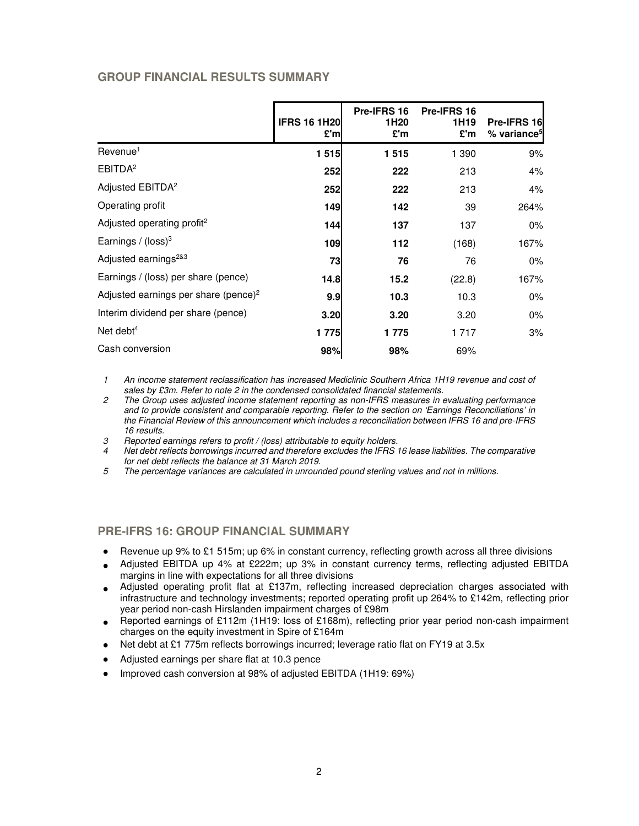# **GROUP FINANCIAL RESULTS SUMMARY**

|                                                  | <b>IFRS 16 1H20</b><br>£'ml | Pre-IFRS 16<br>1H <sub>20</sub><br>£'m | Pre-IFRS 16<br>1H <sub>19</sub><br>£'m | Pre-IFRS 16<br>% variance <sup>5</sup> |
|--------------------------------------------------|-----------------------------|----------------------------------------|----------------------------------------|----------------------------------------|
| Revenue <sup>1</sup>                             | 1 515                       | 1515                                   | 1 390                                  | 9%                                     |
| EBITDA <sup>2</sup>                              | 252                         | 222                                    | 213                                    | 4%                                     |
| Adjusted EBITDA <sup>2</sup>                     | 252                         | 222                                    | 213                                    | 4%                                     |
| Operating profit                                 | 149                         | 142                                    | 39                                     | 264%                                   |
| Adjusted operating profit <sup>2</sup>           | 144                         | 137                                    | 137                                    | 0%                                     |
| Earnings / $(logs)3$                             | 109                         | 112                                    | (168)                                  | 167%                                   |
| Adjusted earnings <sup>2&amp;3</sup>             | 73                          | 76                                     | 76                                     | 0%                                     |
| Earnings / (loss) per share (pence)              | 14.8                        | 15.2                                   | (22.8)                                 | 167%                                   |
| Adjusted earnings per share (pence) <sup>2</sup> | 9.9                         | 10.3                                   | 10.3                                   | 0%                                     |
| Interim dividend per share (pence)               | 3.20                        | 3.20                                   | 3.20                                   | 0%                                     |
| Net debt $4$                                     | 1 775                       | 1775                                   | 1 7 1 7                                | 3%                                     |
| Cash conversion                                  | 98%                         | 98%                                    | 69%                                    |                                        |

1 An income statement reclassification has increased Mediclinic Southern Africa 1H19 revenue and cost of sales by £3m. Refer to note 2 in the condensed consolidated financial statements.

- 2 The Group uses adjusted income statement reporting as non-IFRS measures in evaluating performance and to provide consistent and comparable reporting. Refer to the section on 'Earnings Reconciliations' in the Financial Review of this announcement which includes a reconciliation between IFRS 16 and pre-IFRS 16 results.
- 3 Reported earnings refers to profit / (loss) attributable to equity holders.
- 4 Net debt reflects borrowings incurred and therefore excludes the IFRS 16 lease liabilities. The comparative for net debt reflects the balance at 31 March 2019.
- 5 The percentage variances are calculated in unrounded pound sterling values and not in millions.

# **PRE-IFRS 16: GROUP FINANCIAL SUMMARY**

- Revenue up 9% to £1 515m; up 6% in constant currency, reflecting growth across all three divisions
- Adjusted EBITDA up 4% at £222m; up 3% in constant currency terms, reflecting adjusted EBITDA margins in line with expectations for all three divisions
- Adjusted operating profit flat at £137m, reflecting increased depreciation charges associated with infrastructure and technology investments; reported operating profit up 264% to £142m, reflecting prior year period non-cash Hirslanden impairment charges of £98m
- Reported earnings of £112m (1H19: loss of £168m), reflecting prior year period non-cash impairment charges on the equity investment in Spire of £164m
- Net debt at £1 775m reflects borrowings incurred; leverage ratio flat on FY19 at 3.5x
- Adjusted earnings per share flat at 10.3 pence
- Improved cash conversion at 98% of adjusted EBITDA (1H19: 69%)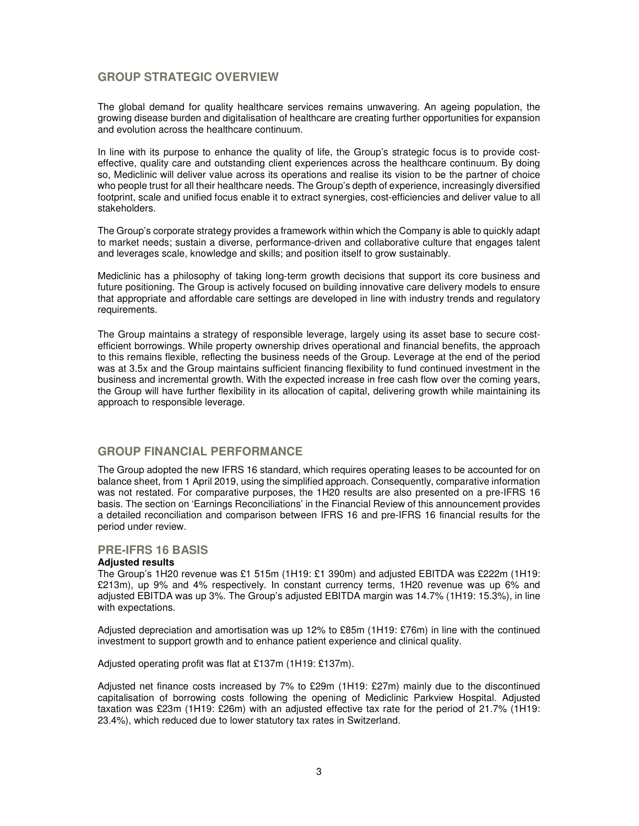# **GROUP STRATEGIC OVERVIEW**

The global demand for quality healthcare services remains unwavering. An ageing population, the growing disease burden and digitalisation of healthcare are creating further opportunities for expansion and evolution across the healthcare continuum.

In line with its purpose to enhance the quality of life, the Group's strategic focus is to provide costeffective, quality care and outstanding client experiences across the healthcare continuum. By doing so, Mediclinic will deliver value across its operations and realise its vision to be the partner of choice who people trust for all their healthcare needs. The Group's depth of experience, increasingly diversified footprint, scale and unified focus enable it to extract synergies, cost-efficiencies and deliver value to all stakeholders.

The Group's corporate strategy provides a framework within which the Company is able to quickly adapt to market needs; sustain a diverse, performance-driven and collaborative culture that engages talent and leverages scale, knowledge and skills; and position itself to grow sustainably.

Mediclinic has a philosophy of taking long-term growth decisions that support its core business and future positioning. The Group is actively focused on building innovative care delivery models to ensure that appropriate and affordable care settings are developed in line with industry trends and regulatory requirements.

The Group maintains a strategy of responsible leverage, largely using its asset base to secure costefficient borrowings. While property ownership drives operational and financial benefits, the approach to this remains flexible, reflecting the business needs of the Group. Leverage at the end of the period was at 3.5x and the Group maintains sufficient financing flexibility to fund continued investment in the business and incremental growth. With the expected increase in free cash flow over the coming years, the Group will have further flexibility in its allocation of capital, delivering growth while maintaining its approach to responsible leverage.

# **GROUP FINANCIAL PERFORMANCE**

The Group adopted the new IFRS 16 standard, which requires operating leases to be accounted for on balance sheet, from 1 April 2019, using the simplified approach. Consequently, comparative information was not restated. For comparative purposes, the 1H20 results are also presented on a pre-IFRS 16 basis. The section on 'Earnings Reconciliations' in the Financial Review of this announcement provides a detailed reconciliation and comparison between IFRS 16 and pre-IFRS 16 financial results for the period under review.

## **PRE-IFRS 16 BASIS**

## **Adjusted results**

The Group's 1H20 revenue was £1 515m (1H19: £1 390m) and adjusted EBITDA was £222m (1H19: £213m), up 9% and 4% respectively. In constant currency terms, 1H20 revenue was up 6% and adjusted EBITDA was up 3%. The Group's adjusted EBITDA margin was 14.7% (1H19: 15.3%), in line with expectations.

Adjusted depreciation and amortisation was up 12% to £85m (1H19: £76m) in line with the continued investment to support growth and to enhance patient experience and clinical quality.

Adjusted operating profit was flat at £137m (1H19: £137m).

Adjusted net finance costs increased by 7% to £29m (1H19: £27m) mainly due to the discontinued capitalisation of borrowing costs following the opening of Mediclinic Parkview Hospital. Adjusted taxation was £23m (1H19: £26m) with an adjusted effective tax rate for the period of 21.7% (1H19: 23.4%), which reduced due to lower statutory tax rates in Switzerland.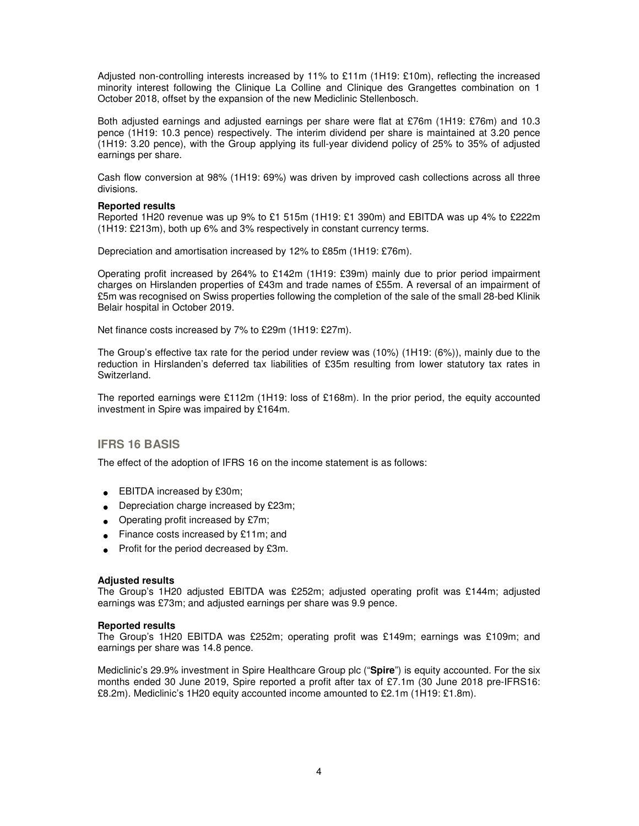Adjusted non-controlling interests increased by 11% to £11m (1H19: £10m), reflecting the increased minority interest following the Clinique La Colline and Clinique des Grangettes combination on 1 October 2018, offset by the expansion of the new Mediclinic Stellenbosch.

Both adjusted earnings and adjusted earnings per share were flat at £76m (1H19: £76m) and 10.3 pence (1H19: 10.3 pence) respectively. The interim dividend per share is maintained at 3.20 pence (1H19: 3.20 pence), with the Group applying its full-year dividend policy of 25% to 35% of adjusted earnings per share.

Cash flow conversion at 98% (1H19: 69%) was driven by improved cash collections across all three divisions.

### **Reported results**

Reported 1H20 revenue was up 9% to £1 515m (1H19: £1 390m) and EBITDA was up 4% to £222m (1H19: £213m), both up 6% and 3% respectively in constant currency terms.

Depreciation and amortisation increased by 12% to £85m (1H19: £76m).

Operating profit increased by 264% to £142m (1H19: £39m) mainly due to prior period impairment charges on Hirslanden properties of £43m and trade names of £55m. A reversal of an impairment of £5m was recognised on Swiss properties following the completion of the sale of the small 28-bed Klinik Belair hospital in October 2019.

Net finance costs increased by 7% to £29m (1H19: £27m).

The Group's effective tax rate for the period under review was (10%) (1H19: (6%)), mainly due to the reduction in Hirslanden's deferred tax liabilities of £35m resulting from lower statutory tax rates in Switzerland.

The reported earnings were £112m (1H19: loss of £168m). In the prior period, the equity accounted investment in Spire was impaired by £164m.

## **IFRS 16 BASIS**

The effect of the adoption of IFRS 16 on the income statement is as follows:

- EBITDA increased by £30m;
- Depreciation charge increased by £23m;
- Operating profit increased by £7m;
- Finance costs increased by £11m; and
- Profit for the period decreased by £3m.

#### **Adjusted results**

The Group's 1H20 adjusted EBITDA was £252m; adjusted operating profit was £144m; adjusted earnings was £73m; and adjusted earnings per share was 9.9 pence.

#### **Reported results**

The Group's 1H20 EBITDA was £252m; operating profit was £149m; earnings was £109m; and earnings per share was 14.8 pence.

Mediclinic's 29.9% investment in Spire Healthcare Group plc ("**Spire**") is equity accounted. For the six months ended 30 June 2019, Spire reported a profit after tax of £7.1m (30 June 2018 pre-IFRS16: £8.2m). Mediclinic's 1H20 equity accounted income amounted to £2.1m (1H19: £1.8m).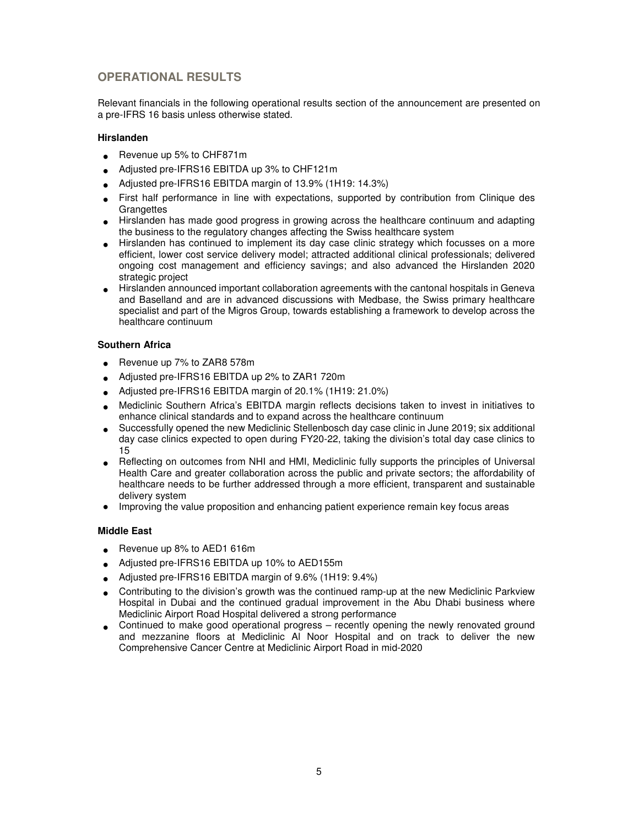# **OPERATIONAL RESULTS**

Relevant financials in the following operational results section of the announcement are presented on a pre-IFRS 16 basis unless otherwise stated.

## **Hirslanden**

- Revenue up 5% to CHF871m
- Adjusted pre-IFRS16 EBITDA up 3% to CHF121m
- Adjusted pre-IFRS16 EBITDA margin of 13.9% (1H19: 14.3%)
- First half performance in line with expectations, supported by contribution from Clinique des **Grangettes**
- Hirslanden has made good progress in growing across the healthcare continuum and adapting the business to the regulatory changes affecting the Swiss healthcare system
- Hirslanden has continued to implement its day case clinic strategy which focusses on a more efficient, lower cost service delivery model; attracted additional clinical professionals; delivered ongoing cost management and efficiency savings; and also advanced the Hirslanden 2020 strategic project
- Hirslanden announced important collaboration agreements with the cantonal hospitals in Geneva and Baselland and are in advanced discussions with Medbase, the Swiss primary healthcare specialist and part of the Migros Group, towards establishing a framework to develop across the healthcare continuum

## **Southern Africa**

- Revenue up 7% to ZAR8 578m
- Adjusted pre-IFRS16 EBITDA up 2% to ZAR1 720m
- Adjusted pre-IFRS16 EBITDA margin of 20.1% (1H19: 21.0%)
- Mediclinic Southern Africa's EBITDA margin reflects decisions taken to invest in initiatives to enhance clinical standards and to expand across the healthcare continuum
- Successfully opened the new Mediclinic Stellenbosch day case clinic in June 2019; six additional day case clinics expected to open during FY20-22, taking the division's total day case clinics to 15
- Reflecting on outcomes from NHI and HMI, Mediclinic fully supports the principles of Universal Health Care and greater collaboration across the public and private sectors; the affordability of healthcare needs to be further addressed through a more efficient, transparent and sustainable delivery system
- Improving the value proposition and enhancing patient experience remain key focus areas

## **Middle East**

- Revenue up 8% to AED1 616m
- Adjusted pre-IFRS16 EBITDA up 10% to AED155m
- Adjusted pre-IFRS16 EBITDA margin of 9.6% (1H19: 9.4%)
- Contributing to the division's growth was the continued ramp-up at the new Mediclinic Parkview Hospital in Dubai and the continued gradual improvement in the Abu Dhabi business where Mediclinic Airport Road Hospital delivered a strong performance
- Continued to make good operational progress recently opening the newly renovated ground and mezzanine floors at Mediclinic Al Noor Hospital and on track to deliver the new Comprehensive Cancer Centre at Mediclinic Airport Road in mid-2020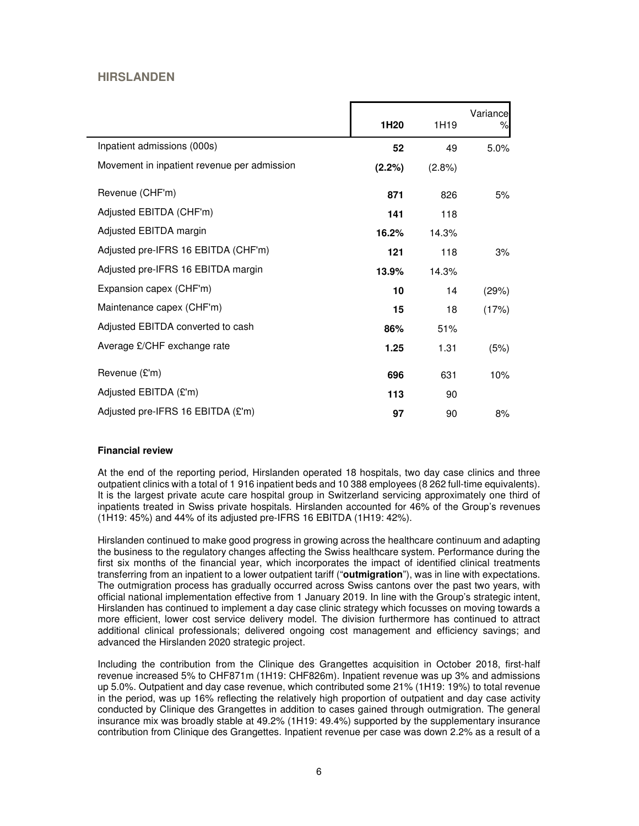# **HIRSLANDEN**

|                                             | 1H <sub>20</sub> | 1H19      | Variance<br>% |
|---------------------------------------------|------------------|-----------|---------------|
| Inpatient admissions (000s)                 | 52               | 49        | 5.0%          |
| Movement in inpatient revenue per admission | (2.2%)           | $(2.8\%)$ |               |
| Revenue (CHF'm)                             | 871              | 826       | 5%            |
| Adjusted EBITDA (CHF'm)                     | 141              | 118       |               |
| Adjusted EBITDA margin                      | 16.2%            | 14.3%     |               |
| Adjusted pre-IFRS 16 EBITDA (CHF'm)         | 121              | 118       | 3%            |
| Adjusted pre-IFRS 16 EBITDA margin          | 13.9%            | 14.3%     |               |
| Expansion capex (CHF'm)                     | 10               | 14        | (29%)         |
| Maintenance capex (CHF'm)                   | 15               | 18        | (17%)         |
| Adjusted EBITDA converted to cash           | 86%              | 51%       |               |
| Average £/CHF exchange rate                 | 1.25             | 1.31      | (5%)          |
| Revenue (£'m)                               | 696              | 631       | 10%           |
| Adjusted EBITDA (£'m)                       | 113              | 90        |               |
| Adjusted pre-IFRS 16 EBITDA (£'m)           | 97               | 90        | 8%            |

## **Financial review**

At the end of the reporting period, Hirslanden operated 18 hospitals, two day case clinics and three outpatient clinics with a total of 1 916 inpatient beds and 10 388 employees (8 262 full-time equivalents). It is the largest private acute care hospital group in Switzerland servicing approximately one third of inpatients treated in Swiss private hospitals. Hirslanden accounted for 46% of the Group's revenues (1H19: 45%) and 44% of its adjusted pre-IFRS 16 EBITDA (1H19: 42%).

Hirslanden continued to make good progress in growing across the healthcare continuum and adapting the business to the regulatory changes affecting the Swiss healthcare system. Performance during the first six months of the financial year, which incorporates the impact of identified clinical treatments transferring from an inpatient to a lower outpatient tariff ("**outmigration**"), was in line with expectations. The outmigration process has gradually occurred across Swiss cantons over the past two years, with official national implementation effective from 1 January 2019. In line with the Group's strategic intent, Hirslanden has continued to implement a day case clinic strategy which focusses on moving towards a more efficient, lower cost service delivery model. The division furthermore has continued to attract additional clinical professionals; delivered ongoing cost management and efficiency savings; and advanced the Hirslanden 2020 strategic project.

Including the contribution from the Clinique des Grangettes acquisition in October 2018, first-half revenue increased 5% to CHF871m (1H19: CHF826m). Inpatient revenue was up 3% and admissions up 5.0%. Outpatient and day case revenue, which contributed some 21% (1H19: 19%) to total revenue in the period, was up 16% reflecting the relatively high proportion of outpatient and day case activity conducted by Clinique des Grangettes in addition to cases gained through outmigration. The general insurance mix was broadly stable at 49.2% (1H19: 49.4%) supported by the supplementary insurance contribution from Clinique des Grangettes. Inpatient revenue per case was down 2.2% as a result of a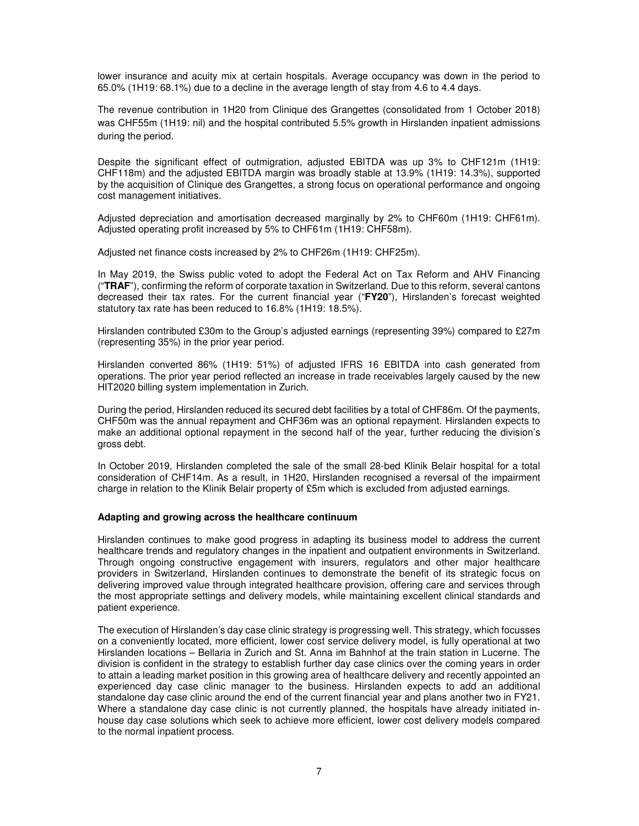lower insurance and acuity mix at certain hospitals. Average occupancy was down in the period to 65.0% (1H19: 68.1%) due to a decline in the average length of stay from 4.6 to 4.4 days.

The revenue contribution in 1H20 from Clinique des Grangettes (consolidated from 1 October 2018) was CHF55m (1H19: nil) and the hospital contributed 5.5% growth in Hirslanden inpatient admissions during the period.

Despite the significant effect of outmigration, adjusted EBITDA was up 3% to CHF121m (1H19: CHF118m) and the adjusted EBITDA margin was broadly stable at 13.9% (1H19: 14.3%), supported by the acquisition of Clinique des Grangettes, a strong focus on operational performance and ongoing cost management initiatives.

Adjusted depreciation and amortisation decreased marginally by 2% to CHF60m (1H19: CHF61m). Adjusted operating profit increased by 5% to CHF61m (1H19: CHF58m).

Adjusted net finance costs increased by 2% to CHF26m (1H19: CHF25m).

In May 2019, the Swiss public voted to adopt the Federal Act on Tax Reform and AHV Financing ("**TRAF**"), confirming the reform of corporate taxation in Switzerland. Due to this reform, several cantons decreased their tax rates. For the current financial year ("**FY20**"), Hirslanden's forecast weighted statutory tax rate has been reduced to 16.8% (1H19: 18.5%).

Hirslanden contributed £30m to the Group's adjusted earnings (representing 39%) compared to £27m (representing 35%) in the prior year period.

Hirslanden converted 86% (1H19: 51%) of adjusted IFRS 16 EBITDA into cash generated from operations. The prior year period reflected an increase in trade receivables largely caused by the new HIT2020 billing system implementation in Zurich.

During the period, Hirslanden reduced its secured debt facilities by a total of CHF86m. Of the payments, CHF50m was the annual repayment and CHF36m was an optional repayment. Hirslanden expects to make an additional optional repayment in the second half of the year, further reducing the division's gross debt.

In October 2019, Hirslanden completed the sale of the small 28-bed Klinik Belair hospital for a total consideration of CHF14m. As a result, in 1H20, Hirslanden recognised a reversal of the impairment charge in relation to the Klinik Belair property of £5m which is excluded from adjusted earnings.

## **Adapting and growing across the healthcare continuum**

Hirslanden continues to make good progress in adapting its business model to address the current healthcare trends and regulatory changes in the inpatient and outpatient environments in Switzerland. Through ongoing constructive engagement with insurers, regulators and other major healthcare providers in Switzerland, Hirslanden continues to demonstrate the benefit of its strategic focus on delivering improved value through integrated healthcare provision, offering care and services through the most appropriate settings and delivery models, while maintaining excellent clinical standards and patient experience.

The execution of Hirslanden's day case clinic strategy is progressing well. This strategy, which focusses on a conveniently located, more efficient, lower cost service delivery model, is fully operational at two Hirslanden locations – Bellaria in Zurich and St. Anna im Bahnhof at the train station in Lucerne. The division is confident in the strategy to establish further day case clinics over the coming years in order to attain a leading market position in this growing area of healthcare delivery and recently appointed an experienced day case clinic manager to the business. Hirslanden expects to add an additional standalone day case clinic around the end of the current financial year and plans another two in FY21. Where a standalone day case clinic is not currently planned, the hospitals have already initiated inhouse day case solutions which seek to achieve more efficient, lower cost delivery models compared to the normal inpatient process.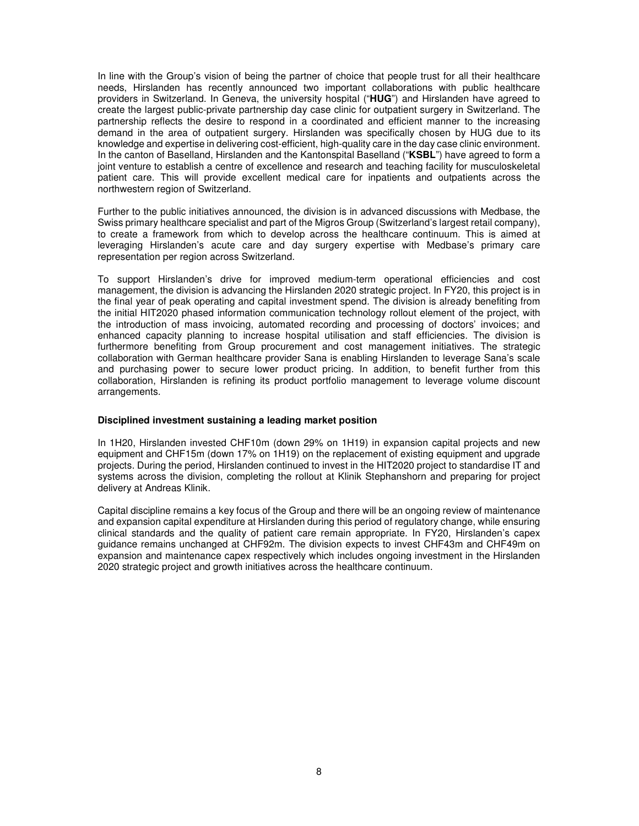In line with the Group's vision of being the partner of choice that people trust for all their healthcare needs, Hirslanden has recently announced two important collaborations with public healthcare providers in Switzerland. In Geneva, the university hospital ("**HUG**") and Hirslanden have agreed to create the largest public-private partnership day case clinic for outpatient surgery in Switzerland. The partnership reflects the desire to respond in a coordinated and efficient manner to the increasing demand in the area of outpatient surgery. Hirslanden was specifically chosen by HUG due to its knowledge and expertise in delivering cost-efficient, high-quality care in the day case clinic environment. In the canton of Baselland, Hirslanden and the Kantonspital Baselland ("**KSBL**") have agreed to form a joint venture to establish a centre of excellence and research and teaching facility for musculoskeletal patient care. This will provide excellent medical care for inpatients and outpatients across the northwestern region of Switzerland.

Further to the public initiatives announced, the division is in advanced discussions with Medbase, the Swiss primary healthcare specialist and part of the Migros Group (Switzerland's largest retail company), to create a framework from which to develop across the healthcare continuum. This is aimed at leveraging Hirslanden's acute care and day surgery expertise with Medbase's primary care representation per region across Switzerland.

To support Hirslanden's drive for improved medium-term operational efficiencies and cost management, the division is advancing the Hirslanden 2020 strategic project. In FY20, this project is in the final year of peak operating and capital investment spend. The division is already benefiting from the initial HIT2020 phased information communication technology rollout element of the project, with the introduction of mass invoicing, automated recording and processing of doctors' invoices; and enhanced capacity planning to increase hospital utilisation and staff efficiencies. The division is furthermore benefiting from Group procurement and cost management initiatives. The strategic collaboration with German healthcare provider Sana is enabling Hirslanden to leverage Sana's scale and purchasing power to secure lower product pricing. In addition, to benefit further from this collaboration, Hirslanden is refining its product portfolio management to leverage volume discount arrangements.

## **Disciplined investment sustaining a leading market position**

In 1H20, Hirslanden invested CHF10m (down 29% on 1H19) in expansion capital projects and new equipment and CHF15m (down 17% on 1H19) on the replacement of existing equipment and upgrade projects. During the period, Hirslanden continued to invest in the HIT2020 project to standardise IT and systems across the division, completing the rollout at Klinik Stephanshorn and preparing for project delivery at Andreas Klinik.

Capital discipline remains a key focus of the Group and there will be an ongoing review of maintenance and expansion capital expenditure at Hirslanden during this period of regulatory change, while ensuring clinical standards and the quality of patient care remain appropriate. In FY20, Hirslanden's capex guidance remains unchanged at CHF92m. The division expects to invest CHF43m and CHF49m on expansion and maintenance capex respectively which includes ongoing investment in the Hirslanden 2020 strategic project and growth initiatives across the healthcare continuum.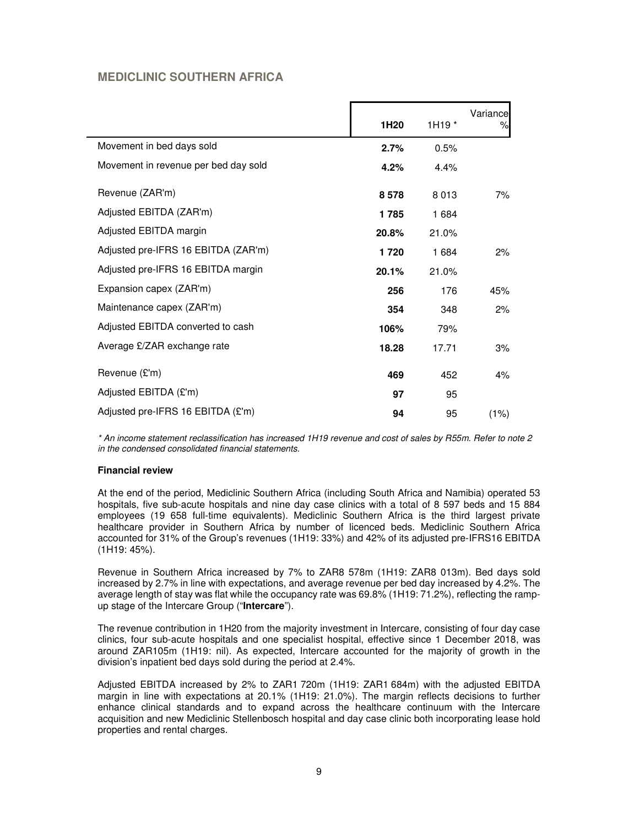# **MEDICLINIC SOUTHERN AFRICA**

|                                      | 1H20  | 1H <sub>19</sub> * | Variance<br>% |
|--------------------------------------|-------|--------------------|---------------|
| Movement in bed days sold            | 2.7%  | 0.5%               |               |
| Movement in revenue per bed day sold | 4.2%  | 4.4%               |               |
| Revenue (ZAR'm)                      | 8578  | 8013               | 7%            |
| Adjusted EBITDA (ZAR'm)              | 1785  | 1 684              |               |
| Adjusted EBITDA margin               | 20.8% | 21.0%              |               |
| Adjusted pre-IFRS 16 EBITDA (ZAR'm)  | 1720  | 1 684              | 2%            |
| Adjusted pre-IFRS 16 EBITDA margin   | 20.1% | 21.0%              |               |
| Expansion capex (ZAR'm)              | 256   | 176                | 45%           |
| Maintenance capex (ZAR'm)            | 354   | 348                | 2%            |
| Adjusted EBITDA converted to cash    | 106%  | 79%                |               |
| Average £/ZAR exchange rate          | 18.28 | 17.71              | 3%            |
| Revenue (£'m)                        | 469   | 452                | 4%            |
| Adjusted EBITDA (£'m)                | 97    | 95                 |               |
| Adjusted pre-IFRS 16 EBITDA (£'m)    | 94    | 95                 | (1%)          |

\* An income statement reclassification has increased 1H19 revenue and cost of sales by R55m. Refer to note 2 in the condensed consolidated financial statements.

## **Financial review**

At the end of the period, Mediclinic Southern Africa (including South Africa and Namibia) operated 53 hospitals, five sub-acute hospitals and nine day case clinics with a total of 8 597 beds and 15 884 employees (19 658 full-time equivalents). Mediclinic Southern Africa is the third largest private healthcare provider in Southern Africa by number of licenced beds. Mediclinic Southern Africa accounted for 31% of the Group's revenues (1H19: 33%) and 42% of its adjusted pre-IFRS16 EBITDA (1H19: 45%).

Revenue in Southern Africa increased by 7% to ZAR8 578m (1H19: ZAR8 013m). Bed days sold increased by 2.7% in line with expectations, and average revenue per bed day increased by 4.2%. The average length of stay was flat while the occupancy rate was 69.8% (1H19: 71.2%), reflecting the rampup stage of the Intercare Group ("**Intercare**").

The revenue contribution in 1H20 from the majority investment in Intercare, consisting of four day case clinics, four sub-acute hospitals and one specialist hospital, effective since 1 December 2018, was around ZAR105m (1H19: nil). As expected, Intercare accounted for the majority of growth in the division's inpatient bed days sold during the period at 2.4%.

Adjusted EBITDA increased by 2% to ZAR1 720m (1H19: ZAR1 684m) with the adjusted EBITDA margin in line with expectations at 20.1% (1H19: 21.0%). The margin reflects decisions to further enhance clinical standards and to expand across the healthcare continuum with the Intercare acquisition and new Mediclinic Stellenbosch hospital and day case clinic both incorporating lease hold properties and rental charges.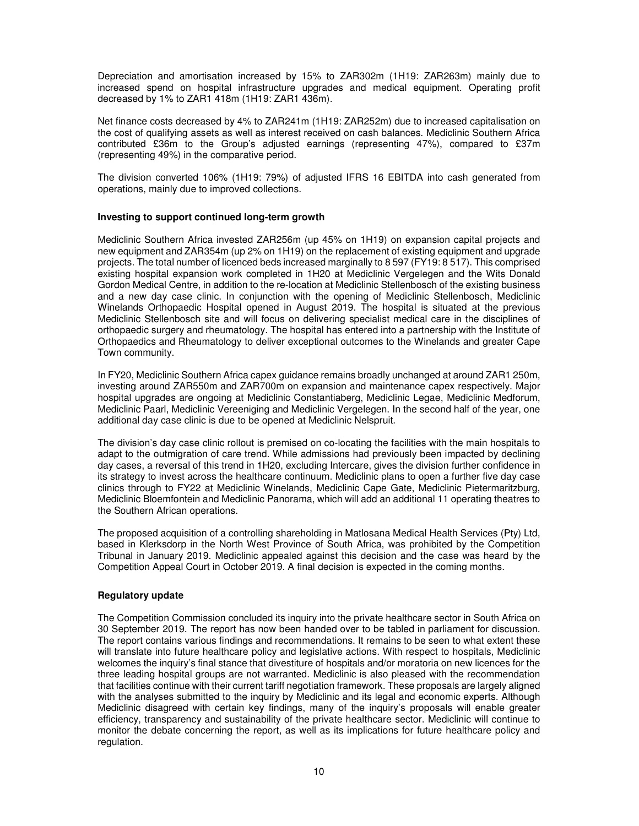Depreciation and amortisation increased by 15% to ZAR302m (1H19: ZAR263m) mainly due to increased spend on hospital infrastructure upgrades and medical equipment. Operating profit decreased by 1% to ZAR1 418m (1H19: ZAR1 436m).

Net finance costs decreased by 4% to ZAR241m (1H19: ZAR252m) due to increased capitalisation on the cost of qualifying assets as well as interest received on cash balances. Mediclinic Southern Africa contributed £36m to the Group's adjusted earnings (representing 47%), compared to £37m (representing 49%) in the comparative period.

The division converted 106% (1H19: 79%) of adjusted IFRS 16 EBITDA into cash generated from operations, mainly due to improved collections.

## **Investing to support continued long-term growth**

Mediclinic Southern Africa invested ZAR256m (up 45% on 1H19) on expansion capital projects and new equipment and ZAR354m (up 2% on 1H19) on the replacement of existing equipment and upgrade projects. The total number of licenced beds increased marginally to 8 597 (FY19: 8 517). This comprised existing hospital expansion work completed in 1H20 at Mediclinic Vergelegen and the Wits Donald Gordon Medical Centre, in addition to the re-location at Mediclinic Stellenbosch of the existing business and a new day case clinic. In conjunction with the opening of Mediclinic Stellenbosch, Mediclinic Winelands Orthopaedic Hospital opened in August 2019. The hospital is situated at the previous Mediclinic Stellenbosch site and will focus on delivering specialist medical care in the disciplines of orthopaedic surgery and rheumatology. The hospital has entered into a partnership with the Institute of Orthopaedics and Rheumatology to deliver exceptional outcomes to the Winelands and greater Cape Town community.

In FY20, Mediclinic Southern Africa capex guidance remains broadly unchanged at around ZAR1 250m, investing around ZAR550m and ZAR700m on expansion and maintenance capex respectively. Major hospital upgrades are ongoing at Mediclinic Constantiaberg, Mediclinic Legae, Mediclinic Medforum, Mediclinic Paarl, Mediclinic Vereeniging and Mediclinic Vergelegen. In the second half of the year, one additional day case clinic is due to be opened at Mediclinic Nelspruit.

The division's day case clinic rollout is premised on co-locating the facilities with the main hospitals to adapt to the outmigration of care trend. While admissions had previously been impacted by declining day cases, a reversal of this trend in 1H20, excluding Intercare, gives the division further confidence in its strategy to invest across the healthcare continuum. Mediclinic plans to open a further five day case clinics through to FY22 at Mediclinic Winelands, Mediclinic Cape Gate, Mediclinic Pietermaritzburg, Mediclinic Bloemfontein and Mediclinic Panorama, which will add an additional 11 operating theatres to the Southern African operations.

The proposed acquisition of a controlling shareholding in Matlosana Medical Health Services (Pty) Ltd, based in Klerksdorp in the North West Province of South Africa, was prohibited by the Competition Tribunal in January 2019. Mediclinic appealed against this decision and the case was heard by the Competition Appeal Court in October 2019. A final decision is expected in the coming months.

## **Regulatory update**

The Competition Commission concluded its inquiry into the private healthcare sector in South Africa on 30 September 2019. The report has now been handed over to be tabled in parliament for discussion. The report contains various findings and recommendations. It remains to be seen to what extent these will translate into future healthcare policy and legislative actions. With respect to hospitals, Mediclinic welcomes the inquiry's final stance that divestiture of hospitals and/or moratoria on new licences for the three leading hospital groups are not warranted. Mediclinic is also pleased with the recommendation that facilities continue with their current tariff negotiation framework. These proposals are largely aligned with the analyses submitted to the inquiry by Mediclinic and its legal and economic experts. Although Mediclinic disagreed with certain key findings, many of the inquiry's proposals will enable greater efficiency, transparency and sustainability of the private healthcare sector. Mediclinic will continue to monitor the debate concerning the report, as well as its implications for future healthcare policy and regulation.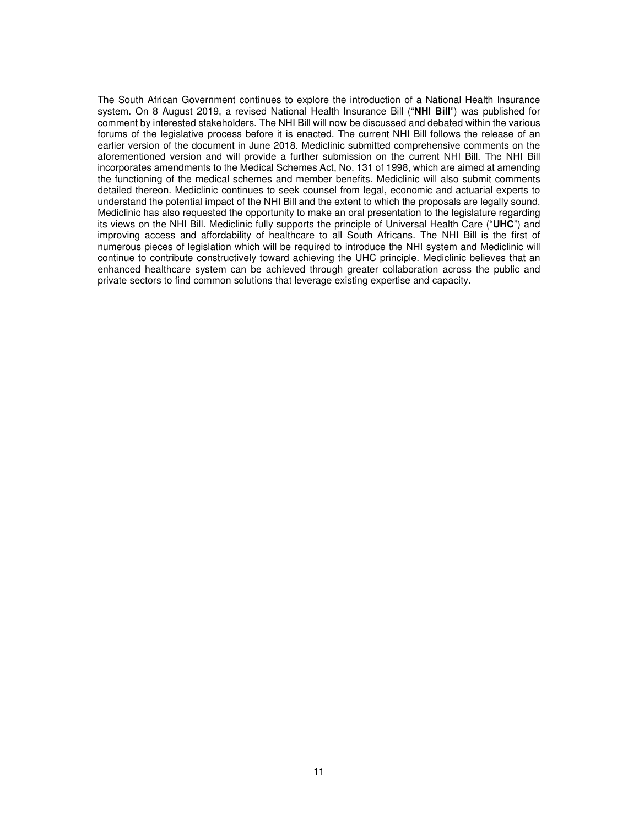The South African Government continues to explore the introduction of a National Health Insurance system. On 8 August 2019, a revised National Health Insurance Bill ("**NHI Bill**") was published for comment by interested stakeholders. The NHI Bill will now be discussed and debated within the various forums of the legislative process before it is enacted. The current NHI Bill follows the release of an earlier version of the document in June 2018. Mediclinic submitted comprehensive comments on the aforementioned version and will provide a further submission on the current NHI Bill. The NHI Bill incorporates amendments to the Medical Schemes Act, No. 131 of 1998, which are aimed at amending the functioning of the medical schemes and member benefits. Mediclinic will also submit comments detailed thereon. Mediclinic continues to seek counsel from legal, economic and actuarial experts to understand the potential impact of the NHI Bill and the extent to which the proposals are legally sound. Mediclinic has also requested the opportunity to make an oral presentation to the legislature regarding its views on the NHI Bill. Mediclinic fully supports the principle of Universal Health Care ("**UHC**") and improving access and affordability of healthcare to all South Africans. The NHI Bill is the first of numerous pieces of legislation which will be required to introduce the NHI system and Mediclinic will continue to contribute constructively toward achieving the UHC principle. Mediclinic believes that an enhanced healthcare system can be achieved through greater collaboration across the public and private sectors to find common solutions that leverage existing expertise and capacity.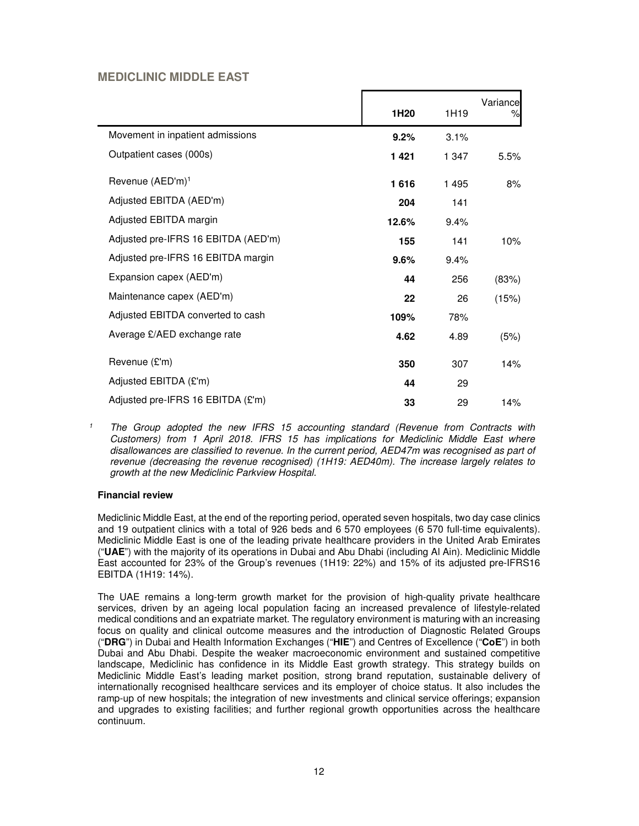# **MEDICLINIC MIDDLE EAST**

|                                     |                  |       | Variance |
|-------------------------------------|------------------|-------|----------|
|                                     | 1H <sub>20</sub> | 1H19  | %        |
| Movement in inpatient admissions    | 9.2%             | 3.1%  |          |
| Outpatient cases (000s)             | 1421             | 1 347 | 5.5%     |
| Revenue (AED'm) <sup>1</sup>        | 1616             | 1495  | 8%       |
| Adjusted EBITDA (AED'm)             | 204              | 141   |          |
| Adjusted EBITDA margin              | 12.6%            | 9.4%  |          |
| Adjusted pre-IFRS 16 EBITDA (AED'm) | 155              | 141   | 10%      |
| Adjusted pre-IFRS 16 EBITDA margin  | 9.6%             | 9.4%  |          |
| Expansion capex (AED'm)             | 44               | 256   | (83%)    |
| Maintenance capex (AED'm)           | 22               | 26    | (15%)    |
| Adjusted EBITDA converted to cash   | 109%             | 78%   |          |
| Average £/AED exchange rate         | 4.62             | 4.89  | (5%)     |
| Revenue (£'m)                       | 350              | 307   | 14%      |
| Adjusted EBITDA (£'m)               | 44               | 29    |          |
| Adjusted pre-IFRS 16 EBITDA (£'m)   | 33               | 29    | 14%      |

<sup>&</sup>lt;sup>1</sup> The Group adopted the new IFRS 15 accounting standard (Revenue from Contracts with Customers) from 1 April 2018. IFRS 15 has implications for Mediclinic Middle East where disallowances are classified to revenue. In the current period, AED47m was recognised as part of revenue (decreasing the revenue recognised) (1H19: AED40m). The increase largely relates to growth at the new Mediclinic Parkview Hospital.

## **Financial review**

Mediclinic Middle East, at the end of the reporting period, operated seven hospitals, two day case clinics and 19 outpatient clinics with a total of 926 beds and 6 570 employees (6 570 full-time equivalents). Mediclinic Middle East is one of the leading private healthcare providers in the United Arab Emirates ("**UAE**") with the majority of its operations in Dubai and Abu Dhabi (including Al Ain). Mediclinic Middle East accounted for 23% of the Group's revenues (1H19: 22%) and 15% of its adjusted pre-IFRS16 EBITDA (1H19: 14%).

The UAE remains a long-term growth market for the provision of high-quality private healthcare services, driven by an ageing local population facing an increased prevalence of lifestyle-related medical conditions and an expatriate market. The regulatory environment is maturing with an increasing focus on quality and clinical outcome measures and the introduction of Diagnostic Related Groups ("**DRG**") in Dubai and Health Information Exchanges ("**HIE**") and Centres of Excellence ("**CoE**") in both Dubai and Abu Dhabi. Despite the weaker macroeconomic environment and sustained competitive landscape, Mediclinic has confidence in its Middle East growth strategy. This strategy builds on Mediclinic Middle East's leading market position, strong brand reputation, sustainable delivery of internationally recognised healthcare services and its employer of choice status. It also includes the ramp-up of new hospitals; the integration of new investments and clinical service offerings; expansion and upgrades to existing facilities; and further regional growth opportunities across the healthcare continuum.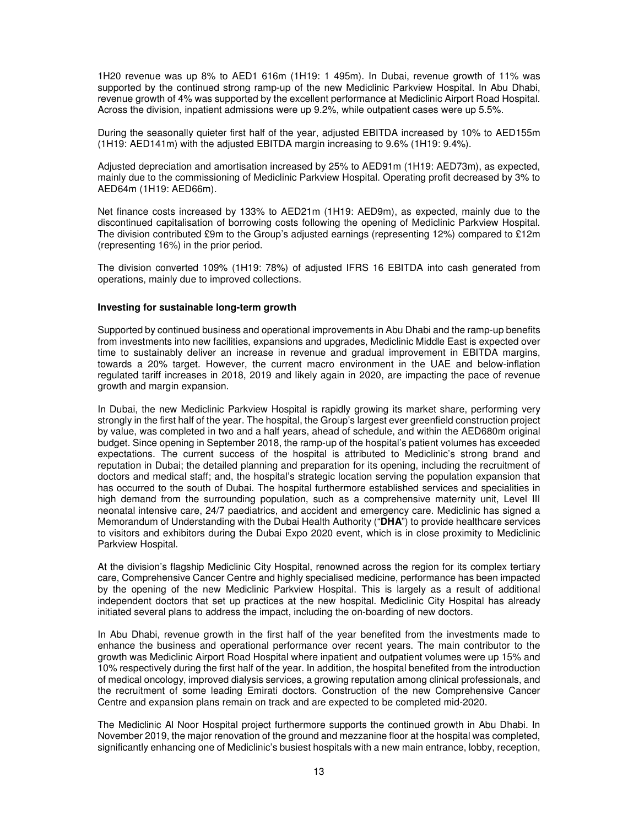1H20 revenue was up 8% to AED1 616m (1H19: 1 495m). In Dubai, revenue growth of 11% was supported by the continued strong ramp-up of the new Mediclinic Parkview Hospital. In Abu Dhabi, revenue growth of 4% was supported by the excellent performance at Mediclinic Airport Road Hospital. Across the division, inpatient admissions were up 9.2%, while outpatient cases were up 5.5%.

During the seasonally quieter first half of the year, adjusted EBITDA increased by 10% to AED155m (1H19: AED141m) with the adjusted EBITDA margin increasing to 9.6% (1H19: 9.4%).

Adjusted depreciation and amortisation increased by 25% to AED91m (1H19: AED73m), as expected, mainly due to the commissioning of Mediclinic Parkview Hospital. Operating profit decreased by 3% to AED64m (1H19: AED66m).

Net finance costs increased by 133% to AED21m (1H19: AED9m), as expected, mainly due to the discontinued capitalisation of borrowing costs following the opening of Mediclinic Parkview Hospital. The division contributed £9m to the Group's adjusted earnings (representing 12%) compared to £12m (representing 16%) in the prior period.

The division converted 109% (1H19: 78%) of adjusted IFRS 16 EBITDA into cash generated from operations, mainly due to improved collections.

### **Investing for sustainable long-term growth**

Supported by continued business and operational improvements in Abu Dhabi and the ramp-up benefits from investments into new facilities, expansions and upgrades, Mediclinic Middle East is expected over time to sustainably deliver an increase in revenue and gradual improvement in EBITDA margins, towards a 20% target. However, the current macro environment in the UAE and below-inflation regulated tariff increases in 2018, 2019 and likely again in 2020, are impacting the pace of revenue growth and margin expansion.

In Dubai, the new Mediclinic Parkview Hospital is rapidly growing its market share, performing very strongly in the first half of the year. The hospital, the Group's largest ever greenfield construction project by value, was completed in two and a half years, ahead of schedule, and within the AED680m original budget. Since opening in September 2018, the ramp-up of the hospital's patient volumes has exceeded expectations. The current success of the hospital is attributed to Mediclinic's strong brand and reputation in Dubai; the detailed planning and preparation for its opening, including the recruitment of doctors and medical staff; and, the hospital's strategic location serving the population expansion that has occurred to the south of Dubai. The hospital furthermore established services and specialities in high demand from the surrounding population, such as a comprehensive maternity unit, Level III neonatal intensive care, 24/7 paediatrics, and accident and emergency care. Mediclinic has signed a Memorandum of Understanding with the Dubai Health Authority ("**DHA**") to provide healthcare services to visitors and exhibitors during the Dubai Expo 2020 event, which is in close proximity to Mediclinic Parkview Hospital.

At the division's flagship Mediclinic City Hospital, renowned across the region for its complex tertiary care, Comprehensive Cancer Centre and highly specialised medicine, performance has been impacted by the opening of the new Mediclinic Parkview Hospital. This is largely as a result of additional independent doctors that set up practices at the new hospital. Mediclinic City Hospital has already initiated several plans to address the impact, including the on-boarding of new doctors.

In Abu Dhabi, revenue growth in the first half of the year benefited from the investments made to enhance the business and operational performance over recent years. The main contributor to the growth was Mediclinic Airport Road Hospital where inpatient and outpatient volumes were up 15% and 10% respectively during the first half of the year. In addition, the hospital benefited from the introduction of medical oncology, improved dialysis services, a growing reputation among clinical professionals, and the recruitment of some leading Emirati doctors. Construction of the new Comprehensive Cancer Centre and expansion plans remain on track and are expected to be completed mid-2020.

The Mediclinic Al Noor Hospital project furthermore supports the continued growth in Abu Dhabi. In November 2019, the major renovation of the ground and mezzanine floor at the hospital was completed, significantly enhancing one of Mediclinic's busiest hospitals with a new main entrance, lobby, reception,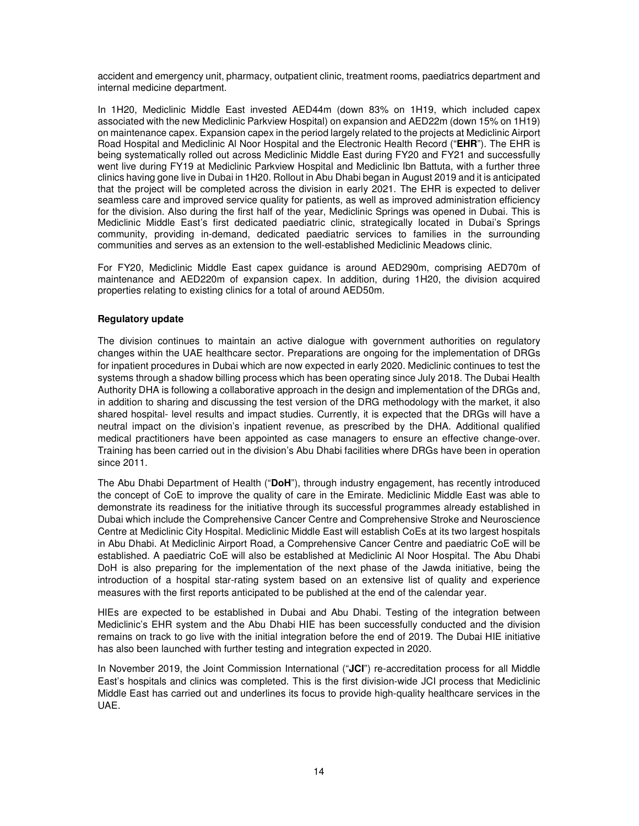accident and emergency unit, pharmacy, outpatient clinic, treatment rooms, paediatrics department and internal medicine department.

In 1H20, Mediclinic Middle East invested AED44m (down 83% on 1H19, which included capex associated with the new Mediclinic Parkview Hospital) on expansion and AED22m (down 15% on 1H19) on maintenance capex. Expansion capex in the period largely related to the projects at Mediclinic Airport Road Hospital and Mediclinic Al Noor Hospital and the Electronic Health Record ("**EHR**"). The EHR is being systematically rolled out across Mediclinic Middle East during FY20 and FY21 and successfully went live during FY19 at Mediclinic Parkview Hospital and Mediclinic Ibn Battuta, with a further three clinics having gone live in Dubai in 1H20. Rollout in Abu Dhabi began in August 2019 and it is anticipated that the project will be completed across the division in early 2021. The EHR is expected to deliver seamless care and improved service quality for patients, as well as improved administration efficiency for the division. Also during the first half of the year, Mediclinic Springs was opened in Dubai. This is Mediclinic Middle East's first dedicated paediatric clinic, strategically located in Dubai's Springs community, providing in-demand, dedicated paediatric services to families in the surrounding communities and serves as an extension to the well-established Mediclinic Meadows clinic.

For FY20, Mediclinic Middle East capex guidance is around AED290m, comprising AED70m of maintenance and AED220m of expansion capex. In addition, during 1H20, the division acquired properties relating to existing clinics for a total of around AED50m.

## **Regulatory update**

The division continues to maintain an active dialogue with government authorities on regulatory changes within the UAE healthcare sector. Preparations are ongoing for the implementation of DRGs for inpatient procedures in Dubai which are now expected in early 2020. Mediclinic continues to test the systems through a shadow billing process which has been operating since July 2018. The Dubai Health Authority DHA is following a collaborative approach in the design and implementation of the DRGs and, in addition to sharing and discussing the test version of the DRG methodology with the market, it also shared hospital- level results and impact studies. Currently, it is expected that the DRGs will have a neutral impact on the division's inpatient revenue, as prescribed by the DHA. Additional qualified medical practitioners have been appointed as case managers to ensure an effective change-over. Training has been carried out in the division's Abu Dhabi facilities where DRGs have been in operation since 2011.

The Abu Dhabi Department of Health ("**DoH**"), through industry engagement, has recently introduced the concept of CoE to improve the quality of care in the Emirate. Mediclinic Middle East was able to demonstrate its readiness for the initiative through its successful programmes already established in Dubai which include the Comprehensive Cancer Centre and Comprehensive Stroke and Neuroscience Centre at Mediclinic City Hospital. Mediclinic Middle East will establish CoEs at its two largest hospitals in Abu Dhabi. At Mediclinic Airport Road, a Comprehensive Cancer Centre and paediatric CoE will be established. A paediatric CoE will also be established at Mediclinic Al Noor Hospital. The Abu Dhabi DoH is also preparing for the implementation of the next phase of the Jawda initiative, being the introduction of a hospital star-rating system based on an extensive list of quality and experience measures with the first reports anticipated to be published at the end of the calendar year.

HIEs are expected to be established in Dubai and Abu Dhabi. Testing of the integration between Mediclinic's EHR system and the Abu Dhabi HIE has been successfully conducted and the division remains on track to go live with the initial integration before the end of 2019. The Dubai HIE initiative has also been launched with further testing and integration expected in 2020.

In November 2019, the Joint Commission International ("**JCI**") re-accreditation process for all Middle East's hospitals and clinics was completed. This is the first division-wide JCI process that Mediclinic Middle East has carried out and underlines its focus to provide high-quality healthcare services in the UAE.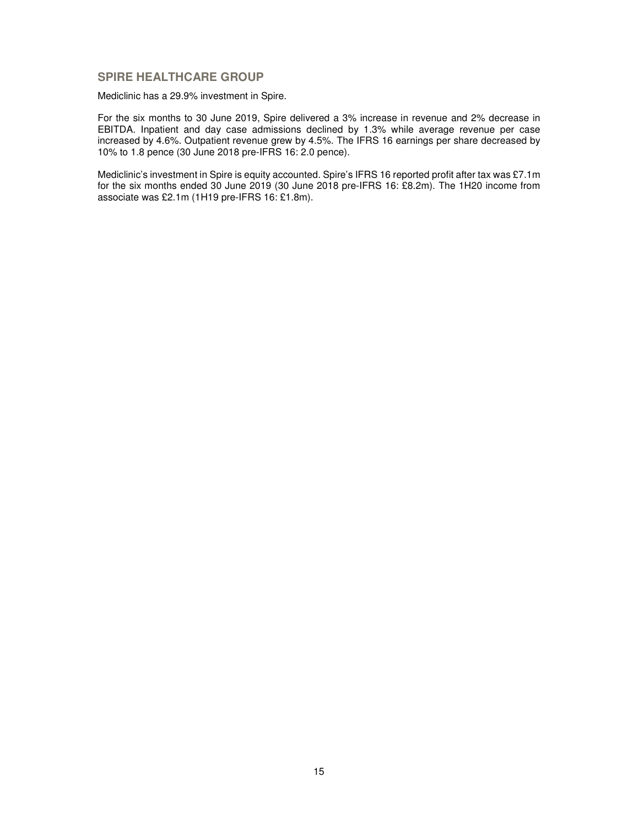# **SPIRE HEALTHCARE GROUP**

Mediclinic has a 29.9% investment in Spire.

For the six months to 30 June 2019, Spire delivered a 3% increase in revenue and 2% decrease in EBITDA. Inpatient and day case admissions declined by 1.3% while average revenue per case increased by 4.6%. Outpatient revenue grew by 4.5%. The IFRS 16 earnings per share decreased by 10% to 1.8 pence (30 June 2018 pre-IFRS 16: 2.0 pence).

Mediclinic's investment in Spire is equity accounted. Spire's IFRS 16 reported profit after tax was £7.1m for the six months ended 30 June 2019 (30 June 2018 pre-IFRS 16: £8.2m). The 1H20 income from associate was £2.1m (1H19 pre-IFRS 16: £1.8m).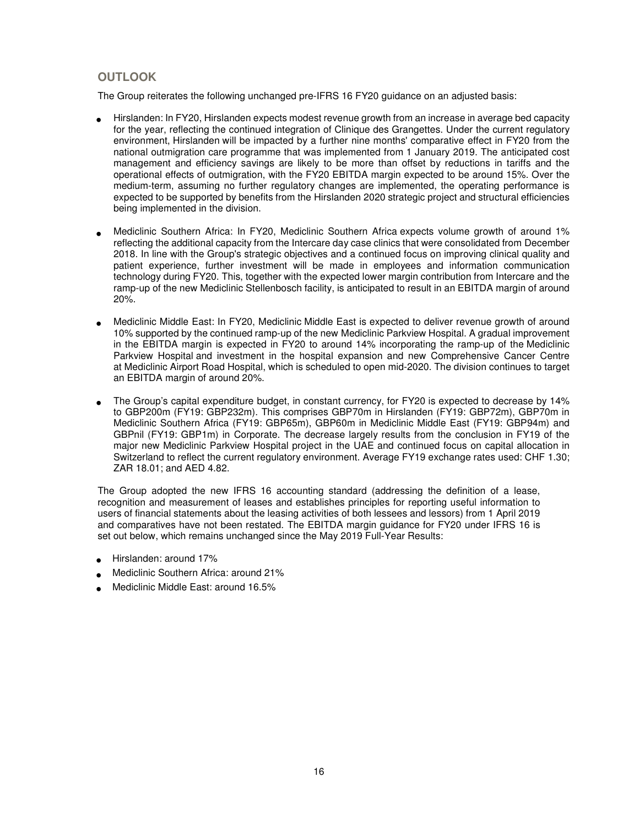# **OUTLOOK**

The Group reiterates the following unchanged pre-IFRS 16 FY20 guidance on an adjusted basis:

- Hirslanden: In FY20, Hirslanden expects modest revenue growth from an increase in average bed capacity for the year, reflecting the continued integration of Clinique des Grangettes. Under the current regulatory environment, Hirslanden will be impacted by a further nine months' comparative effect in FY20 from the national outmigration care programme that was implemented from 1 January 2019. The anticipated cost management and efficiency savings are likely to be more than offset by reductions in tariffs and the operational effects of outmigration, with the FY20 EBITDA margin expected to be around 15%. Over the medium-term, assuming no further regulatory changes are implemented, the operating performance is expected to be supported by benefits from the Hirslanden 2020 strategic project and structural efficiencies being implemented in the division.
- Mediclinic Southern Africa: In FY20, Mediclinic Southern Africa expects volume growth of around 1% reflecting the additional capacity from the Intercare day case clinics that were consolidated from December 2018. In line with the Group's strategic objectives and a continued focus on improving clinical quality and patient experience, further investment will be made in employees and information communication technology during FY20. This, together with the expected lower margin contribution from Intercare and the ramp-up of the new Mediclinic Stellenbosch facility, is anticipated to result in an EBITDA margin of around 20%.
- Mediclinic Middle East: In FY20, Mediclinic Middle East is expected to deliver revenue growth of around 10% supported by the continued ramp-up of the new Mediclinic Parkview Hospital. A gradual improvement in the EBITDA margin is expected in FY20 to around 14% incorporating the ramp-up of the Mediclinic Parkview Hospital and investment in the hospital expansion and new Comprehensive Cancer Centre at Mediclinic Airport Road Hospital, which is scheduled to open mid-2020. The division continues to target an EBITDA margin of around 20%.
- The Group's capital expenditure budget, in constant currency, for FY20 is expected to decrease by 14% to GBP200m (FY19: GBP232m). This comprises GBP70m in Hirslanden (FY19: GBP72m), GBP70m in Mediclinic Southern Africa (FY19: GBP65m), GBP60m in Mediclinic Middle East (FY19: GBP94m) and GBPnil (FY19: GBP1m) in Corporate. The decrease largely results from the conclusion in FY19 of the major new Mediclinic Parkview Hospital project in the UAE and continued focus on capital allocation in Switzerland to reflect the current regulatory environment. Average FY19 exchange rates used: CHF 1.30; ZAR 18.01; and AED 4.82.

The Group adopted the new IFRS 16 accounting standard (addressing the definition of a lease, recognition and measurement of leases and establishes principles for reporting useful information to users of financial statements about the leasing activities of both lessees and lessors) from 1 April 2019 and comparatives have not been restated. The EBITDA margin guidance for FY20 under IFRS 16 is set out below, which remains unchanged since the May 2019 Full-Year Results:

- Hirslanden: around 17%
- Mediclinic Southern Africa: around 21%
- Mediclinic Middle East: around 16.5%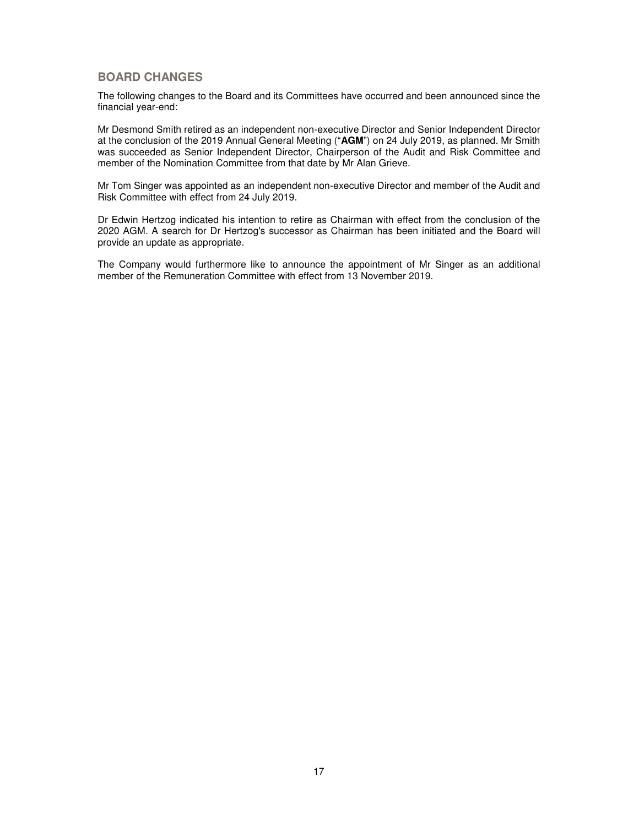# **BOARD CHANGES**

The following changes to the Board and its Committees have occurred and been announced since the financial year-end:

Mr Desmond Smith retired as an independent non-executive Director and Senior Independent Director at the conclusion of the 2019 Annual General Meeting ("**AGM**") on 24 July 2019, as planned. Mr Smith was succeeded as Senior Independent Director, Chairperson of the Audit and Risk Committee and member of the Nomination Committee from that date by Mr Alan Grieve.

Mr Tom Singer was appointed as an independent non-executive Director and member of the Audit and Risk Committee with effect from 24 July 2019.

Dr Edwin Hertzog indicated his intention to retire as Chairman with effect from the conclusion of the 2020 AGM. A search for Dr Hertzog's successor as Chairman has been initiated and the Board will provide an update as appropriate.

The Company would furthermore like to announce the appointment of Mr Singer as an additional member of the Remuneration Committee with effect from 13 November 2019.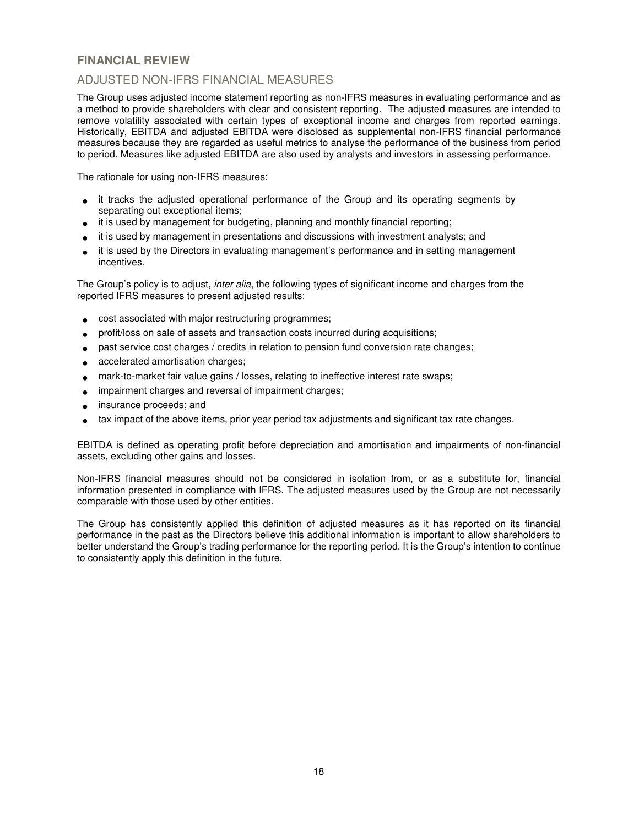# **FINANCIAL REVIEW**

# ADJUSTED NON-IFRS FINANCIAL MEASURES

The Group uses adjusted income statement reporting as non-IFRS measures in evaluating performance and as a method to provide shareholders with clear and consistent reporting. The adjusted measures are intended to remove volatility associated with certain types of exceptional income and charges from reported earnings. Historically, EBITDA and adjusted EBITDA were disclosed as supplemental non-IFRS financial performance measures because they are regarded as useful metrics to analyse the performance of the business from period to period. Measures like adjusted EBITDA are also used by analysts and investors in assessing performance.

The rationale for using non-IFRS measures:

- it tracks the adjusted operational performance of the Group and its operating segments by separating out exceptional items;
- it is used by management for budgeting, planning and monthly financial reporting;
- it is used by management in presentations and discussions with investment analysts; and
- it is used by the Directors in evaluating management's performance and in setting management incentives.

The Group's policy is to adjust, *inter alia*, the following types of significant income and charges from the reported IFRS measures to present adjusted results:

- cost associated with major restructuring programmes;
- profit/loss on sale of assets and transaction costs incurred during acquisitions;
- past service cost charges / credits in relation to pension fund conversion rate changes;
- accelerated amortisation charges;
- mark-to-market fair value gains / losses, relating to ineffective interest rate swaps;
- impairment charges and reversal of impairment charges;
- insurance proceeds; and
- tax impact of the above items, prior year period tax adjustments and significant tax rate changes.

EBITDA is defined as operating profit before depreciation and amortisation and impairments of non-financial assets, excluding other gains and losses.

Non-IFRS financial measures should not be considered in isolation from, or as a substitute for, financial information presented in compliance with IFRS. The adjusted measures used by the Group are not necessarily comparable with those used by other entities.

The Group has consistently applied this definition of adjusted measures as it has reported on its financial performance in the past as the Directors believe this additional information is important to allow shareholders to better understand the Group's trading performance for the reporting period. It is the Group's intention to continue to consistently apply this definition in the future.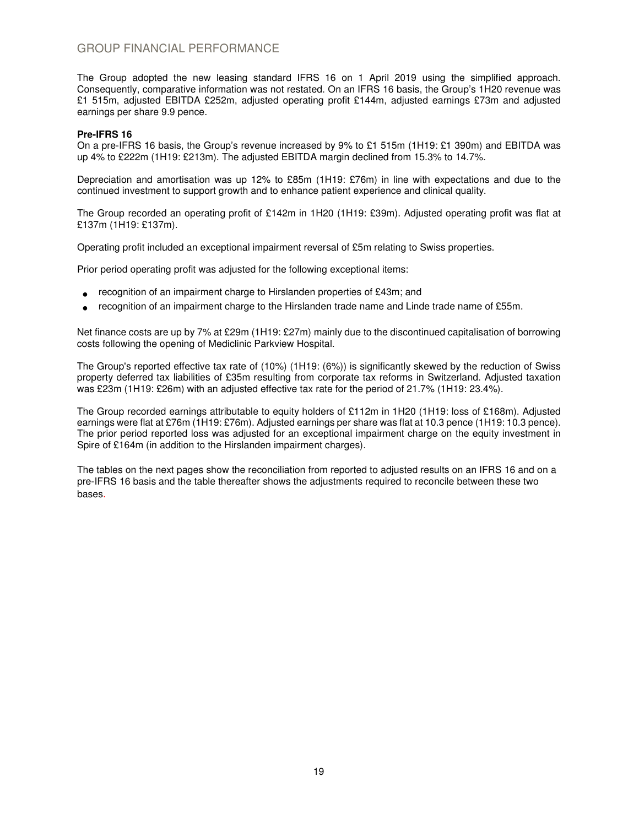# GROUP FINANCIAL PERFORMANCE

The Group adopted the new leasing standard IFRS 16 on 1 April 2019 using the simplified approach. Consequently, comparative information was not restated. On an IFRS 16 basis, the Group's 1H20 revenue was £1 515m, adjusted EBITDA £252m, adjusted operating profit £144m, adjusted earnings £73m and adjusted earnings per share 9.9 pence.

## **Pre-IFRS 16**

On a pre-IFRS 16 basis, the Group's revenue increased by 9% to £1 515m (1H19: £1 390m) and EBITDA was up 4% to £222m (1H19: £213m). The adjusted EBITDA margin declined from 15.3% to 14.7%.

Depreciation and amortisation was up 12% to £85m (1H19: £76m) in line with expectations and due to the continued investment to support growth and to enhance patient experience and clinical quality.

The Group recorded an operating profit of £142m in 1H20 (1H19: £39m). Adjusted operating profit was flat at £137m (1H19: £137m).

Operating profit included an exceptional impairment reversal of £5m relating to Swiss properties.

Prior period operating profit was adjusted for the following exceptional items:

- recognition of an impairment charge to Hirslanden properties of £43m; and
- recognition of an impairment charge to the Hirslanden trade name and Linde trade name of £55m.

Net finance costs are up by 7% at £29m (1H19: £27m) mainly due to the discontinued capitalisation of borrowing costs following the opening of Mediclinic Parkview Hospital.

The Group's reported effective tax rate of (10%) (1H19: (6%)) is significantly skewed by the reduction of Swiss property deferred tax liabilities of £35m resulting from corporate tax reforms in Switzerland. Adjusted taxation was £23m (1H19: £26m) with an adjusted effective tax rate for the period of 21.7% (1H19: 23.4%).

The Group recorded earnings attributable to equity holders of £112m in 1H20 (1H19: loss of £168m). Adjusted earnings were flat at £76m (1H19: £76m). Adjusted earnings per share was flat at 10.3 pence (1H19: 10.3 pence). The prior period reported loss was adjusted for an exceptional impairment charge on the equity investment in Spire of £164m (in addition to the Hirslanden impairment charges).

The tables on the next pages show the reconciliation from reported to adjusted results on an IFRS 16 and on a pre-IFRS 16 basis and the table thereafter shows the adjustments required to reconcile between these two bases.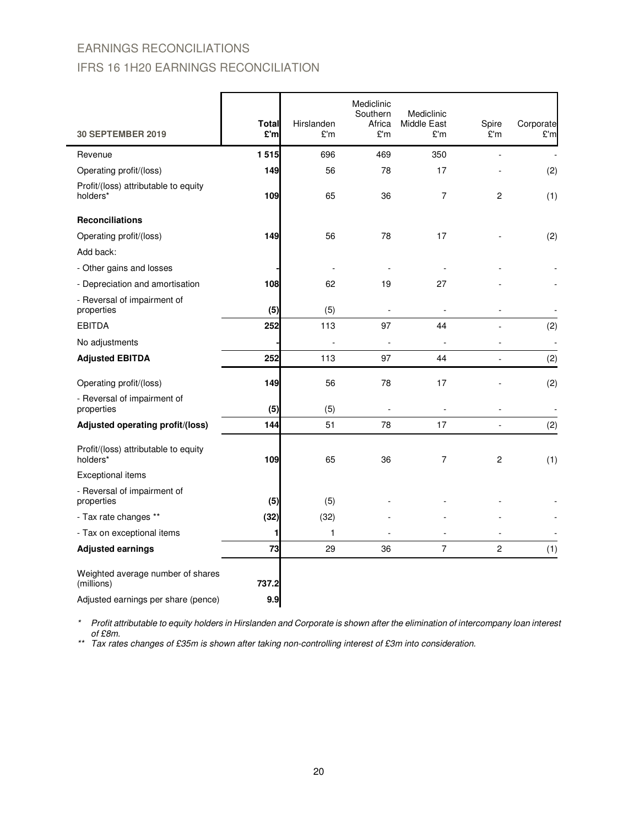# EARNINGS RECONCILIATIONS IFRS 16 1H20 EARNINGS RECONCILIATION

| <b>30 SEPTEMBER 2019</b>                         | Total<br>£'m | Hirslanden<br>£'m | Mediclinic<br>Southern<br>Africa<br>£'m | Mediclinic<br>Middle East<br>£'m | Spire<br>£'m                 | Corporate<br>£'m |
|--------------------------------------------------|--------------|-------------------|-----------------------------------------|----------------------------------|------------------------------|------------------|
| Revenue                                          | 1515         | 696               | 469                                     | 350                              |                              |                  |
| Operating profit/(loss)                          | 149          | 56                | 78                                      | 17                               |                              | (2)              |
| Profit/(loss) attributable to equity<br>holders* | 109          | 65                | 36                                      | 7                                | 2                            | (1)              |
| <b>Reconciliations</b>                           |              |                   |                                         |                                  |                              |                  |
| Operating profit/(loss)                          | 149          | 56                | 78                                      | 17                               |                              | (2)              |
| Add back:                                        |              |                   |                                         |                                  |                              |                  |
| - Other gains and losses                         |              |                   |                                         |                                  |                              |                  |
| - Depreciation and amortisation                  | 108          | 62                | 19                                      | 27                               |                              |                  |
| - Reversal of impairment of<br>properties        | (5)          | (5)               |                                         |                                  |                              |                  |
| <b>EBITDA</b>                                    | 252          | 113               | 97                                      | 44                               |                              | (2)              |
| No adjustments                                   |              |                   |                                         |                                  |                              | J.               |
| <b>Adjusted EBITDA</b>                           | 252          | 113               | 97                                      | 44                               |                              | (2)              |
| Operating profit/(loss)                          | 149          | 56                | 78                                      | 17                               |                              | (2)              |
| - Reversal of impairment of<br>properties        | (5)          | (5)               |                                         |                                  | $\qquad \qquad \blacksquare$ |                  |
| Adjusted operating profit/(loss)                 | 144          | 51                | 78                                      | 17                               | $\overline{a}$               | (2)              |
| Profit/(loss) attributable to equity<br>holders* | 109          | 65                | 36                                      | 7                                | 2                            | (1)              |
| Exceptional items                                |              |                   |                                         |                                  |                              |                  |
| - Reversal of impairment of<br>properties        | (5)          | (5)               |                                         |                                  |                              |                  |
| - Tax rate changes **                            | (32)         | (32)              |                                         |                                  |                              |                  |
| - Tax on exceptional items                       | 1            | $\mathbf{1}$      |                                         |                                  |                              |                  |
| <b>Adjusted earnings</b>                         | 73           | 29                | 36                                      | 7                                | 2                            | (1)              |
| Weighted average number of shares<br>(millions)  | 737.2        |                   |                                         |                                  |                              |                  |
| Adjusted earnings per share (pence)              | 9.9          |                   |                                         |                                  |                              |                  |

\* Profit attributable to equity holders in Hirslanden and Corporate is shown after the elimination of intercompany loan interest of £8m.

\*\* Tax rates changes of £35m is shown after taking non-controlling interest of £3m into consideration.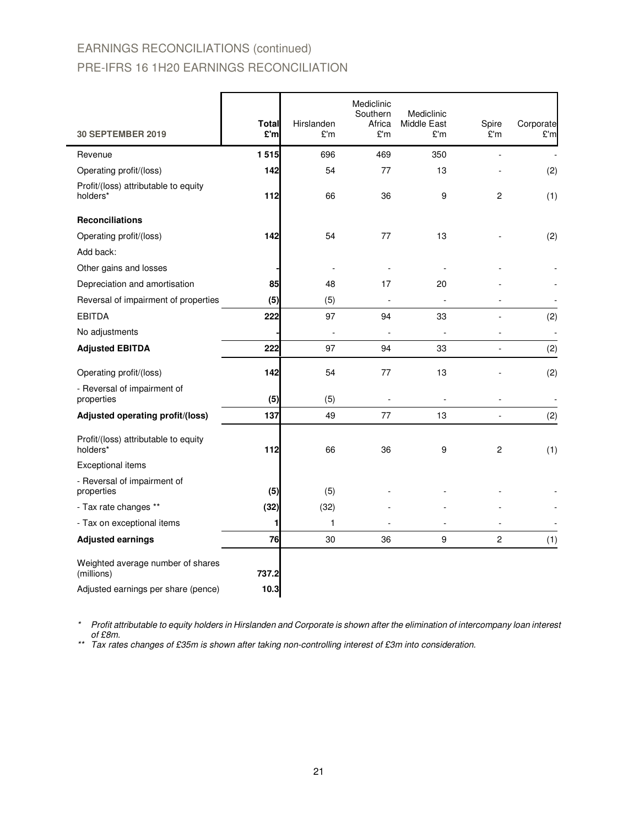# EARNINGS RECONCILIATIONS (continued) PRE-IFRS 16 1H20 EARNINGS RECONCILIATION

| <b>30 SEPTEMBER 2019</b>                                                               | <b>Total</b><br>£'ml | Hirslanden<br>£'m | Mediclinic<br>Southern<br>Africa<br>£'m | Mediclinic<br>Middle East<br>£'m | Spire<br>£'m             | Corporate<br>£'m |
|----------------------------------------------------------------------------------------|----------------------|-------------------|-----------------------------------------|----------------------------------|--------------------------|------------------|
| Revenue                                                                                | 1515                 | 696               | 469                                     | 350                              |                          |                  |
| Operating profit/(loss)                                                                | 142                  | 54                | 77                                      | 13                               |                          | (2)              |
| Profit/(loss) attributable to equity<br>holders*                                       | 112                  | 66                | 36                                      | 9                                | $\overline{c}$           | (1)              |
| <b>Reconciliations</b>                                                                 |                      |                   |                                         |                                  |                          |                  |
| Operating profit/(loss)                                                                | 142                  | 54                | 77                                      | 13                               |                          | (2)              |
| Add back:                                                                              |                      |                   |                                         |                                  |                          |                  |
| Other gains and losses                                                                 |                      |                   |                                         |                                  |                          |                  |
| Depreciation and amortisation                                                          | 85                   | 48                | 17                                      | 20                               |                          |                  |
| Reversal of impairment of properties                                                   | (5)                  | (5)               |                                         |                                  |                          |                  |
| <b>EBITDA</b>                                                                          | 222                  | 97                | 94                                      | 33                               |                          | (2)              |
| No adjustments                                                                         |                      |                   |                                         |                                  |                          |                  |
| <b>Adjusted EBITDA</b>                                                                 | 222                  | 97                | 94                                      | 33                               | $\overline{\phantom{a}}$ | (2)              |
| Operating profit/(loss)                                                                | 142                  | 54                | 77                                      | 13                               |                          | (2)              |
| - Reversal of impairment of<br>properties                                              | (5)                  | (5)               |                                         |                                  |                          |                  |
| Adjusted operating profit/(loss)                                                       | 137                  | 49                | 77                                      | 13                               |                          | (2)              |
| Profit/(loss) attributable to equity<br>holders*                                       | 112                  | 66                | 36                                      | 9                                | 2                        | (1)              |
| Exceptional items                                                                      |                      |                   |                                         |                                  |                          |                  |
| - Reversal of impairment of<br>properties                                              | (5)                  | (5)               |                                         |                                  |                          |                  |
| - Tax rate changes **                                                                  | (32)                 | (32)              |                                         |                                  |                          |                  |
| - Tax on exceptional items                                                             | 1                    | 1                 |                                         |                                  |                          |                  |
| <b>Adjusted earnings</b>                                                               | 76                   | 30                | 36                                      | 9                                | $\overline{c}$           | (1)              |
| Weighted average number of shares<br>(millions)<br>Adjusted earnings per share (pence) | 737.2<br>10.3        |                   |                                         |                                  |                          |                  |
|                                                                                        |                      |                   |                                         |                                  |                          |                  |

\* Profit attributable to equity holders in Hirslanden and Corporate is shown after the elimination of intercompany loan interest of £8m.

\*\* Tax rates changes of £35m is shown after taking non-controlling interest of £3m into consideration.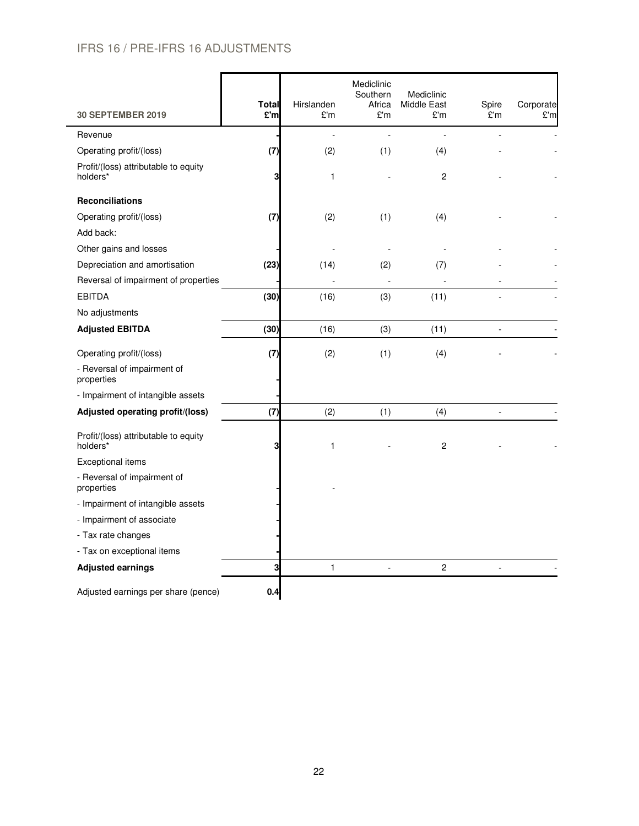# IFRS 16 / PRE-IFRS 16 ADJUSTMENTS

| <b>30 SEPTEMBER 2019</b>                         | <b>Total</b><br>£'ml | Hirslanden<br>£'m | Mediclinic<br>Southern<br>Africa<br>£'m | Mediclinic<br>Middle East<br>£'m | Spire<br>£'m   | Corporate<br>£'m |
|--------------------------------------------------|----------------------|-------------------|-----------------------------------------|----------------------------------|----------------|------------------|
| Revenue                                          |                      | $\overline{a}$    |                                         | $\overline{a}$                   |                |                  |
| Operating profit/(loss)                          | (7)                  | (2)               | (1)                                     | (4)                              |                |                  |
| Profit/(loss) attributable to equity<br>holders* | 3                    | 1                 |                                         | $\overline{c}$                   |                |                  |
| <b>Reconciliations</b>                           |                      |                   |                                         |                                  |                |                  |
| Operating profit/(loss)                          | (7)                  | (2)               | (1)                                     | (4)                              |                |                  |
| Add back:                                        |                      |                   |                                         |                                  |                |                  |
| Other gains and losses                           |                      |                   |                                         |                                  |                |                  |
| Depreciation and amortisation                    | (23)                 | (14)              | (2)                                     | (7)                              |                |                  |
| Reversal of impairment of properties             |                      |                   |                                         |                                  |                |                  |
| <b>EBITDA</b>                                    | (30)                 | (16)              | (3)                                     | (11)                             |                |                  |
| No adjustments                                   |                      |                   |                                         |                                  |                |                  |
| <b>Adjusted EBITDA</b>                           | (30)                 | (16)              | (3)                                     | (11)                             | $\blacksquare$ |                  |
| Operating profit/(loss)                          | (7)                  | (2)               | (1)                                     | (4)                              |                |                  |
| - Reversal of impairment of<br>properties        |                      |                   |                                         |                                  |                |                  |
| - Impairment of intangible assets                |                      |                   |                                         |                                  |                |                  |
| Adjusted operating profit/(loss)                 | (7)                  | (2)               | (1)                                     | (4)                              | $\frac{1}{2}$  |                  |
| Profit/(loss) attributable to equity<br>holders* | 3                    | 1                 |                                         | 2                                |                |                  |
| <b>Exceptional items</b>                         |                      |                   |                                         |                                  |                |                  |
| - Reversal of impairment of<br>properties        |                      |                   |                                         |                                  |                |                  |
| - Impairment of intangible assets                |                      |                   |                                         |                                  |                |                  |
| - Impairment of associate                        |                      |                   |                                         |                                  |                |                  |
| - Tax rate changes                               |                      |                   |                                         |                                  |                |                  |
| - Tax on exceptional items                       |                      |                   |                                         |                                  |                |                  |
| <b>Adjusted earnings</b>                         | 3                    | $\mathbf{1}$      | $\overline{a}$                          | $\overline{c}$                   |                |                  |
| Adjusted earnings per share (pence)              | 0.4                  |                   |                                         |                                  |                |                  |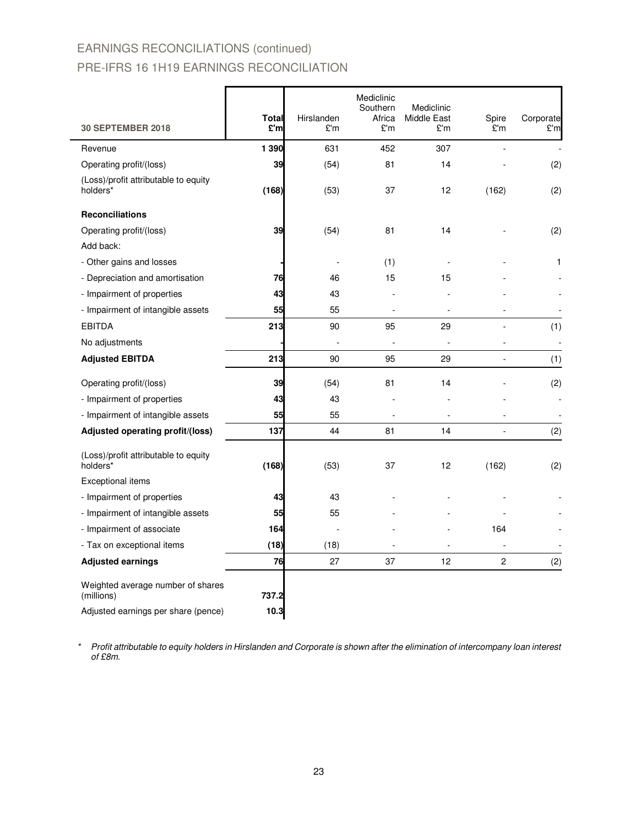# EARNINGS RECONCILIATIONS (continued) PRE-IFRS 16 1H19 EARNINGS RECONCILIATION

| <b>30 SEPTEMBER 2018</b>                         | <b>Total</b><br>£'m | Hirslanden<br>£'m | Mediclinic<br>Southern<br>Africa<br>£'m | Mediclinic<br><b>Middle East</b><br>£'m | Spire<br>£'m   | Corporate<br>£'m |
|--------------------------------------------------|---------------------|-------------------|-----------------------------------------|-----------------------------------------|----------------|------------------|
|                                                  |                     |                   |                                         |                                         |                |                  |
| Revenue                                          | 1 3 9 0             | 631               | 452                                     | 307                                     |                |                  |
| Operating profit/(loss)                          | 39                  | (54)              | 81                                      | 14                                      |                | (2)              |
| (Loss)/profit attributable to equity<br>holders* | (168)               | (53)              | 37                                      | 12                                      | (162)          | (2)              |
| <b>Reconciliations</b>                           |                     |                   |                                         |                                         |                |                  |
| Operating profit/(loss)                          | 39                  | (54)              | 81                                      | 14                                      |                | (2)              |
| Add back:                                        |                     |                   |                                         |                                         |                |                  |
| - Other gains and losses                         |                     |                   | (1)                                     |                                         |                | 1                |
| - Depreciation and amortisation                  | 76                  | 46                | 15                                      | 15                                      |                |                  |
| - Impairment of properties                       | 43                  | 43                |                                         |                                         |                |                  |
| - Impairment of intangible assets                | 55                  | 55                |                                         |                                         |                |                  |
| <b>EBITDA</b>                                    | 213                 | 90                | 95                                      | 29                                      |                | (1)              |
| No adjustments                                   |                     |                   |                                         |                                         |                |                  |
| <b>Adjusted EBITDA</b>                           | 213                 | 90                | 95                                      | 29                                      | ÷              | (1)              |
| Operating profit/(loss)                          | 39                  | (54)              | 81                                      | 14                                      |                | (2)              |
| - Impairment of properties                       | 43                  | 43                |                                         |                                         |                |                  |
| - Impairment of intangible assets                | 55                  | 55                | ä,                                      | $\overline{\phantom{a}}$                |                | $\overline{a}$   |
| Adjusted operating profit/(loss)                 | 137                 | 44                | 81                                      | 14                                      |                | (2)              |
| (Loss)/profit attributable to equity<br>holders* | (168)               | (53)              | 37                                      | 12                                      | (162)          | (2)              |
| <b>Exceptional items</b>                         |                     |                   |                                         |                                         |                |                  |
| - Impairment of properties                       | 43                  | 43                |                                         |                                         |                |                  |
| - Impairment of intangible assets                | 55                  | 55                |                                         |                                         |                |                  |
| - Impairment of associate                        | 164                 |                   |                                         |                                         | 164            |                  |
| - Tax on exceptional items                       | (18)                | (18)              |                                         |                                         |                |                  |
| <b>Adjusted earnings</b>                         | 76                  | 27                | 37                                      | 12                                      | $\overline{c}$ | (2)              |
| Weighted average number of shares<br>(millions)  | 737.2               |                   |                                         |                                         |                |                  |
| Adjusted earnings per share (pence)              | 10.3                |                   |                                         |                                         |                |                  |

\* Profit attributable to equity holders in Hirslanden and Corporate is shown after the elimination of intercompany loan interest of £8m.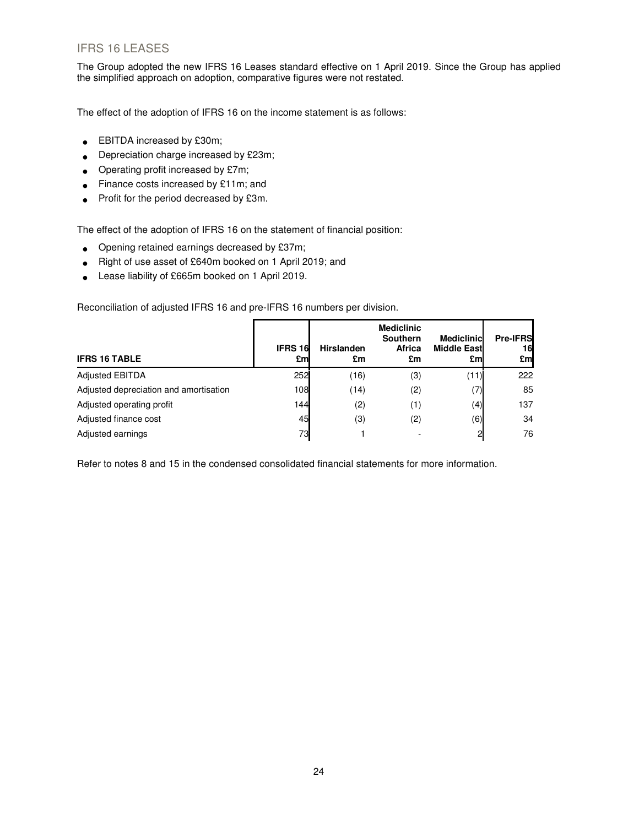# IFRS 16 LEASES

The Group adopted the new IFRS 16 Leases standard effective on 1 April 2019. Since the Group has applied the simplified approach on adoption, comparative figures were not restated.

The effect of the adoption of IFRS 16 on the income statement is as follows:

- EBITDA increased by £30m;
- Depreciation charge increased by £23m;
- Operating profit increased by £7m;
- Finance costs increased by £11m; and
- Profit for the period decreased by £3m.

The effect of the adoption of IFRS 16 on the statement of financial position:

- Opening retained earnings decreased by £37m;
- Right of use asset of £640m booked on 1 April 2019; and
- Lease liability of £665m booked on 1 April 2019.

Reconciliation of adjusted IFRS 16 and pre-IFRS 16 numbers per division.

| <b>IFRS 16 TABLE</b>                   | <b>IFRS 16</b><br>£ml | <b>Hirslanden</b><br>£m | <b>Mediclinic</b><br><b>Southern</b><br><b>Africa</b><br>£m | <b>Mediclinic</b><br><b>Middle East</b><br>£ml | <b>Pre-IFRS</b><br>16<br>£m |
|----------------------------------------|-----------------------|-------------------------|-------------------------------------------------------------|------------------------------------------------|-----------------------------|
| <b>Adjusted EBITDA</b>                 | 252                   | (16)                    | (3)                                                         | (11)                                           | 222                         |
| Adjusted depreciation and amortisation | 108                   | (14)                    | (2)                                                         | 7)                                             | 85                          |
| Adjusted operating profit              | 144                   | (2)                     | (1)                                                         | (4)                                            | 137                         |
| Adjusted finance cost                  | 45                    | (3)                     | (2)                                                         | (6)                                            | 34                          |
| Adjusted earnings                      | 73                    |                         |                                                             |                                                | 76                          |

Refer to notes 8 and 15 in the condensed consolidated financial statements for more information.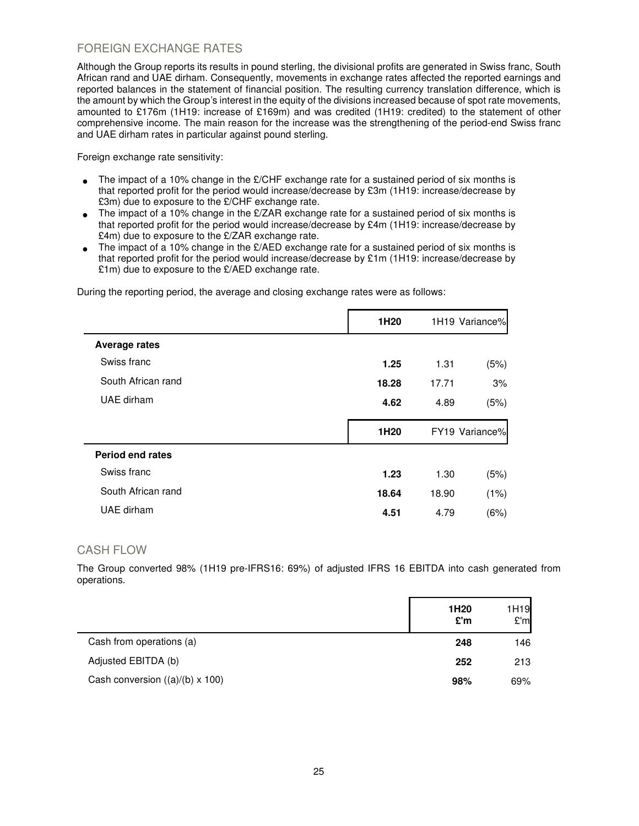# FOREIGN EXCHANGE RATES

Although the Group reports its results in pound sterling, the divisional profits are generated in Swiss franc, South African rand and UAE dirham. Consequently, movements in exchange rates affected the reported earnings and reported balances in the statement of financial position. The resulting currency translation difference, which is the amount by which the Group's interest in the equity of the divisions increased because of spot rate movements, amounted to £176m (1H19: increase of £169m) and was credited (1H19: credited) to the statement of other comprehensive income. The main reason for the increase was the strengthening of the period-end Swiss franc and UAE dirham rates in particular against pound sterling.

Foreign exchange rate sensitivity:

- The impact of a 10% change in the  $E/CHF$  exchange rate for a sustained period of six months is that reported profit for the period would increase/decrease by £3m (1H19: increase/decrease by £3m) due to exposure to the £/CHF exchange rate.
- The impact of a 10% change in the  $E/ZAR$  exchange rate for a sustained period of six months is that reported profit for the period would increase/decrease by £4m (1H19: increase/decrease by £4m) due to exposure to the £/ZAR exchange rate.
- The impact of a 10% change in the £/AED exchange rate for a sustained period of six months is that reported profit for the period would increase/decrease by £1m (1H19: increase/decrease by £1m) due to exposure to the £/AED exchange rate.

During the reporting period, the average and closing exchange rates were as follows:

| 1H20  |       | 1H19 Variance% |
|-------|-------|----------------|
|       |       |                |
| 1.25  | 1.31  | (5%)           |
| 18.28 | 17.71 | 3%             |
| 4.62  | 4.89  | (5%)           |
|       |       |                |
|       |       | FY19 Variance% |
|       |       |                |
|       |       |                |
| 1.23  | 1.30  | (5%)           |
| 18.64 | 18.90 | (1%)           |
|       | 1H20  |                |

## CASH FLOW

The Group converted 98% (1H19 pre-IFRS16: 69%) of adjusted IFRS 16 EBITDA into cash generated from operations.

|                                        | 1H <sub>20</sub><br>E'm | 1H19<br>E'm |
|----------------------------------------|-------------------------|-------------|
| Cash from operations (a)               | 248                     | 146         |
| Adjusted EBITDA (b)                    | 252                     | 213         |
| Cash conversion $((a)/(b) \times 100)$ | 98%                     | 69%         |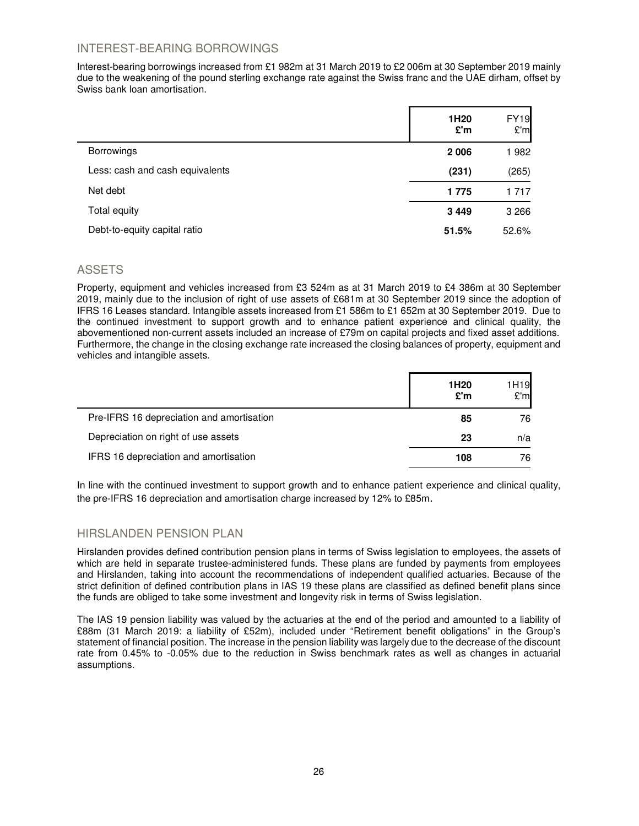# INTEREST-BEARING BORROWINGS

Interest-bearing borrowings increased from £1 982m at 31 March 2019 to £2 006m at 30 September 2019 mainly due to the weakening of the pound sterling exchange rate against the Swiss franc and the UAE dirham, offset by Swiss bank loan amortisation.

|                                 | 1H <sub>20</sub><br>£'m | <b>FY19</b><br>E'm |
|---------------------------------|-------------------------|--------------------|
| <b>Borrowings</b>               | 2 0 0 6                 | 1982               |
| Less: cash and cash equivalents | (231)                   | (265)              |
| Net debt                        | 1775                    | 1 7 1 7            |
| Total equity                    | 3449                    | 3 2 6 6            |
| Debt-to-equity capital ratio    | 51.5%                   | 52.6%              |

# ASSETS

Property, equipment and vehicles increased from £3 524m as at 31 March 2019 to £4 386m at 30 September 2019, mainly due to the inclusion of right of use assets of £681m at 30 September 2019 since the adoption of IFRS 16 Leases standard. Intangible assets increased from £1 586m to £1 652m at 30 September 2019. Due to the continued investment to support growth and to enhance patient experience and clinical quality, the abovementioned non-current assets included an increase of £79m on capital projects and fixed asset additions. Furthermore, the change in the closing exchange rate increased the closing balances of property, equipment and vehicles and intangible assets.

|                                           | 1H <sub>20</sub><br>E'm | 1H <sub>19</sub><br>E'm |
|-------------------------------------------|-------------------------|-------------------------|
| Pre-IFRS 16 depreciation and amortisation | 85                      | 76                      |
| Depreciation on right of use assets       | 23                      | n/a                     |
| IFRS 16 depreciation and amortisation     | 108                     | 76                      |

In line with the continued investment to support growth and to enhance patient experience and clinical quality, the pre-IFRS 16 depreciation and amortisation charge increased by 12% to £85m.

# HIRSLANDEN PENSION PLAN

Hirslanden provides defined contribution pension plans in terms of Swiss legislation to employees, the assets of which are held in separate trustee-administered funds. These plans are funded by payments from employees and Hirslanden, taking into account the recommendations of independent qualified actuaries. Because of the strict definition of defined contribution plans in IAS 19 these plans are classified as defined benefit plans since the funds are obliged to take some investment and longevity risk in terms of Swiss legislation.

The IAS 19 pension liability was valued by the actuaries at the end of the period and amounted to a liability of £88m (31 March 2019: a liability of £52m), included under "Retirement benefit obligations" in the Group's statement of financial position. The increase in the pension liability was largely due to the decrease of the discount rate from 0.45% to -0.05% due to the reduction in Swiss benchmark rates as well as changes in actuarial assumptions.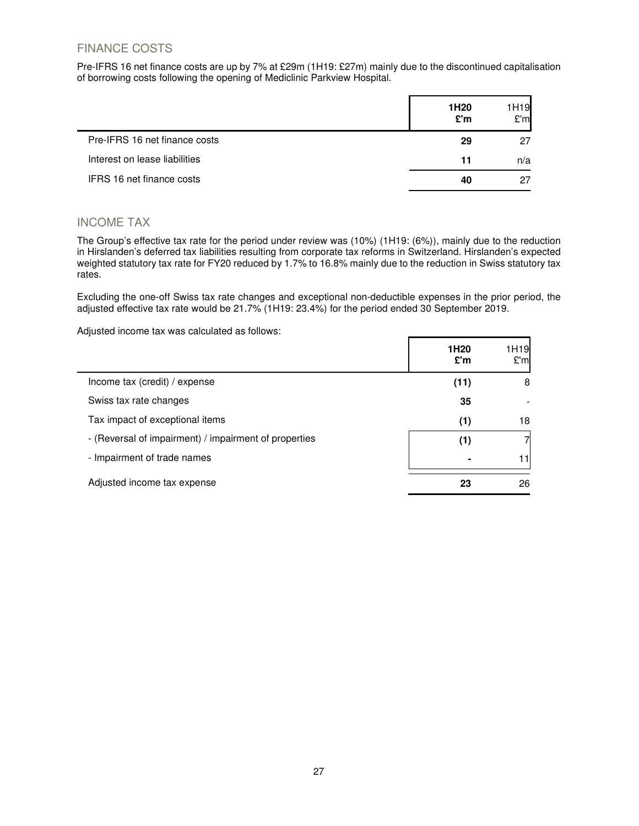# FINANCE COSTS

Pre-IFRS 16 net finance costs are up by 7% at £29m (1H19: £27m) mainly due to the discontinued capitalisation of borrowing costs following the opening of Mediclinic Parkview Hospital.

|                               | 1H <sub>20</sub><br>£'m | 1H19<br>E'm |
|-------------------------------|-------------------------|-------------|
| Pre-IFRS 16 net finance costs | 29                      | 27          |
| Interest on lease liabilities | 11                      | n/a         |
| IFRS 16 net finance costs     | 40                      | 27          |

# INCOME TAX

The Group's effective tax rate for the period under review was (10%) (1H19: (6%)), mainly due to the reduction in Hirslanden's deferred tax liabilities resulting from corporate tax reforms in Switzerland. Hirslanden's expected weighted statutory tax rate for FY20 reduced by 1.7% to 16.8% mainly due to the reduction in Swiss statutory tax rates.

Excluding the one-off Swiss tax rate changes and exceptional non-deductible expenses in the prior period, the adjusted effective tax rate would be 21.7% (1H19: 23.4%) for the period ended 30 September 2019.

Adjusted income tax was calculated as follows:

|                                                       | 1H <sub>20</sub><br>£'m | 1H <sub>19</sub><br>£'ml |
|-------------------------------------------------------|-------------------------|--------------------------|
| Income tax (credit) / expense                         | (11)                    | 8                        |
| Swiss tax rate changes                                | 35                      |                          |
| Tax impact of exceptional items                       | (1)                     | 18                       |
| - (Reversal of impairment) / impairment of properties | (1)                     | 7                        |
| - Impairment of trade names                           |                         | 11                       |
| Adjusted income tax expense                           | 23                      | 26                       |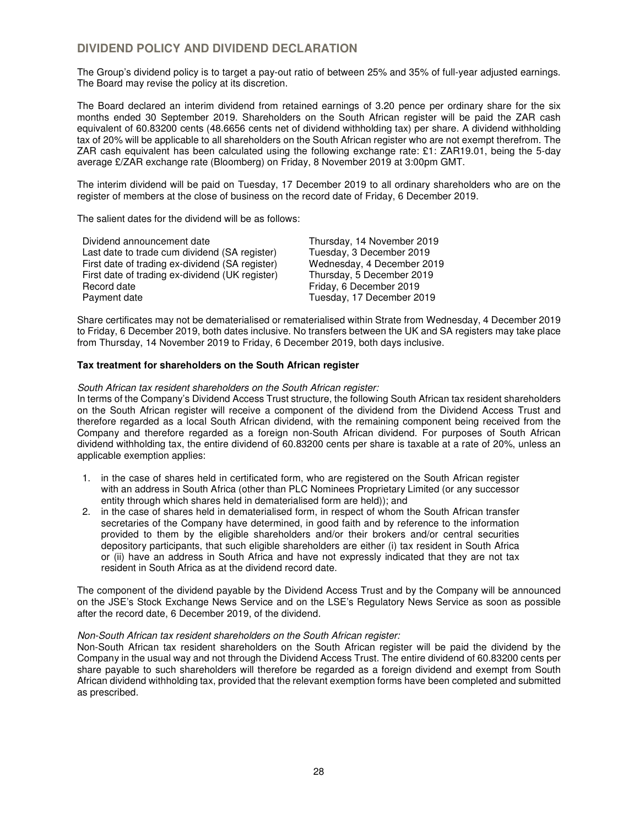# **DIVIDEND POLICY AND DIVIDEND DECLARATION**

The Group's dividend policy is to target a pay-out ratio of between 25% and 35% of full-year adjusted earnings. The Board may revise the policy at its discretion.

The Board declared an interim dividend from retained earnings of 3.20 pence per ordinary share for the six months ended 30 September 2019. Shareholders on the South African register will be paid the ZAR cash equivalent of 60.83200 cents (48.6656 cents net of dividend withholding tax) per share. A dividend withholding tax of 20% will be applicable to all shareholders on the South African register who are not exempt therefrom. The ZAR cash equivalent has been calculated using the following exchange rate: £1: ZAR19.01, being the 5-day average £/ZAR exchange rate (Bloomberg) on Friday, 8 November 2019 at 3:00pm GMT.

The interim dividend will be paid on Tuesday, 17 December 2019 to all ordinary shareholders who are on the register of members at the close of business on the record date of Friday, 6 December 2019.

The salient dates for the dividend will be as follows:

| Dividend announcement date                      | Thursday, 14 November 2019 |
|-------------------------------------------------|----------------------------|
| Last date to trade cum dividend (SA register)   | Tuesday, 3 December 2019   |
| First date of trading ex-dividend (SA register) | Wednesday, 4 December 2019 |
| First date of trading ex-dividend (UK register) | Thursday, 5 December 2019  |
| Record date                                     | Friday, 6 December 2019    |
| Payment date                                    | Tuesday, 17 December 2019  |
|                                                 |                            |

Share certificates may not be dematerialised or rematerialised within Strate from Wednesday, 4 December 2019 to Friday, 6 December 2019, both dates inclusive. No transfers between the UK and SA registers may take place from Thursday, 14 November 2019 to Friday, 6 December 2019, both days inclusive.

## **Tax treatment for shareholders on the South African register**

### South African tax resident shareholders on the South African register:

In terms of the Company's Dividend Access Trust structure, the following South African tax resident shareholders on the South African register will receive a component of the dividend from the Dividend Access Trust and therefore regarded as a local South African dividend, with the remaining component being received from the Company and therefore regarded as a foreign non-South African dividend. For purposes of South African dividend withholding tax, the entire dividend of 60.83200 cents per share is taxable at a rate of 20%, unless an applicable exemption applies:

- 1. in the case of shares held in certificated form, who are registered on the South African register with an address in South Africa (other than PLC Nominees Proprietary Limited (or any successor entity through which shares held in dematerialised form are held)); and
- 2. in the case of shares held in dematerialised form, in respect of whom the South African transfer secretaries of the Company have determined, in good faith and by reference to the information provided to them by the eligible shareholders and/or their brokers and/or central securities depository participants, that such eligible shareholders are either (i) tax resident in South Africa or (ii) have an address in South Africa and have not expressly indicated that they are not tax resident in South Africa as at the dividend record date.

The component of the dividend payable by the Dividend Access Trust and by the Company will be announced on the JSE's Stock Exchange News Service and on the LSE's Regulatory News Service as soon as possible after the record date, 6 December 2019, of the dividend.

## Non-South African tax resident shareholders on the South African register:

Non-South African tax resident shareholders on the South African register will be paid the dividend by the Company in the usual way and not through the Dividend Access Trust. The entire dividend of 60.83200 cents per share payable to such shareholders will therefore be regarded as a foreign dividend and exempt from South African dividend withholding tax, provided that the relevant exemption forms have been completed and submitted as prescribed.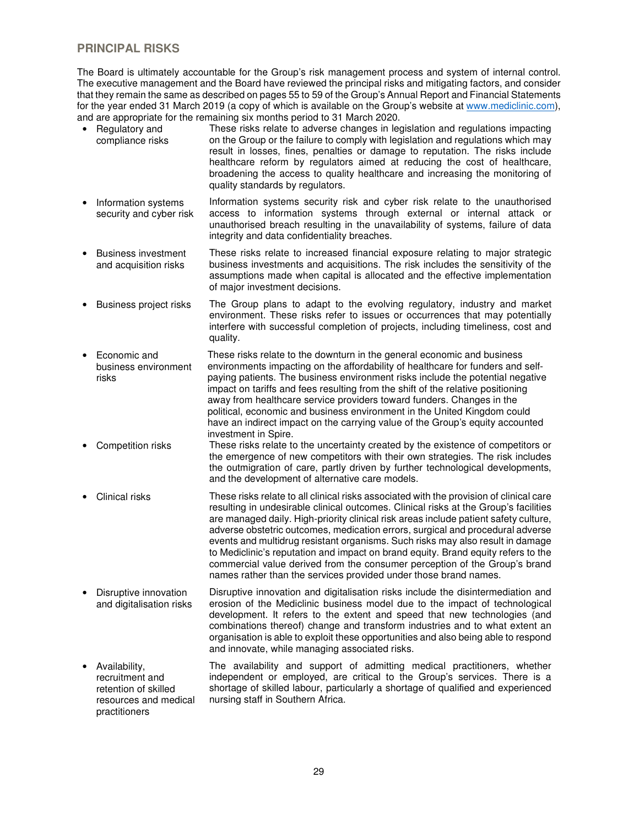# **PRINCIPAL RISKS**

The Board is ultimately accountable for the Group's risk management process and system of internal control. The executive management and the Board have reviewed the principal risks and mitigating factors, and consider that they remain the same as described on pages 55 to 59 of the Group's Annual Report and Financial Statements for the year ended 31 March 2019 (a copy of which is available on the Group's website at www.mediclinic.com), and are appropriate for the remaining six months period to 31 March 2020.

- Regulatory and compliance risks These risks relate to adverse changes in legislation and regulations impacting on the Group or the failure to comply with legislation and regulations which may result in losses, fines, penalties or damage to reputation. The risks include healthcare reform by regulators aimed at reducing the cost of healthcare, broadening the access to quality healthcare and increasing the monitoring of quality standards by regulators.
- Information systems security and cyber risk Information systems security risk and cyber risk relate to the unauthorised access to information systems through external or internal attack or unauthorised breach resulting in the unavailability of systems, failure of data integrity and data confidentiality breaches.
- Business investment and acquisition risks These risks relate to increased financial exposure relating to major strategic business investments and acquisitions. The risk includes the sensitivity of the assumptions made when capital is allocated and the effective implementation of major investment decisions.
- Business project risks The Group plans to adapt to the evolving regulatory, industry and market environment. These risks refer to issues or occurrences that may potentially interfere with successful completion of projects, including timeliness, cost and quality.
- Economic and business environment risks These risks relate to the downturn in the general economic and business environments impacting on the affordability of healthcare for funders and selfpaying patients. The business environment risks include the potential negative impact on tariffs and fees resulting from the shift of the relative positioning away from healthcare service providers toward funders. Changes in the political, economic and business environment in the United Kingdom could have an indirect impact on the carrying value of the Group's equity accounted investment in Spire.
- Competition risks These risks relate to the uncertainty created by the existence of competitors or the emergence of new competitors with their own strategies. The risk includes the outmigration of care, partly driven by further technological developments, and the development of alternative care models.
- Clinical risks These risks relate to all clinical risks associated with the provision of clinical care resulting in undesirable clinical outcomes. Clinical risks at the Group's facilities are managed daily. High-priority clinical risk areas include patient safety culture, adverse obstetric outcomes, medication errors, surgical and procedural adverse events and multidrug resistant organisms. Such risks may also result in damage to Mediclinic's reputation and impact on brand equity. Brand equity refers to the commercial value derived from the consumer perception of the Group's brand names rather than the services provided under those brand names.
- Disruptive innovation and digitalisation risks Disruptive innovation and digitalisation risks include the disintermediation and erosion of the Mediclinic business model due to the impact of technological development. It refers to the extent and speed that new technologies (and combinations thereof) change and transform industries and to what extent an organisation is able to exploit these opportunities and also being able to respond and innovate, while managing associated risks.
- Availability, recruitment and retention of skilled resources and medical practitioners The availability and support of admitting medical practitioners, whether independent or employed, are critical to the Group's services. There is a shortage of skilled labour, particularly a shortage of qualified and experienced nursing staff in Southern Africa.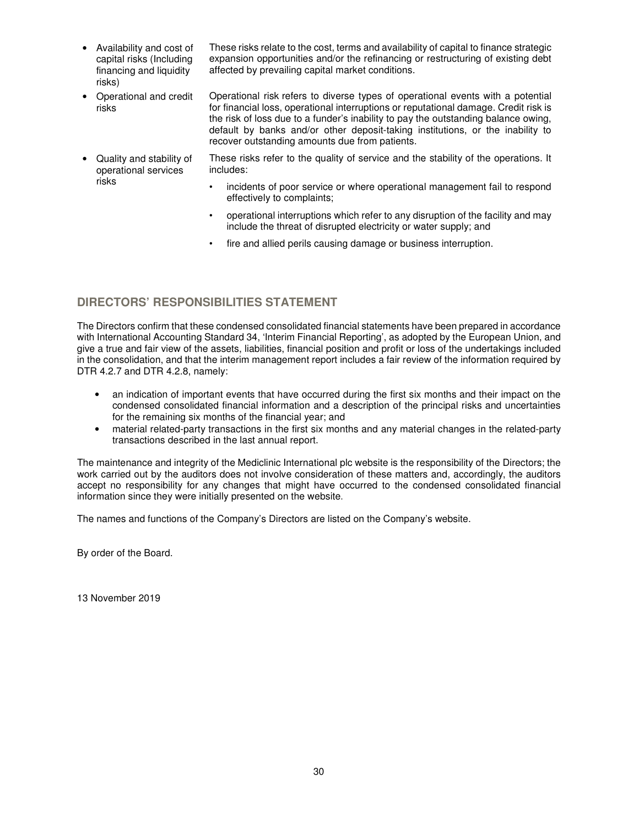• Availability and cost of capital risks (Including financing and liquidity risks)

These risks relate to the cost, terms and availability of capital to finance strategic expansion opportunities and/or the refinancing or restructuring of existing debt affected by prevailing capital market conditions.

• Operational and credit risks Operational risk refers to diverse types of operational events with a potential for financial loss, operational interruptions or reputational damage. Credit risk is the risk of loss due to a funder's inability to pay the outstanding balance owing, default by banks and/or other deposit-taking institutions, or the inability to recover outstanding amounts due from patients.

• Quality and stability of operational services risks

These risks refer to the quality of service and the stability of the operations. It includes:

- incidents of poor service or where operational management fail to respond effectively to complaints;
- operational interruptions which refer to any disruption of the facility and may include the threat of disrupted electricity or water supply; and
- fire and allied perils causing damage or business interruption.

# **DIRECTORS' RESPONSIBILITIES STATEMENT**

The Directors confirm that these condensed consolidated financial statements have been prepared in accordance with International Accounting Standard 34, 'Interim Financial Reporting', as adopted by the European Union, and give a true and fair view of the assets, liabilities, financial position and profit or loss of the undertakings included in the consolidation, and that the interim management report includes a fair review of the information required by DTR 4.2.7 and DTR 4.2.8, namely:

- an indication of important events that have occurred during the first six months and their impact on the condensed consolidated financial information and a description of the principal risks and uncertainties for the remaining six months of the financial year; and
- material related-party transactions in the first six months and any material changes in the related-party transactions described in the last annual report.

The maintenance and integrity of the Mediclinic International plc website is the responsibility of the Directors; the work carried out by the auditors does not involve consideration of these matters and, accordingly, the auditors accept no responsibility for any changes that might have occurred to the condensed consolidated financial information since they were initially presented on the website.

The names and functions of the Company's Directors are listed on the Company's website.

By order of the Board.

13 November 2019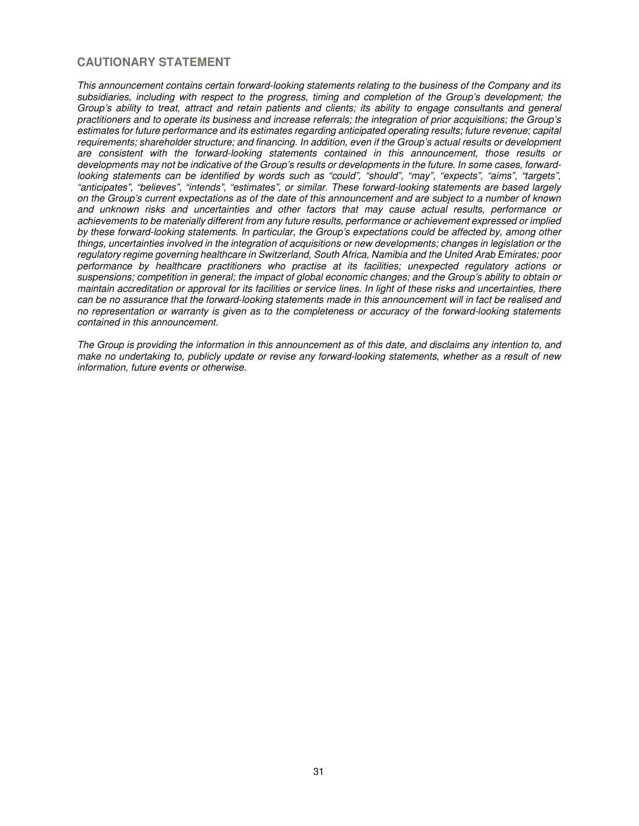# **CAUTIONARY STATEMENT**

This announcement contains certain forward-looking statements relating to the business of the Company and its subsidiaries, including with respect to the progress, timing and completion of the Group's development; the Group's ability to treat, attract and retain patients and clients; its ability to engage consultants and general practitioners and to operate its business and increase referrals; the integration of prior acquisitions; the Group's estimates for future performance and its estimates regarding anticipated operating results; future revenue; capital requirements; shareholder structure; and financing. In addition, even if the Group's actual results or development are consistent with the forward-looking statements contained in this announcement, those results or developments may not be indicative of the Group's results or developments in the future. In some cases, forwardlooking statements can be identified by words such as "could", "should", "may", "expects", "aims", "targets", "anticipates", "believes", "intends", "estimates", or similar. These forward-looking statements are based largely on the Group's current expectations as of the date of this announcement and are subject to a number of known and unknown risks and uncertainties and other factors that may cause actual results, performance or achievements to be materially different from any future results, performance or achievement expressed or implied by these forward-looking statements. In particular, the Group's expectations could be affected by, among other things, uncertainties involved in the integration of acquisitions or new developments; changes in legislation or the regulatory regime governing healthcare in Switzerland, South Africa, Namibia and the United Arab Emirates; poor performance by healthcare practitioners who practise at its facilities; unexpected regulatory actions or suspensions; competition in general; the impact of global economic changes; and the Group's ability to obtain or maintain accreditation or approval for its facilities or service lines. In light of these risks and uncertainties, there can be no assurance that the forward-looking statements made in this announcement will in fact be realised and no representation or warranty is given as to the completeness or accuracy of the forward-looking statements contained in this announcement.

The Group is providing the information in this announcement as of this date, and disclaims any intention to, and make no undertaking to, publicly update or revise any forward-looking statements, whether as a result of new information, future events or otherwise.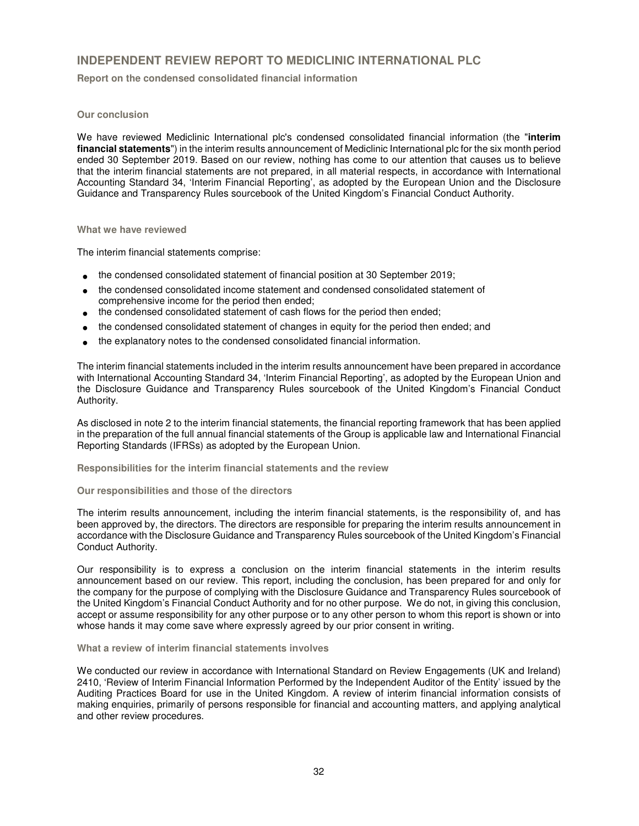# **INDEPENDENT REVIEW REPORT TO MEDICLINIC INTERNATIONAL PLC**

**Report on the condensed consolidated financial information**

## **Our conclusion**

We have reviewed Mediclinic International plc's condensed consolidated financial information (the "**interim financial statements**") in the interim results announcement of Mediclinic International plc for the six month period ended 30 September 2019. Based on our review, nothing has come to our attention that causes us to believe that the interim financial statements are not prepared, in all material respects, in accordance with International Accounting Standard 34, 'Interim Financial Reporting', as adopted by the European Union and the Disclosure Guidance and Transparency Rules sourcebook of the United Kingdom's Financial Conduct Authority.

### **What we have reviewed**

The interim financial statements comprise:

- the condensed consolidated statement of financial position at 30 September 2019;
- the condensed consolidated income statement and condensed consolidated statement of comprehensive income for the period then ended;
- the condensed consolidated statement of cash flows for the period then ended;
- the condensed consolidated statement of changes in equity for the period then ended; and
- the explanatory notes to the condensed consolidated financial information.

The interim financial statements included in the interim results announcement have been prepared in accordance with International Accounting Standard 34, 'Interim Financial Reporting', as adopted by the European Union and the Disclosure Guidance and Transparency Rules sourcebook of the United Kingdom's Financial Conduct Authority.

As disclosed in note 2 to the interim financial statements, the financial reporting framework that has been applied in the preparation of the full annual financial statements of the Group is applicable law and International Financial Reporting Standards (IFRSs) as adopted by the European Union.

**Responsibilities for the interim financial statements and the review** 

## **Our responsibilities and those of the directors**

The interim results announcement, including the interim financial statements, is the responsibility of, and has been approved by, the directors. The directors are responsible for preparing the interim results announcement in accordance with the Disclosure Guidance and Transparency Rules sourcebook of the United Kingdom's Financial Conduct Authority.

Our responsibility is to express a conclusion on the interim financial statements in the interim results announcement based on our review. This report, including the conclusion, has been prepared for and only for the company for the purpose of complying with the Disclosure Guidance and Transparency Rules sourcebook of the United Kingdom's Financial Conduct Authority and for no other purpose. We do not, in giving this conclusion, accept or assume responsibility for any other purpose or to any other person to whom this report is shown or into whose hands it may come save where expressly agreed by our prior consent in writing.

## **What a review of interim financial statements involves**

We conducted our review in accordance with International Standard on Review Engagements (UK and Ireland) 2410, 'Review of Interim Financial Information Performed by the Independent Auditor of the Entity' issued by the Auditing Practices Board for use in the United Kingdom. A review of interim financial information consists of making enquiries, primarily of persons responsible for financial and accounting matters, and applying analytical and other review procedures.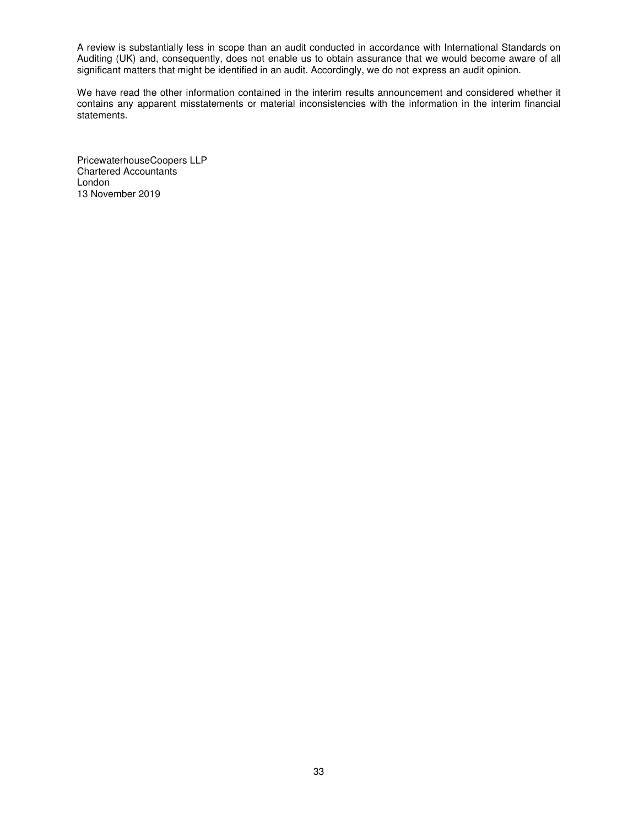A review is substantially less in scope than an audit conducted in accordance with International Standards on Auditing (UK) and, consequently, does not enable us to obtain assurance that we would become aware of all significant matters that might be identified in an audit. Accordingly, we do not express an audit opinion.

We have read the other information contained in the interim results announcement and considered whether it contains any apparent misstatements or material inconsistencies with the information in the interim financial statements.

PricewaterhouseCoopers LLP Chartered Accountants London 13 November 2019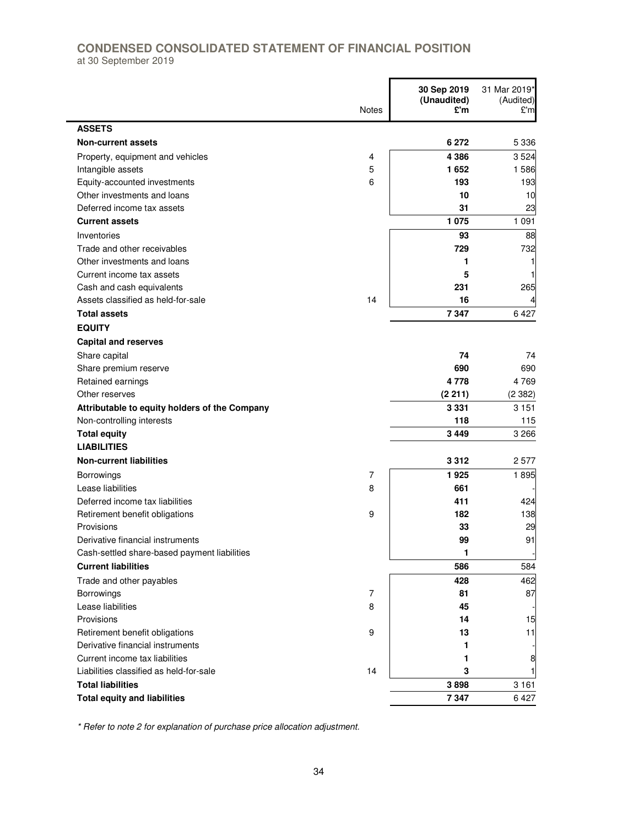# **CONDENSED CONSOLIDATED STATEMENT OF FINANCIAL POSITION**  at 30 September 2019

 $\mathbf{r}$ 

|                                               | <b>Notes</b> | 30 Sep 2019<br>(Unaudited)<br>£'m | 31 Mar 2019*<br>(Audited)<br>£'m |
|-----------------------------------------------|--------------|-----------------------------------|----------------------------------|
| <b>ASSETS</b>                                 |              |                                   |                                  |
| <b>Non-current assets</b>                     |              | 6 2 7 2                           | 5 3 3 6                          |
| Property, equipment and vehicles              | 4            | 4 3 8 6                           | 3524                             |
| Intangible assets                             | 5            | 1652                              | 1586                             |
| Equity-accounted investments                  | 6            | 193                               | 193                              |
| Other investments and loans                   |              | 10                                | 10                               |
| Deferred income tax assets                    |              | 31                                | 23                               |
| <b>Current assets</b>                         |              | 1075                              | 1 0 9 1                          |
| Inventories                                   |              | 93                                | 88                               |
| Trade and other receivables                   |              | 729                               | 732                              |
| Other investments and loans                   |              | 1                                 | 1                                |
| Current income tax assets                     |              | 5                                 | 1                                |
| Cash and cash equivalents                     |              | 231                               | 265                              |
| Assets classified as held-for-sale            | 14           | 16                                |                                  |
| <b>Total assets</b>                           |              | 7347                              | 6427                             |
| <b>EQUITY</b>                                 |              |                                   |                                  |
| <b>Capital and reserves</b>                   |              |                                   |                                  |
| Share capital                                 |              | 74                                | 74                               |
| Share premium reserve                         |              | 690                               | 690                              |
| Retained earnings                             |              | 4778                              | 4769                             |
| Other reserves                                |              | (2 211)                           | (2382)                           |
| Attributable to equity holders of the Company |              | 3 3 3 1                           | 3 1 5 1                          |
| Non-controlling interests                     |              | 118                               | 115                              |
| <b>Total equity</b>                           |              | 3449                              | 3 2 6 6                          |
| <b>LIABILITIES</b>                            |              |                                   |                                  |
| <b>Non-current liabilities</b>                |              | 3312                              | 2577                             |
| Borrowings                                    | 7            | 1925                              | 1895                             |
| Lease liabilities                             | 8            | 661                               |                                  |
| Deferred income tax liabilities               |              | 411                               | 424                              |
| Retirement benefit obligations                | 9            | 182                               | 138                              |
| Provisions                                    |              | 33                                | 29                               |
| Derivative financial instruments              |              | 99                                | 91                               |
| Cash-settled share-based payment liabilities  |              | 1                                 |                                  |
| <b>Current liabilities</b>                    |              | 586                               | 584                              |
| Trade and other payables                      |              | 428                               | 462                              |
| Borrowings                                    | 7            | 81                                | 87                               |
| Lease liabilities                             | 8            | 45                                |                                  |
| Provisions                                    |              | 14                                | 15                               |
| Retirement benefit obligations                | 9            | 13                                | 11                               |
| Derivative financial instruments              |              | 1                                 |                                  |
| Current income tax liabilities                |              | 1                                 | 8                                |
| Liabilities classified as held-for-sale       | 14           | 3                                 | 1                                |
| <b>Total liabilities</b>                      |              | 3898                              | 3 1 6 1                          |
| <b>Total equity and liabilities</b>           |              | 7347                              | 6427                             |

\* Refer to note 2 for explanation of purchase price allocation adjustment.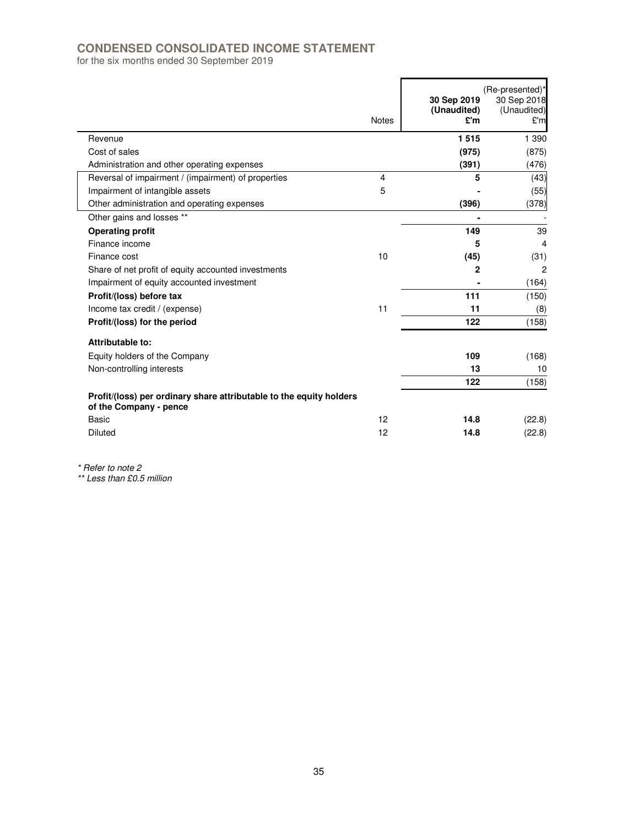# **CONDENSED CONSOLIDATED INCOME STATEMENT**

for the six months ended 30 September 2019

|                                                                                               | <b>Notes</b> | 30 Sep 2019<br>(Unaudited)<br>£'m | (Re-presented)*<br>30 Sep 2018<br>(Unaudited)<br>£'m |
|-----------------------------------------------------------------------------------------------|--------------|-----------------------------------|------------------------------------------------------|
| Revenue                                                                                       |              | 1515                              | 1 3 9 0                                              |
| Cost of sales                                                                                 |              | (975)                             | (875)                                                |
| Administration and other operating expenses                                                   |              | (391)                             | (476)                                                |
| Reversal of impairment / (impairment) of properties                                           | 4            | 5                                 | (43)                                                 |
| Impairment of intangible assets                                                               | 5            |                                   | (55)                                                 |
| Other administration and operating expenses                                                   |              | (396)                             | (378)                                                |
| Other gains and losses **                                                                     |              |                                   |                                                      |
| <b>Operating profit</b>                                                                       |              | 149                               | 39                                                   |
| Finance income                                                                                |              | 5                                 | $\overline{4}$                                       |
| Finance cost                                                                                  | 10           | (45)                              | (31)                                                 |
| Share of net profit of equity accounted investments                                           |              | $\mathbf{2}$                      | $\overline{c}$                                       |
| Impairment of equity accounted investment                                                     |              |                                   | (164)                                                |
| Profit/(loss) before tax                                                                      |              | 111                               | (150)                                                |
| Income tax credit / (expense)                                                                 | 11           | 11                                | (8)                                                  |
| Profit/(loss) for the period                                                                  |              | 122                               | (158)                                                |
| Attributable to:                                                                              |              |                                   |                                                      |
| Equity holders of the Company                                                                 |              | 109                               | (168)                                                |
| Non-controlling interests                                                                     |              | 13                                | 10                                                   |
|                                                                                               |              | 122                               | (158)                                                |
| Profit/(loss) per ordinary share attributable to the equity holders<br>of the Company - pence |              |                                   |                                                      |
| <b>Basic</b>                                                                                  | 12           | 14.8                              | (22.8)                                               |
| Diluted                                                                                       | 12           | 14.8                              | (22.8)                                               |

\* Refer to note 2

\*\* Less than £0.5 million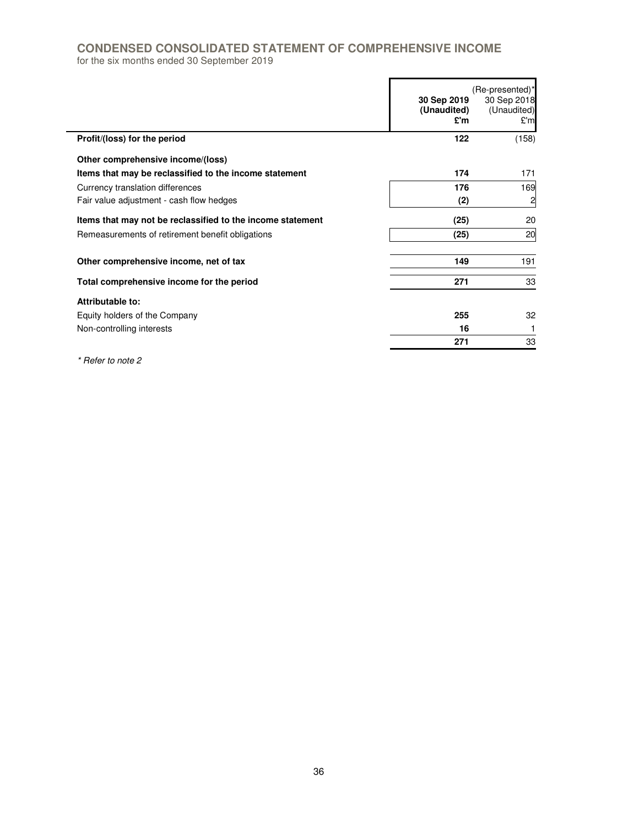# **CONDENSED CONSOLIDATED STATEMENT OF COMPREHENSIVE INCOME**

for the six months ended 30 September 2019

|                                                            | 30 Sep 2019<br>(Unaudited)<br>£'m | (Re-presented)*<br>30 Sep 2018<br>(Unaudited)<br>£'m |
|------------------------------------------------------------|-----------------------------------|------------------------------------------------------|
| Profit/(loss) for the period                               | 122                               | (158)                                                |
| Other comprehensive income/(loss)                          |                                   |                                                      |
| Items that may be reclassified to the income statement     | 174                               | 171                                                  |
| Currency translation differences                           | 176                               | 169                                                  |
| Fair value adjustment - cash flow hedges                   | (2)                               | $\overline{\mathbf{c}}$                              |
| Items that may not be reclassified to the income statement | (25)                              | 20                                                   |
| Remeasurements of retirement benefit obligations           | (25)                              | 20                                                   |
| Other comprehensive income, net of tax                     | 149                               | 191                                                  |
| Total comprehensive income for the period                  | 271                               | 33                                                   |
| Attributable to:                                           |                                   |                                                      |
| Equity holders of the Company                              | 255                               | 32                                                   |
| Non-controlling interests                                  | 16                                |                                                      |
|                                                            | 271                               | 33                                                   |

\* Refer to note 2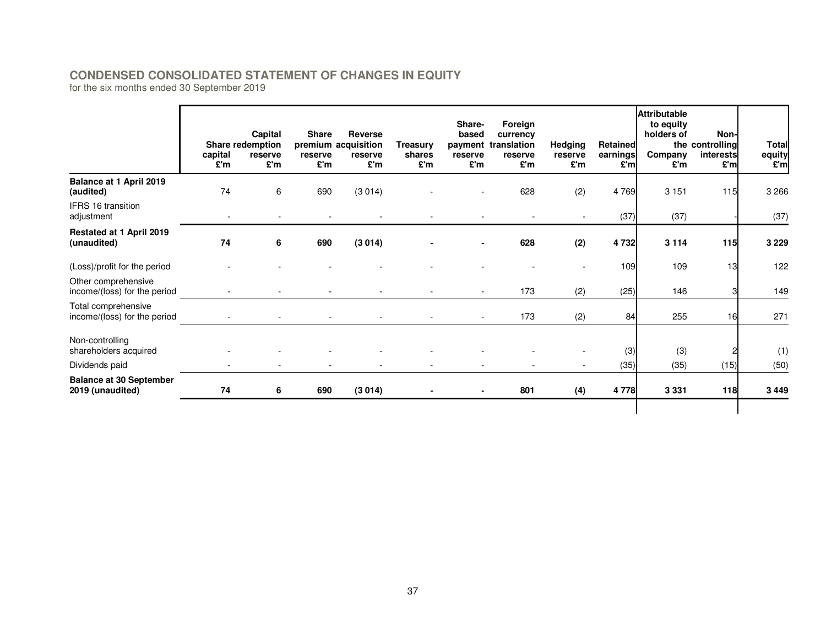# **CONDENSED CONSOLIDATED STATEMENT OF CHANGES IN EQUITY**

for the six months ended 30 September 2019

|                                                     | capital<br>£'m           | Capital<br>Share redemption<br>reserve<br>£'m | <b>Share</b><br>reserve<br>£'m | <b>Reverse</b><br>premium acquisition<br>reserve<br>£'m | Treasurv<br>shares<br>£'m | Share-<br>based<br>reserve<br>£'m | Foreign<br>currency<br>payment translation<br>reserve<br>£'m | Hedging<br>reserve<br>£'m | Retained<br>earnings<br>£'m | <b>Attributable</b><br>to equity<br>holders of<br>Company<br>£'m | Non-<br>the controlling<br>interests<br>£'ml | <b>Total</b><br>equity<br>£'m |
|-----------------------------------------------------|--------------------------|-----------------------------------------------|--------------------------------|---------------------------------------------------------|---------------------------|-----------------------------------|--------------------------------------------------------------|---------------------------|-----------------------------|------------------------------------------------------------------|----------------------------------------------|-------------------------------|
| Balance at 1 April 2019<br>(audited)                | 74                       | 6                                             | 690                            | (3014)                                                  |                           |                                   | 628                                                          | (2)                       | 4769                        | 3 1 5 1                                                          | 115                                          | 3 2 6 6                       |
| <b>IFRS 16 transition</b><br>adjustment             | $\overline{\phantom{a}}$ |                                               |                                |                                                         |                           |                                   |                                                              |                           | (37)                        | (37)                                                             |                                              | (37)                          |
| Restated at 1 April 2019<br>(unaudited)             | 74                       | 6                                             | 690                            | (3014)                                                  |                           |                                   | 628                                                          | (2)                       | 4732                        | 3 1 1 4                                                          | 115                                          | 3 2 2 9                       |
| (Loss)/profit for the period                        |                          |                                               |                                |                                                         |                           |                                   |                                                              |                           | 109                         | 109                                                              | 13                                           | 122                           |
| Other comprehensive<br>income/(loss) for the period |                          |                                               |                                |                                                         |                           |                                   | 173                                                          | (2)                       | (25)                        | 146                                                              |                                              | 149                           |
| Total comprehensive<br>income/(loss) for the period |                          |                                               |                                |                                                         |                           |                                   | 173                                                          | (2)                       | 84                          | 255                                                              | 16                                           | 271                           |
| Non-controlling<br>shareholders acquired            |                          |                                               |                                |                                                         |                           |                                   |                                                              |                           | (3)                         | (3)                                                              |                                              | (1)                           |
| Dividends paid                                      |                          |                                               |                                |                                                         |                           |                                   |                                                              |                           | (35)                        | (35)                                                             | (15)                                         | (50)                          |
| <b>Balance at 30 September</b><br>2019 (unaudited)  | 74                       | 6                                             | 690                            | (3014)                                                  |                           |                                   | 801                                                          | (4)                       | 4778                        | 3 3 3 1                                                          | <b>118</b>                                   | 3 4 4 9                       |
|                                                     |                          |                                               |                                |                                                         |                           |                                   |                                                              |                           |                             |                                                                  |                                              |                               |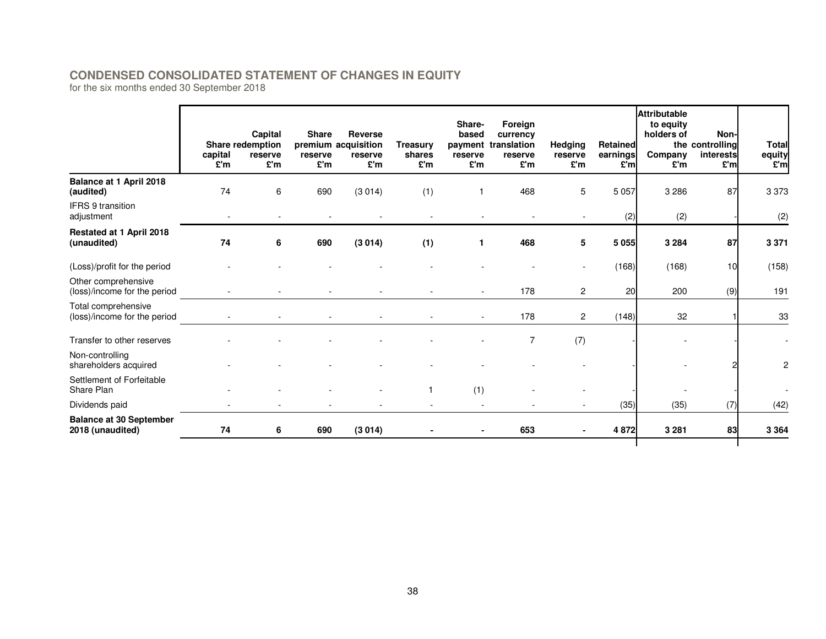# **CONDENSED CONSOLIDATED STATEMENT OF CHANGES IN EQUITY**

for the six months ended 30 September 2018

|                                                     | capital<br>£'m           | Capital<br>Share redemption<br>reserve<br>£'m | <b>Share</b><br>reserve<br>£'m | <b>Reverse</b><br>premium acquisition<br>reserve<br>£'m | <b>Treasury</b><br>shares<br>£'m | Share-<br>based<br>reserve<br>£'m | Foreign<br>currency<br>payment translation<br>reserve<br>£'m | Hedging<br>reserve<br>£'m | Retained<br>earnings<br>£'ml | <b>Attributable</b><br>to equity<br>holders of<br>Company<br>£'m | Non-<br>the controlling<br>interests<br>£'ml | <b>Total</b><br>equity<br>£'m |
|-----------------------------------------------------|--------------------------|-----------------------------------------------|--------------------------------|---------------------------------------------------------|----------------------------------|-----------------------------------|--------------------------------------------------------------|---------------------------|------------------------------|------------------------------------------------------------------|----------------------------------------------|-------------------------------|
| Balance at 1 April 2018<br>(audited)                | 74                       | 6                                             | 690                            | (3014)                                                  | (1)                              |                                   | 468                                                          | 5                         | 5 0 5 7                      | 3 2 8 6                                                          | 87                                           | 3373                          |
| <b>IFRS 9 transition</b><br>adjustment              | $\overline{\phantom{a}}$ |                                               |                                |                                                         |                                  |                                   |                                                              | ۰                         | (2)                          | (2)                                                              |                                              | (2)                           |
| Restated at 1 April 2018<br>(unaudited)             | 74                       | 6                                             | 690                            | (3014)                                                  | (1)                              | 1                                 | 468                                                          | 5                         | 5055                         | 3 2 8 4                                                          | 87                                           | 3 3 7 1                       |
| (Loss)/profit for the period                        |                          |                                               |                                |                                                         |                                  |                                   |                                                              |                           | (168)                        | (168)                                                            | 10                                           | (158)                         |
| Other comprehensive<br>(loss)/income for the period |                          |                                               |                                |                                                         |                                  |                                   | 178                                                          | $\overline{2}$            | 20                           | 200                                                              | (9)                                          | 191                           |
| Total comprehensive<br>(loss)/income for the period |                          |                                               |                                |                                                         |                                  |                                   | 178                                                          | $\overline{2}$            | (148)                        | 32                                                               |                                              | 33                            |
| Transfer to other reserves                          |                          |                                               |                                |                                                         |                                  |                                   | 7                                                            | (7)                       |                              |                                                                  |                                              | $\blacksquare$                |
| Non-controlling<br>shareholders acquired            |                          |                                               |                                |                                                         |                                  |                                   |                                                              |                           |                              |                                                                  |                                              | 2                             |
| Settlement of Forfeitable<br>Share Plan             |                          |                                               |                                |                                                         |                                  | (1)                               |                                                              |                           |                              |                                                                  |                                              |                               |
| Dividends paid                                      |                          |                                               |                                |                                                         | $\blacksquare$                   |                                   |                                                              |                           | (35)                         | (35)                                                             | (7)                                          | (42)                          |
| <b>Balance at 30 September</b><br>2018 (unaudited)  | 74                       | 6                                             | 690                            | (3014)                                                  |                                  |                                   | 653                                                          |                           | 4872                         | 3 2 8 1                                                          | 83                                           | 3 3 6 4                       |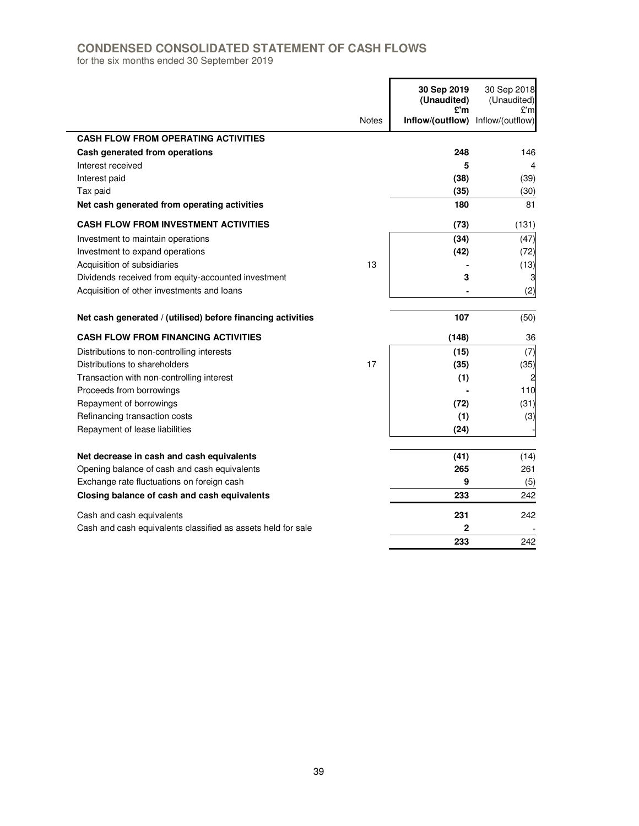# **CONDENSED CONSOLIDATED STATEMENT OF CASH FLOWS**

for the six months ended 30 September 2019

|                                                              |              | 30 Sep 2019<br>(Unaudited)<br>£'m | 30 Sep 2018<br>(Unaudited)<br>£'m |
|--------------------------------------------------------------|--------------|-----------------------------------|-----------------------------------|
|                                                              | <b>Notes</b> | Inflow/(outflow)                  | Inflow/(outflow)                  |
| <b>CASH FLOW FROM OPERATING ACTIVITIES</b>                   |              |                                   |                                   |
| Cash generated from operations                               |              | 248                               | 146                               |
| Interest received                                            |              | 5                                 | 4                                 |
| Interest paid                                                |              | (38)                              | (39)                              |
| Tax paid                                                     |              | (35)                              | (30)                              |
| Net cash generated from operating activities                 |              | 180                               | 81                                |
| <b>CASH FLOW FROM INVESTMENT ACTIVITIES</b>                  |              | (73)                              | (131)                             |
| Investment to maintain operations                            |              | (34)                              | (47)                              |
| Investment to expand operations                              |              | (42)                              | (72)                              |
| Acquisition of subsidiaries                                  | 13           |                                   | (13)                              |
| Dividends received from equity-accounted investment          |              | 3                                 | 3                                 |
| Acquisition of other investments and loans                   |              |                                   | (2)                               |
| Net cash generated / (utilised) before financing activities  |              | 107                               | (50)                              |
| <b>CASH FLOW FROM FINANCING ACTIVITIES</b>                   |              | (148)                             | 36                                |
| Distributions to non-controlling interests                   |              | (15)                              | (7)                               |
| Distributions to shareholders                                | 17           | (35)                              | (35)                              |
| Transaction with non-controlling interest                    |              | (1)                               |                                   |
| Proceeds from borrowings                                     |              |                                   | 110                               |
| Repayment of borrowings                                      |              | (72)                              | (31)                              |
| Refinancing transaction costs                                |              | (1)                               | (3)                               |
| Repayment of lease liabilities                               |              | (24)                              |                                   |
| Net decrease in cash and cash equivalents                    |              | (41)                              | (14)                              |
| Opening balance of cash and cash equivalents                 |              | 265                               | 261                               |
| Exchange rate fluctuations on foreign cash                   |              | 9                                 | (5)                               |
| Closing balance of cash and cash equivalents                 |              | 233                               | 242                               |
| Cash and cash equivalents                                    |              | 231                               | 242                               |
| Cash and cash equivalents classified as assets held for sale |              | $\mathbf 2$                       |                                   |
|                                                              |              | 233                               | 242                               |

 $\blacksquare$ 

í.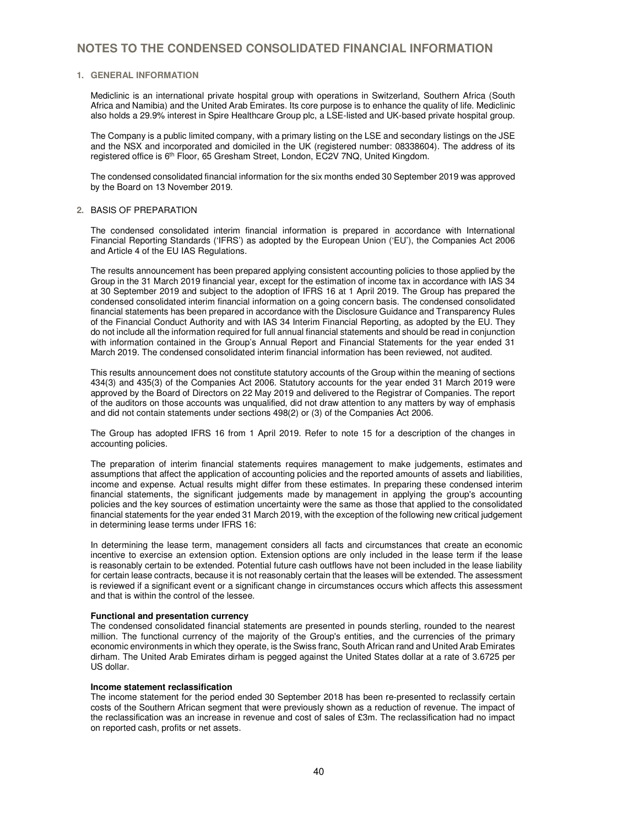### **1. GENERAL INFORMATION**

Mediclinic is an international private hospital group with operations in Switzerland, Southern Africa (South Africa and Namibia) and the United Arab Emirates. Its core purpose is to enhance the quality of life. Mediclinic also holds a 29.9% interest in Spire Healthcare Group plc, a LSE-listed and UK-based private hospital group.

The Company is a public limited company, with a primary listing on the LSE and secondary listings on the JSE and the NSX and incorporated and domiciled in the UK (registered number: 08338604). The address of its registered office is 6th Floor, 65 Gresham Street, London, EC2V 7NQ, United Kingdom.

The condensed consolidated financial information for the six months ended 30 September 2019 was approved by the Board on 13 November 2019.

#### **2.** BASIS OF PREPARATION

The condensed consolidated interim financial information is prepared in accordance with International Financial Reporting Standards ('IFRS') as adopted by the European Union ('EU'), the Companies Act 2006 and Article 4 of the EU IAS Regulations.

The results announcement has been prepared applying consistent accounting policies to those applied by the Group in the 31 March 2019 financial year, except for the estimation of income tax in accordance with IAS 34 at 30 September 2019 and subject to the adoption of IFRS 16 at 1 April 2019. The Group has prepared the condensed consolidated interim financial information on a going concern basis. The condensed consolidated financial statements has been prepared in accordance with the Disclosure Guidance and Transparency Rules of the Financial Conduct Authority and with IAS 34 Interim Financial Reporting, as adopted by the EU. They do not include all the information required for full annual financial statements and should be read in conjunction with information contained in the Group's Annual Report and Financial Statements for the year ended 31 March 2019. The condensed consolidated interim financial information has been reviewed, not audited.

This results announcement does not constitute statutory accounts of the Group within the meaning of sections 434(3) and 435(3) of the Companies Act 2006. Statutory accounts for the year ended 31 March 2019 were approved by the Board of Directors on 22 May 2019 and delivered to the Registrar of Companies. The report of the auditors on those accounts was unqualified, did not draw attention to any matters by way of emphasis and did not contain statements under sections 498(2) or (3) of the Companies Act 2006.

The Group has adopted IFRS 16 from 1 April 2019. Refer to note 15 for a description of the changes in accounting policies.

The preparation of interim financial statements requires management to make judgements, estimates and assumptions that affect the application of accounting policies and the reported amounts of assets and liabilities, income and expense. Actual results might differ from these estimates. In preparing these condensed interim financial statements, the significant judgements made by management in applying the group's accounting policies and the key sources of estimation uncertainty were the same as those that applied to the consolidated financial statements for the year ended 31 March 2019, with the exception of the following new critical judgement in determining lease terms under IFRS 16:

In determining the lease term, management considers all facts and circumstances that create an economic incentive to exercise an extension option. Extension options are only included in the lease term if the lease is reasonably certain to be extended. Potential future cash outflows have not been included in the lease liability for certain lease contracts, because it is not reasonably certain that the leases will be extended. The assessment is reviewed if a significant event or a significant change in circumstances occurs which affects this assessment and that is within the control of the lessee.

#### **Functional and presentation currency**

The condensed consolidated financial statements are presented in pounds sterling, rounded to the nearest million. The functional currency of the majority of the Group's entities, and the currencies of the primary economic environments in which they operate, is the Swiss franc, South African rand and United Arab Emirates dirham. The United Arab Emirates dirham is pegged against the United States dollar at a rate of 3.6725 per US dollar.

#### **Income statement reclassification**

The income statement for the period ended 30 September 2018 has been re-presented to reclassify certain costs of the Southern African segment that were previously shown as a reduction of revenue. The impact of the reclassification was an increase in revenue and cost of sales of £3m. The reclassification had no impact on reported cash, profits or net assets.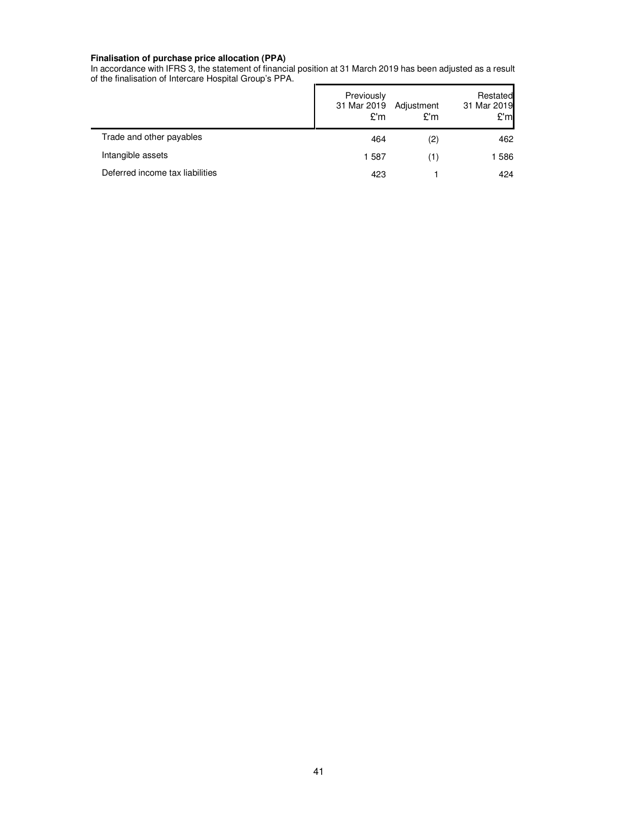#### **Finalisation of purchase price allocation (PPA)**

In accordance with IFRS 3, the statement of financial position at 31 March 2019 has been adjusted as a result of the finalisation of Intercare Hospital Group's PPA.

|                                 | Previously<br>31 Mar 2019<br>£'m | Adjustment<br>£'m | Restated<br>31 Mar 2019<br>£'ml |
|---------------------------------|----------------------------------|-------------------|---------------------------------|
| Trade and other payables        | 464                              | (2)               | 462                             |
| Intangible assets               | 1587                             | (1)               | 1586                            |
| Deferred income tax liabilities | 423                              |                   | 424                             |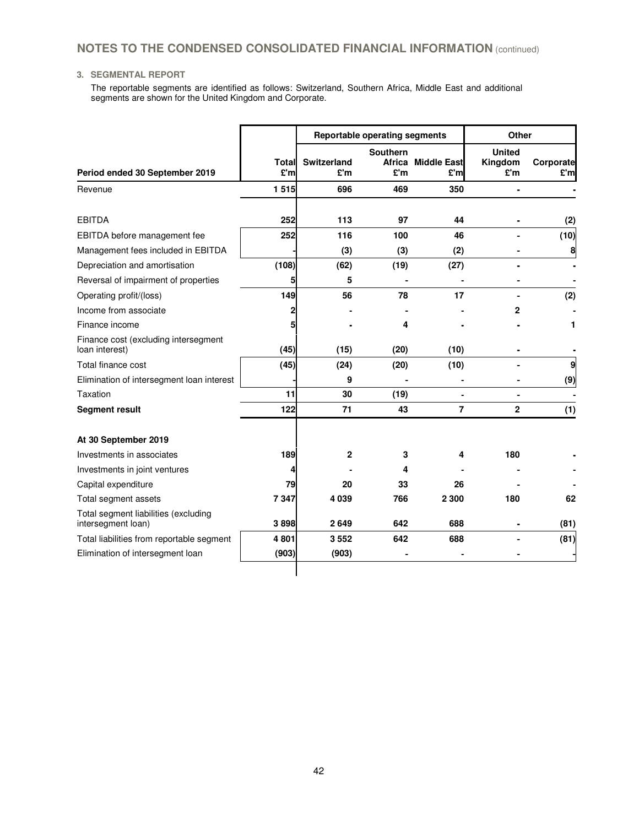## **3. SEGMENTAL REPORT**

The reportable segments are identified as follows: Switzerland, Southern Africa, Middle East and additional segments are shown for the United Kingdom and Corporate.

|                                                            |              |                           | <b>Reportable operating segments</b> | <b>Other</b>              |                                 |                  |
|------------------------------------------------------------|--------------|---------------------------|--------------------------------------|---------------------------|---------------------------------|------------------|
| Period ended 30 September 2019                             | Total<br>£'m | <b>Switzerland</b><br>£'m | <b>Southern</b><br>£'m               | Africa Middle East<br>£'m | <b>United</b><br>Kingdom<br>£'m | Corporate<br>£'m |
| Revenue                                                    | 1515         | 696                       | 469                                  | 350                       | $\overline{a}$                  |                  |
| <b>EBITDA</b>                                              | 252          | 113                       | 97                                   | 44                        |                                 | (2)              |
| EBITDA before management fee                               | 252          | 116                       | 100                                  | 46                        |                                 | (10)             |
| Management fees included in EBITDA                         |              | (3)                       | (3)                                  | (2)                       |                                 | 8                |
| Depreciation and amortisation                              | (108)        | (62)                      | (19)                                 | (27)                      |                                 |                  |
| Reversal of impairment of properties                       | 5            | 5                         |                                      |                           |                                 |                  |
| Operating profit/(loss)                                    | 149          | 56                        | 78                                   | 17                        |                                 | (2)              |
| Income from associate                                      | 2            |                           |                                      |                           | 2                               |                  |
| Finance income                                             |              |                           | 4                                    |                           |                                 | 1                |
| Finance cost (excluding intersegment<br>loan interest)     | (45)         | (15)                      | (20)                                 | (10)                      |                                 |                  |
| Total finance cost                                         | (45)         | (24)                      | (20)                                 | (10)                      |                                 | 9                |
| Elimination of intersegment loan interest                  |              | 9                         |                                      |                           |                                 | (9)              |
| Taxation                                                   | 11           | 30                        | (19)                                 |                           |                                 |                  |
| <b>Segment result</b>                                      | 122          | 71                        | 43                                   | 7                         | $\overline{2}$                  | (1)              |
| At 30 September 2019                                       |              |                           |                                      |                           |                                 |                  |
| Investments in associates                                  | 189          | $\overline{2}$            | 3                                    | 4                         | 180                             |                  |
| Investments in joint ventures                              |              |                           | 4                                    |                           |                                 |                  |
| Capital expenditure                                        | 79           | 20                        | 33                                   | 26                        |                                 |                  |
| Total segment assets                                       | 7347         | 4 0 3 9                   | 766                                  | 2 3 0 0                   | 180                             | 62               |
| Total segment liabilities (excluding<br>intersegment loan) | 3898         | 2649                      | 642                                  | 688                       |                                 | (81)             |
| Total liabilities from reportable segment                  | 4 801        | 3552                      | 642                                  | 688                       |                                 | (81)             |
| Elimination of intersegment loan                           | (903)        | (903)                     |                                      |                           |                                 |                  |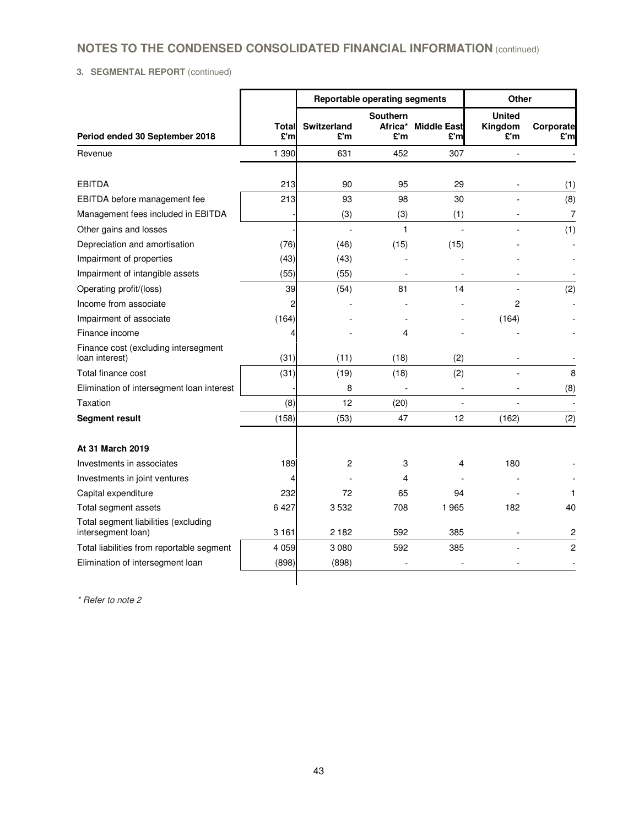# **3. SEGMENTAL REPORT** (continued)

|                                                            |              | <b>Reportable operating segments</b> |                                   |                           | Other                           |                  |
|------------------------------------------------------------|--------------|--------------------------------------|-----------------------------------|---------------------------|---------------------------------|------------------|
| Period ended 30 September 2018                             | Total<br>£'m | Switzerland<br>£'m                   | <b>Southern</b><br>Africa*<br>£'m | <b>Middle East</b><br>£'m | <b>United</b><br>Kingdom<br>£'m | Corporate<br>£'m |
| Revenue                                                    | 1 390        | 631                                  | 452                               | 307                       |                                 |                  |
|                                                            |              |                                      |                                   |                           |                                 |                  |
| <b>EBITDA</b>                                              | 213          | 90                                   | 95                                | 29                        | $\blacksquare$                  | (1)              |
| EBITDA before management fee                               | 213          | 93                                   | 98                                | 30                        |                                 | (8)              |
| Management fees included in EBITDA                         |              | (3)                                  | (3)                               | (1)                       |                                 | 7                |
| Other gains and losses                                     |              |                                      | 1                                 |                           |                                 | (1)              |
| Depreciation and amortisation                              | (76)         | (46)                                 | (15)                              | (15)                      |                                 |                  |
| Impairment of properties                                   | (43)         | (43)                                 |                                   |                           |                                 |                  |
| Impairment of intangible assets                            | (55)         | (55)                                 | ۰                                 |                           |                                 |                  |
| Operating profit/(loss)                                    | 39           | (54)                                 | 81                                | 14                        |                                 | (2)              |
| Income from associate                                      | 2            |                                      |                                   |                           | 2                               |                  |
| Impairment of associate                                    | (164)        |                                      |                                   |                           | (164)                           |                  |
| Finance income                                             |              |                                      | 4                                 |                           |                                 |                  |
| Finance cost (excluding intersegment<br>loan interest)     | (31)         | (11)                                 | (18)                              | (2)                       |                                 |                  |
| Total finance cost                                         | (31)         | (19)                                 | (18)                              | (2)                       |                                 | 8                |
| Elimination of intersegment loan interest                  |              | 8                                    |                                   |                           |                                 | (8)              |
| Taxation                                                   | (8)          | 12                                   | (20)                              | $\overline{\phantom{a}}$  |                                 |                  |
| <b>Segment result</b>                                      | (158)        | (53)                                 | 47                                | 12                        | (162)                           | (2)              |
| At 31 March 2019                                           |              |                                      |                                   |                           |                                 |                  |
| Investments in associates                                  | 189          | 2                                    | 3                                 | 4                         | 180                             |                  |
| Investments in joint ventures                              | 4            |                                      | 4                                 |                           |                                 |                  |
| Capital expenditure                                        | 232          | 72                                   | 65                                | 94                        |                                 | 1                |
| Total segment assets                                       | 6427         | 3532                                 | 708                               | 1965                      | 182                             | 40               |
| Total segment liabilities (excluding<br>intersegment loan) | 3 1 6 1      | 2 1 8 2                              | 592                               | 385                       |                                 | $\overline{c}$   |
| Total liabilities from reportable segment                  | 4 0 5 9      | 3 0 8 0                              | 592                               | 385                       |                                 | $\overline{c}$   |
| Elimination of intersegment loan                           | (898)        | (898)                                |                                   |                           |                                 |                  |
|                                                            |              |                                      |                                   |                           |                                 |                  |

\* Refer to note 2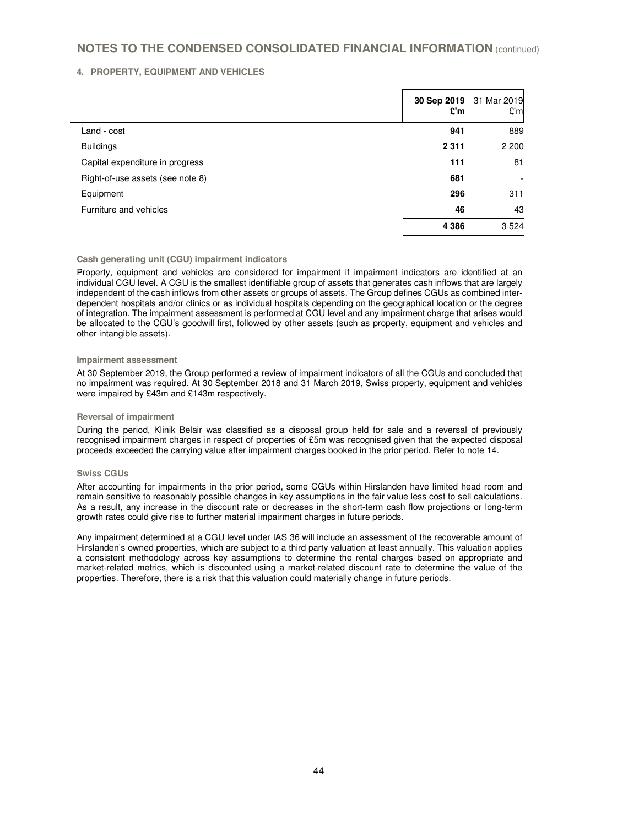### **4. PROPERTY, EQUIPMENT AND VEHICLES**

|                                  | £'m     | 30 Sep 2019 31 Mar 2019<br>E'm |
|----------------------------------|---------|--------------------------------|
| Land - cost                      | 941     | 889                            |
| <b>Buildings</b>                 | 2 3 1 1 | 2 2 0 0                        |
| Capital expenditure in progress  | 111     | 81                             |
| Right-of-use assets (see note 8) | 681     |                                |
| Equipment                        | 296     | 311                            |
| Furniture and vehicles           | 46      | 43                             |
|                                  | 4 3 8 6 | 3524                           |

### **Cash generating unit (CGU) impairment indicators**

Property, equipment and vehicles are considered for impairment if impairment indicators are identified at an individual CGU level. A CGU is the smallest identifiable group of assets that generates cash inflows that are largely independent of the cash inflows from other assets or groups of assets. The Group defines CGUs as combined interdependent hospitals and/or clinics or as individual hospitals depending on the geographical location or the degree of integration. The impairment assessment is performed at CGU level and any impairment charge that arises would be allocated to the CGU's goodwill first, followed by other assets (such as property, equipment and vehicles and other intangible assets).

#### **Impairment assessment**

At 30 September 2019, the Group performed a review of impairment indicators of all the CGUs and concluded that no impairment was required. At 30 September 2018 and 31 March 2019, Swiss property, equipment and vehicles were impaired by £43m and £143m respectively.

#### **Reversal of impairment**

During the period, Klinik Belair was classified as a disposal group held for sale and a reversal of previously recognised impairment charges in respect of properties of £5m was recognised given that the expected disposal proceeds exceeded the carrying value after impairment charges booked in the prior period. Refer to note 14.

#### **Swiss CGUs**

After accounting for impairments in the prior period, some CGUs within Hirslanden have limited head room and remain sensitive to reasonably possible changes in key assumptions in the fair value less cost to sell calculations. As a result, any increase in the discount rate or decreases in the short-term cash flow projections or long-term growth rates could give rise to further material impairment charges in future periods.

Any impairment determined at a CGU level under IAS 36 will include an assessment of the recoverable amount of Hirslanden's owned properties, which are subject to a third party valuation at least annually. This valuation applies a consistent methodology across key assumptions to determine the rental charges based on appropriate and market-related metrics, which is discounted using a market-related discount rate to determine the value of the properties. Therefore, there is a risk that this valuation could materially change in future periods.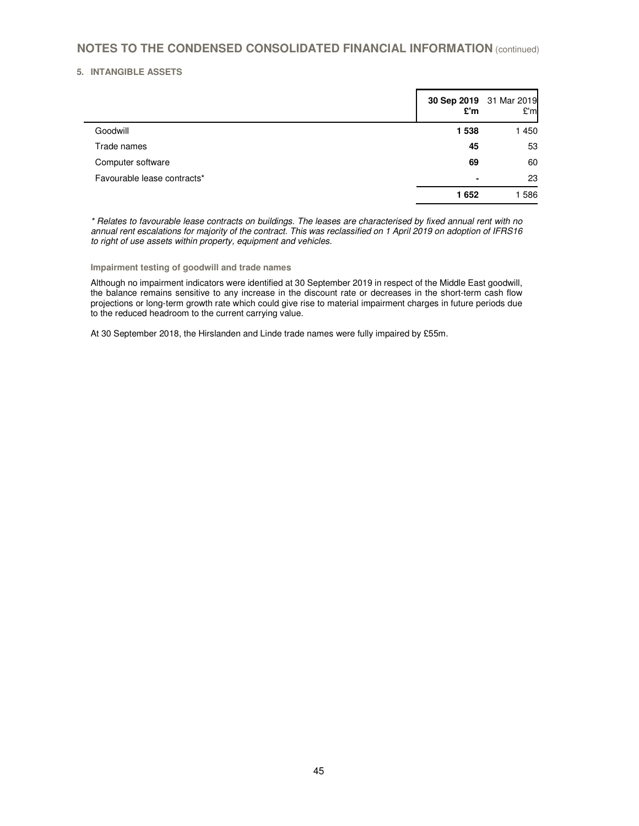## **5. INTANGIBLE ASSETS**

 $\blacksquare$ 

|                             | 30 Sep 2019 31 Mar 2019<br>£'m | E'm  |
|-----------------------------|--------------------------------|------|
| Goodwill                    | 1538                           | 1450 |
| Trade names                 | 45                             | 53   |
| Computer software           | 69                             | 60   |
| Favourable lease contracts* | $\blacksquare$                 | 23   |
|                             | 1652                           | 1586 |

\* Relates to favourable lease contracts on buildings. The leases are characterised by fixed annual rent with no annual rent escalations for majority of the contract. This was reclassified on 1 April 2019 on adoption of IFRS16 to right of use assets within property, equipment and vehicles.

**Impairment testing of goodwill and trade names** 

Although no impairment indicators were identified at 30 September 2019 in respect of the Middle East goodwill, the balance remains sensitive to any increase in the discount rate or decreases in the short-term cash flow projections or long-term growth rate which could give rise to material impairment charges in future periods due to the reduced headroom to the current carrying value.

At 30 September 2018, the Hirslanden and Linde trade names were fully impaired by £55m.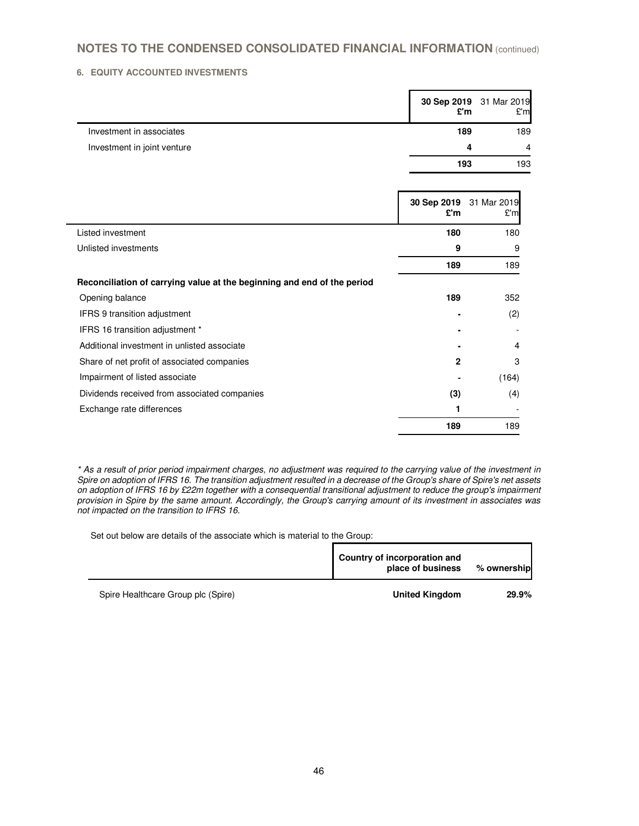## **6. EQUITY ACCOUNTED INVESTMENTS**

|                             | £'m | 30 Sep 2019 31 Mar 2019<br>E'm |
|-----------------------------|-----|--------------------------------|
| Investment in associates    | 189 | 189                            |
| Investment in joint venture | Δ   | $\overline{4}$                 |
|                             | 193 | 193                            |

|                                                                         | 30 Sep 2019<br>£'m | 31 Mar 2019<br>£'m |
|-------------------------------------------------------------------------|--------------------|--------------------|
| Listed investment                                                       | 180                | 180                |
| Unlisted investments                                                    | 9                  | 9                  |
|                                                                         | 189                | 189                |
| Reconciliation of carrying value at the beginning and end of the period |                    |                    |
| Opening balance                                                         | 189                | 352                |
| <b>IFRS 9 transition adjustment</b>                                     |                    | (2)                |
| IFRS 16 transition adjustment *                                         |                    |                    |
| Additional investment in unlisted associate                             |                    | 4                  |
| Share of net profit of associated companies                             | 2                  | 3                  |
| Impairment of listed associate                                          |                    | (164)              |
| Dividends received from associated companies                            | (3)                | (4)                |
| Exchange rate differences                                               |                    |                    |
|                                                                         | 189                | 189                |

\* As a result of prior period impairment charges, no adjustment was required to the carrying value of the investment in Spire on adoption of IFRS 16. The transition adjustment resulted in a decrease of the Group's share of Spire's net assets on adoption of IFRS 16 by £22m together with a consequential transitional adjustment to reduce the group's impairment provision in Spire by the same amount. Accordingly, the Group's carrying amount of its investment in associates was not impacted on the transition to IFRS 16.

Set out below are details of the associate which is material to the Group:

|                                    | Country of incorporation and<br>place of business | % ownership |
|------------------------------------|---------------------------------------------------|-------------|
| Spire Healthcare Group plc (Spire) | <b>United Kingdom</b>                             | 29.9%       |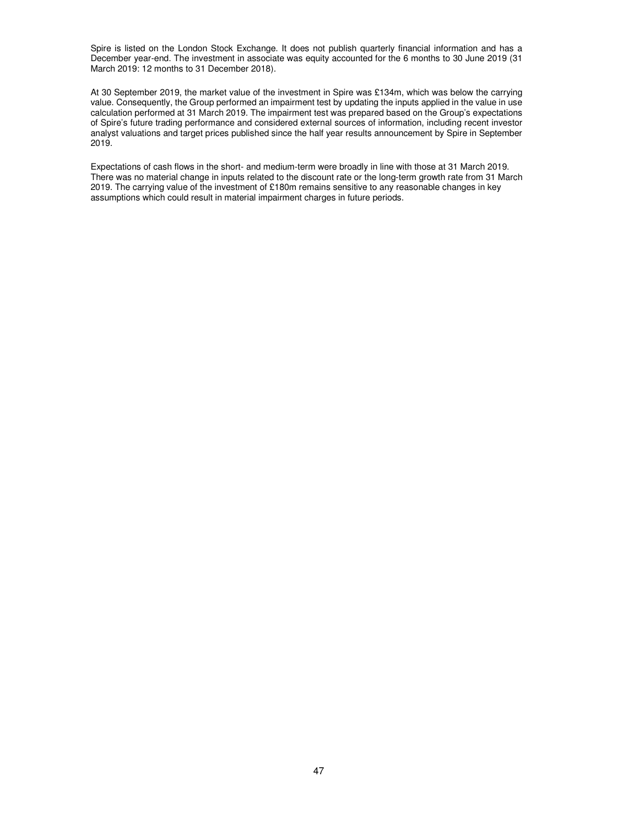Spire is listed on the London Stock Exchange. It does not publish quarterly financial information and has a December year-end. The investment in associate was equity accounted for the 6 months to 30 June 2019 (31 March 2019: 12 months to 31 December 2018).

At 30 September 2019, the market value of the investment in Spire was £134m, which was below the carrying value. Consequently, the Group performed an impairment test by updating the inputs applied in the value in use calculation performed at 31 March 2019. The impairment test was prepared based on the Group's expectations of Spire's future trading performance and considered external sources of information, including recent investor analyst valuations and target prices published since the half year results announcement by Spire in September 2019.

Expectations of cash flows in the short- and medium-term were broadly in line with those at 31 March 2019. There was no material change in inputs related to the discount rate or the long-term growth rate from 31 March 2019. The carrying value of the investment of £180m remains sensitive to any reasonable changes in key assumptions which could result in material impairment charges in future periods.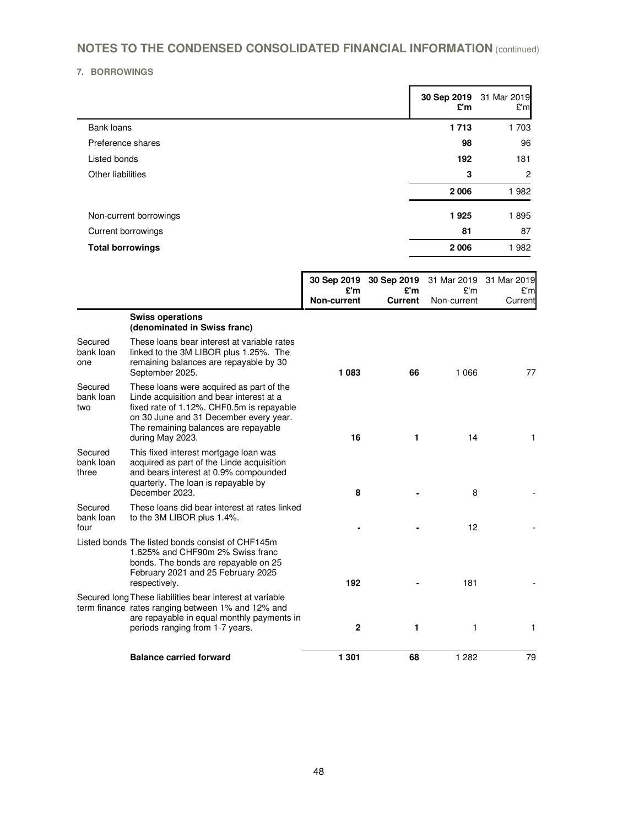## **7. BORROWINGS**

|                         | £'m  | 30 Sep 2019 31 Mar 2019<br>£'m |
|-------------------------|------|--------------------------------|
| Bank loans              | 1713 | 1 703                          |
| Preference shares       | 98   | 96                             |
| Listed bonds            | 192  | 181                            |
| Other liabilities       | 3    | $\overline{2}$                 |
|                         | 2006 | 1982                           |
| Non-current borrowings  | 1925 | 1895                           |
| Current borrowings      | 81   | 87                             |
| <b>Total borrowings</b> | 2006 | 1982                           |
|                         |      |                                |

|                               |                                                                                                                                                                                                                                         |                    | 30 Sep 2019 30 Sep 2019 |                    | 31 Mar 2019 31 Mar 2019 |
|-------------------------------|-----------------------------------------------------------------------------------------------------------------------------------------------------------------------------------------------------------------------------------------|--------------------|-------------------------|--------------------|-------------------------|
|                               |                                                                                                                                                                                                                                         | £'m<br>Non-current | £'m<br><b>Current</b>   | E'm<br>Non-current | E'm<br>Current          |
|                               | <b>Swiss operations</b><br>(denominated in Swiss franc)                                                                                                                                                                                 |                    |                         |                    |                         |
| Secured<br>bank loan<br>one   | These loans bear interest at variable rates<br>linked to the 3M LIBOR plus 1.25%. The<br>remaining balances are repayable by 30<br>September 2025.                                                                                      | 1 0 8 3            | 66                      | 1 0 6 6            | 77                      |
| Secured<br>bank loan<br>two   | These loans were acquired as part of the<br>Linde acquisition and bear interest at a<br>fixed rate of 1.12%. CHF0.5m is repayable<br>on 30 June and 31 December every year.<br>The remaining balances are repayable<br>during May 2023. | 16                 | 1                       | 14                 | 1.                      |
| Secured<br>bank loan<br>three | This fixed interest mortgage loan was<br>acquired as part of the Linde acquisition<br>and bears interest at 0.9% compounded<br>quarterly. The loan is repayable by<br>December 2023.                                                    | 8                  |                         | 8                  |                         |
| Secured<br>bank loan<br>four  | These loans did bear interest at rates linked<br>to the 3M LIBOR plus 1.4%.                                                                                                                                                             |                    |                         | 12                 |                         |
|                               | Listed bonds The listed bonds consist of CHF145m<br>1.625% and CHF90m 2% Swiss franc<br>bonds. The bonds are repayable on 25<br>February 2021 and 25 February 2025<br>respectively.                                                     | 192                |                         | 181                |                         |
|                               | Secured long These liabilities bear interest at variable<br>term finance rates ranging between 1% and 12% and<br>are repayable in equal monthly payments in<br>periods ranging from 1-7 years.                                          | $\mathbf{2}$       | 1                       | 1                  | 1                       |
|                               | <b>Balance carried forward</b>                                                                                                                                                                                                          | 1 301              | 68                      | 1 2 8 2            | 79                      |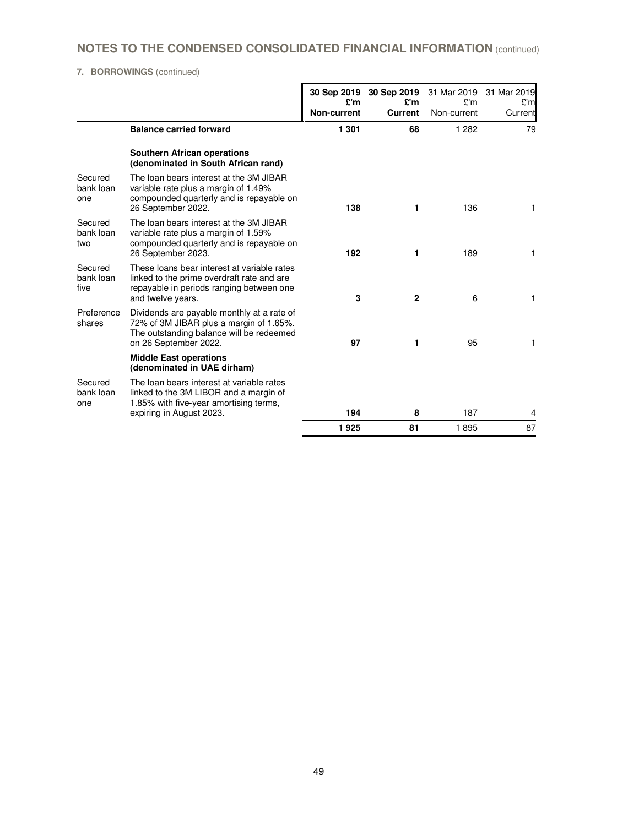# **7. BORROWINGS** (continued)

|                              |                                                                                                                                                            | 30 Sep 2019<br>£'m<br>Non-current | 30 Sep 2019<br>£'m<br><b>Current</b> | 31 Mar 2019<br>£'m<br>Non-current | 31 Mar 2019<br>E'm<br>Current |
|------------------------------|------------------------------------------------------------------------------------------------------------------------------------------------------------|-----------------------------------|--------------------------------------|-----------------------------------|-------------------------------|
|                              | <b>Balance carried forward</b>                                                                                                                             | 1 301                             | 68                                   | 1 2 8 2                           | 79                            |
|                              | <b>Southern African operations</b><br>(denominated in South African rand)                                                                                  |                                   |                                      |                                   |                               |
| Secured<br>bank loan<br>one  | The loan bears interest at the 3M JIBAR<br>variable rate plus a margin of 1.49%<br>compounded quarterly and is repayable on<br>26 September 2022.          | 138                               | 1                                    | 136                               | 1                             |
| Secured<br>bank loan<br>two  | The loan bears interest at the 3M JIBAR<br>variable rate plus a margin of 1.59%<br>compounded quarterly and is repayable on<br>26 September 2023.          | 192                               | 1                                    | 189                               | 1                             |
| Secured<br>bank loan<br>five | These loans bear interest at variable rates<br>linked to the prime overdraft rate and are<br>repayable in periods ranging between one<br>and twelve years. | 3                                 | $\mathbf{2}$                         | 6                                 | 1                             |
| Preference<br>shares         | Dividends are payable monthly at a rate of<br>72% of 3M JIBAR plus a margin of 1.65%.<br>The outstanding balance will be redeemed<br>on 26 September 2022. | 97                                | 1                                    | 95                                | 1                             |
|                              | <b>Middle East operations</b><br>(denominated in UAE dirham)                                                                                               |                                   |                                      |                                   |                               |
| Secured<br>bank loan<br>one  | The loan bears interest at variable rates<br>linked to the 3M LIBOR and a margin of<br>1.85% with five-year amortising terms,                              |                                   |                                      |                                   |                               |
|                              | expiring in August 2023.                                                                                                                                   | 194                               | 8                                    | 187                               | 4                             |
|                              |                                                                                                                                                            | 1925                              | 81                                   | 1895                              | 87                            |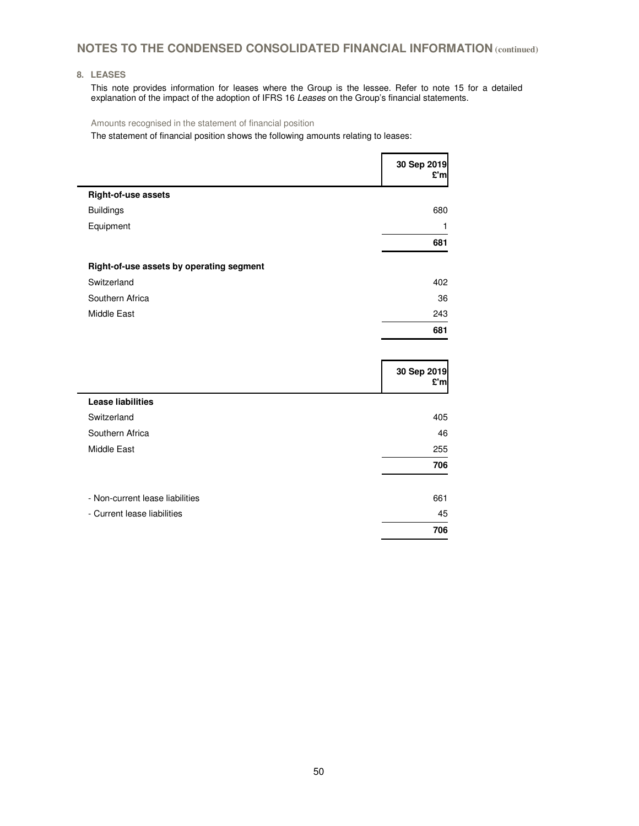## **8. LEASES**

This note provides information for leases where the Group is the lessee. Refer to note 15 for a detailed explanation of the impact of the adoption of IFRS 16 Leases on the Group's financial statements.

Amounts recognised in the statement of financial position

The statement of financial position shows the following amounts relating to leases:

|                                          | 30 Sep 2019<br>£'ml |
|------------------------------------------|---------------------|
| Right-of-use assets                      |                     |
| <b>Buildings</b>                         | 680                 |
| Equipment                                | 1                   |
|                                          | 681                 |
| Right-of-use assets by operating segment |                     |
| Switzerland                              | 402                 |
| Southern Africa                          | 36                  |
| Middle East                              | 243                 |
|                                          | 681                 |

|                                 | 30 Sep 2019<br>£'m |
|---------------------------------|--------------------|
| <b>Lease liabilities</b>        |                    |
| Switzerland                     | 405                |
| Southern Africa                 | 46                 |
| <b>Middle East</b>              | 255                |
|                                 | 706                |
| - Non-current lease liabilities | 661                |
| - Current lease liabilities     | 45                 |
|                                 | 706                |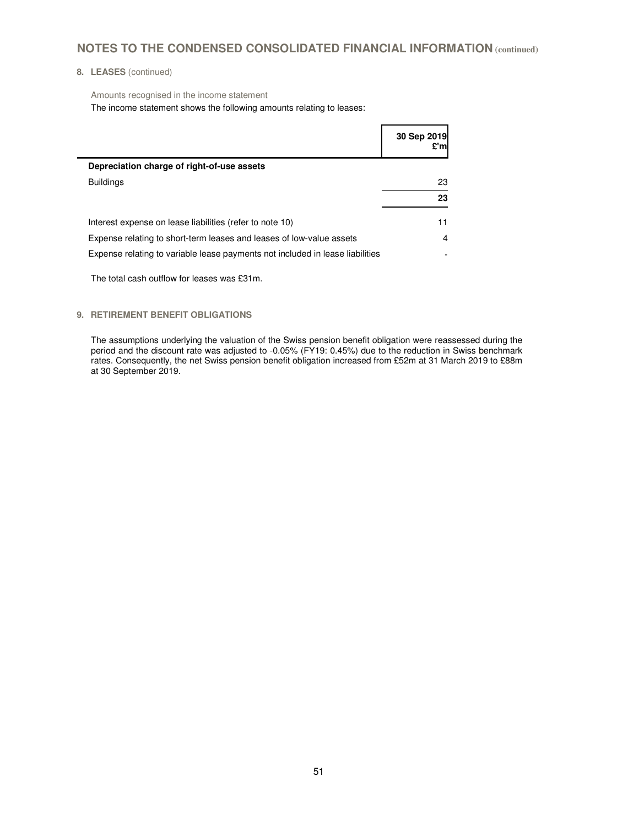## **8. LEASES** (continued)

Amounts recognised in the income statement

The income statement shows the following amounts relating to leases:

|                                                                               | 30 Sep 2019 |
|-------------------------------------------------------------------------------|-------------|
| Depreciation charge of right-of-use assets                                    |             |
| <b>Buildings</b>                                                              | 23          |
|                                                                               | 23          |
| Interest expense on lease liabilities (refer to note 10)                      | 11          |
| Expense relating to short-term leases and leases of low-value assets          | 4           |
| Expense relating to variable lease payments not included in lease liabilities |             |

The total cash outflow for leases was £31m.

### **9. RETIREMENT BENEFIT OBLIGATIONS**

The assumptions underlying the valuation of the Swiss pension benefit obligation were reassessed during the period and the discount rate was adjusted to -0.05% (FY19: 0.45%) due to the reduction in Swiss benchmark rates. Consequently, the net Swiss pension benefit obligation increased from £52m at 31 March 2019 to £88m at 30 September 2019.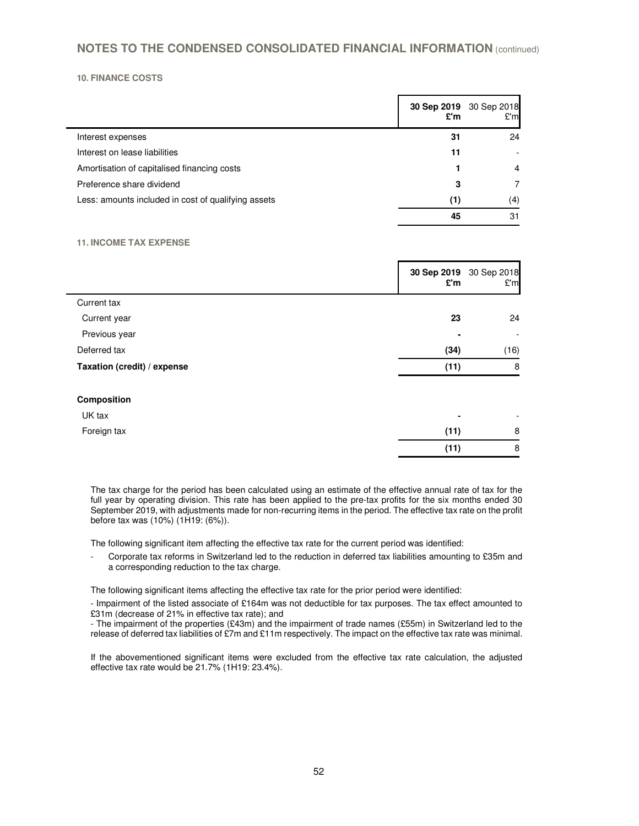### **10. FINANCE COSTS**

|                                                     | 30 Sep 2019 30 Sep 2018<br>£'m | E'm |
|-----------------------------------------------------|--------------------------------|-----|
| Interest expenses                                   | 31                             | 24  |
| Interest on lease liabilities                       | 11                             |     |
| Amortisation of capitalised financing costs         |                                | 4   |
| Preference share dividend                           | 3                              | 7   |
| Less: amounts included in cost of qualifying assets | (1)                            | (4) |
|                                                     | 45                             | 31  |

## **11. INCOME TAX EXPENSE**

|                             | £'m  | 30 Sep 2019 30 Sep 2018<br>£'m |
|-----------------------------|------|--------------------------------|
| Current tax                 |      |                                |
| Current year                | 23   | 24                             |
| Previous year               |      | $\overline{\phantom{a}}$       |
| Deferred tax                | (34) | (16)                           |
| Taxation (credit) / expense | (11) | 8                              |
| Composition                 |      |                                |
| UK tax                      |      |                                |
| Foreign tax                 | (11) | 8                              |
|                             | (11) | 8                              |

The tax charge for the period has been calculated using an estimate of the effective annual rate of tax for the full year by operating division. This rate has been applied to the pre-tax profits for the six months ended 30 September 2019, with adjustments made for non-recurring items in the period. The effective tax rate on the profit before tax was (10%) (1H19: (6%)).

The following significant item affecting the effective tax rate for the current period was identified:

Corporate tax reforms in Switzerland led to the reduction in deferred tax liabilities amounting to £35m and a corresponding reduction to the tax charge.

The following significant items affecting the effective tax rate for the prior period were identified:

- Impairment of the listed associate of £164m was not deductible for tax purposes. The tax effect amounted to £31m (decrease of 21% in effective tax rate); and

- The impairment of the properties (£43m) and the impairment of trade names (£55m) in Switzerland led to the release of deferred tax liabilities of £7m and £11m respectively. The impact on the effective tax rate was minimal.

If the abovementioned significant items were excluded from the effective tax rate calculation, the adjusted effective tax rate would be 21.7% (1H19: 23.4%).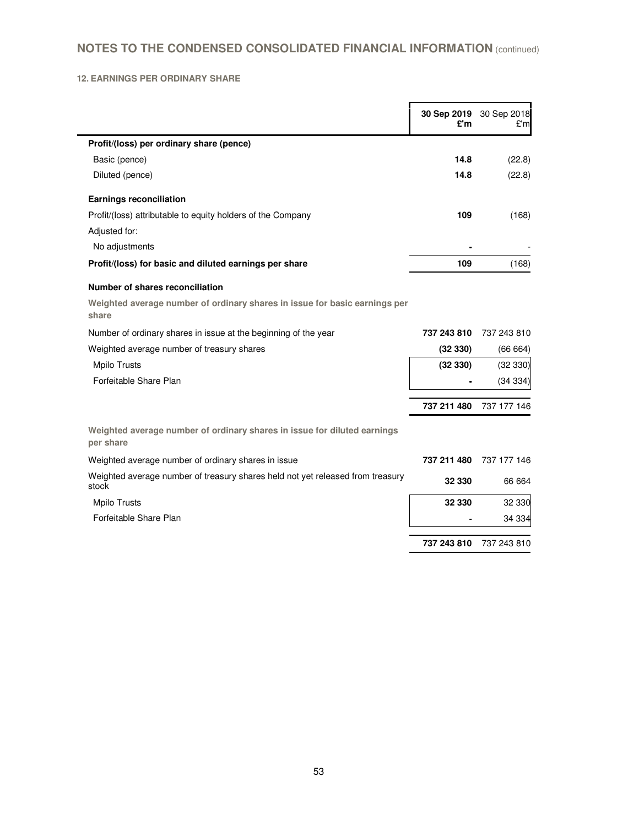## **12. EARNINGS PER ORDINARY SHARE**

|                                                                                         | £'m         | 30 Sep 2019 30 Sep 2018<br>£'m |
|-----------------------------------------------------------------------------------------|-------------|--------------------------------|
| Profit/(loss) per ordinary share (pence)                                                |             |                                |
| Basic (pence)                                                                           | 14.8        | (22.8)                         |
| Diluted (pence)                                                                         | 14.8        | (22.8)                         |
| <b>Earnings reconciliation</b>                                                          |             |                                |
| Profit/(loss) attributable to equity holders of the Company                             | 109         | (168)                          |
| Adjusted for:                                                                           |             |                                |
| No adjustments                                                                          |             |                                |
| Profit/(loss) for basic and diluted earnings per share                                  | 109         | (168)                          |
| Number of shares reconciliation                                                         |             |                                |
| Weighted average number of ordinary shares in issue for basic earnings per<br>share     |             |                                |
| Number of ordinary shares in issue at the beginning of the year                         | 737 243 810 | 737 243 810                    |
| Weighted average number of treasury shares                                              | (32330)     | (66664)                        |
| <b>Mpilo Trusts</b>                                                                     | (32330)     | (32330)                        |
| Forfeitable Share Plan                                                                  |             | (34334)                        |
|                                                                                         | 737 211 480 | 737 177 146                    |
| Weighted average number of ordinary shares in issue for diluted earnings<br>per share   |             |                                |
| Weighted average number of ordinary shares in issue                                     | 737 211 480 | 737 177 146                    |
| Weighted average number of treasury shares held not yet released from treasury<br>stock | 32 330      | 66 664                         |
| <b>Mpilo Trusts</b>                                                                     | 32 330      | 32 330                         |
| Forfeitable Share Plan                                                                  |             | 34 334                         |
|                                                                                         | 737 243 810 | 737 243 810                    |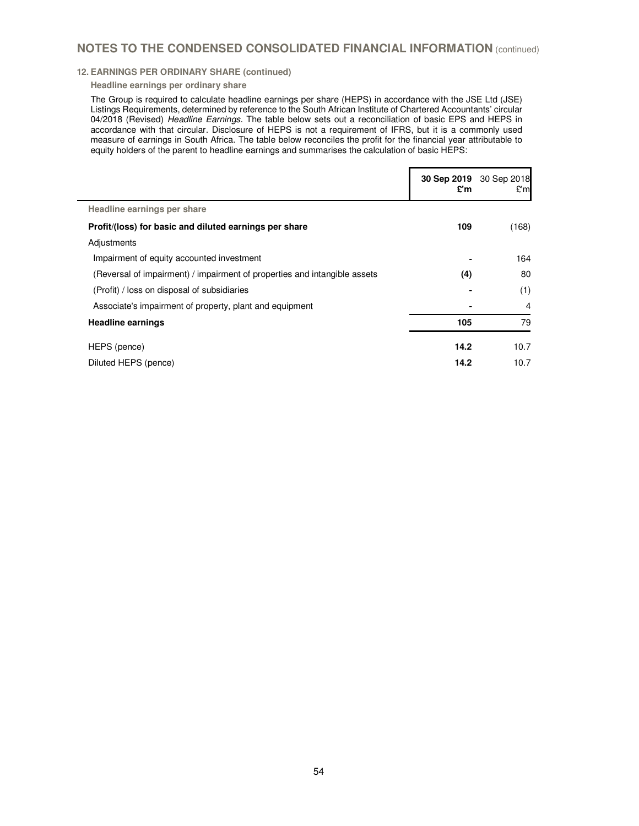### **12. EARNINGS PER ORDINARY SHARE (continued)**

#### **Headline earnings per ordinary share**

The Group is required to calculate headline earnings per share (HEPS) in accordance with the JSE Ltd (JSE) Listings Requirements, determined by reference to the South African Institute of Chartered Accountants' circular 04/2018 (Revised) Headline Earnings. The table below sets out a reconciliation of basic EPS and HEPS in accordance with that circular. Disclosure of HEPS is not a requirement of IFRS, but it is a commonly used measure of earnings in South Africa. The table below reconciles the profit for the financial year attributable to equity holders of the parent to headline earnings and summarises the calculation of basic HEPS:

|                                                                           | 30 Sep 2019<br>£'m | 30 Sep 2018<br>£'ml |
|---------------------------------------------------------------------------|--------------------|---------------------|
| Headline earnings per share                                               |                    |                     |
| Profit/(loss) for basic and diluted earnings per share                    | 109                | (168)               |
| Adjustments                                                               |                    |                     |
| Impairment of equity accounted investment                                 |                    | 164                 |
| (Reversal of impairment) / impairment of properties and intangible assets | (4)                | 80                  |
| (Profit) / loss on disposal of subsidiaries                               |                    | (1)                 |
| Associate's impairment of property, plant and equipment                   |                    | 4                   |
| <b>Headline earnings</b>                                                  | 105                | 79                  |
| HEPS (pence)                                                              | 14.2               | 10.7                |
| Diluted HEPS (pence)                                                      | 14.2               | 10.7                |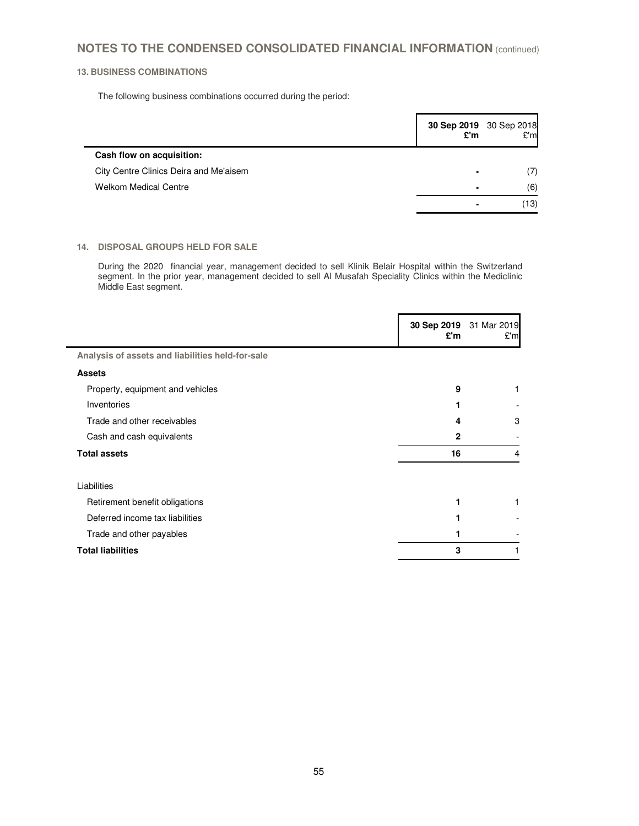## **13. BUSINESS COMBINATIONS**

 $\blacksquare$ 

The following business combinations occurred during the period:

|                                        |                          | 30 Sep 2019 30 Sep 2018<br>E'm £'m |
|----------------------------------------|--------------------------|------------------------------------|
| Cash flow on acquisition:              |                          |                                    |
| City Centre Clinics Deira and Me'aisem | $\overline{\phantom{0}}$ | (7)                                |
| <b>Welkom Medical Centre</b>           | $\overline{\phantom{0}}$ | (6)                                |
|                                        |                          | (13)                               |

## **14. DISPOSAL GROUPS HELD FOR SALE**

During the 2020 financial year, management decided to sell Klinik Belair Hospital within the Switzerland segment. In the prior year, management decided to sell Al Musafah Speciality Clinics within the Mediclinic Middle East segment.

|                                                  | 30 Sep 2019 31 Mar 2019<br>£'m | £'m |
|--------------------------------------------------|--------------------------------|-----|
| Analysis of assets and liabilities held-for-sale |                                |     |
| <b>Assets</b>                                    |                                |     |
| Property, equipment and vehicles                 | 9                              | 1   |
| Inventories                                      |                                |     |
| Trade and other receivables                      | 4                              | 3   |
| Cash and cash equivalents                        | 2                              |     |
| <b>Total assets</b>                              | 16                             | 4   |
| Liabilities                                      |                                |     |
| Retirement benefit obligations                   |                                | 1   |
| Deferred income tax liabilities                  |                                |     |
| Trade and other payables                         |                                |     |
| <b>Total liabilities</b>                         | 3                              |     |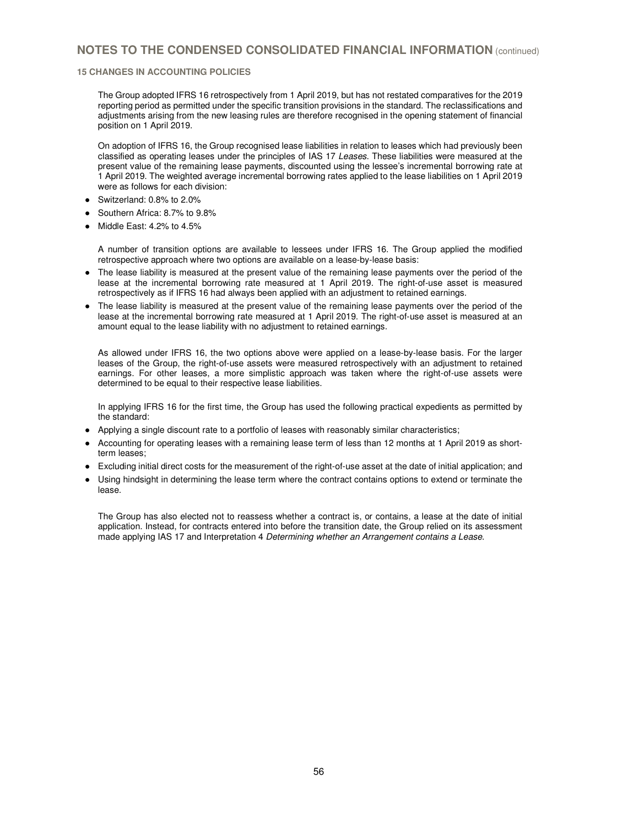### **15 CHANGES IN ACCOUNTING POLICIES**

The Group adopted IFRS 16 retrospectively from 1 April 2019, but has not restated comparatives for the 2019 reporting period as permitted under the specific transition provisions in the standard. The reclassifications and adjustments arising from the new leasing rules are therefore recognised in the opening statement of financial position on 1 April 2019.

On adoption of IFRS 16, the Group recognised lease liabilities in relation to leases which had previously been classified as operating leases under the principles of IAS 17 Leases. These liabilities were measured at the present value of the remaining lease payments, discounted using the lessee's incremental borrowing rate at 1 April 2019. The weighted average incremental borrowing rates applied to the lease liabilities on 1 April 2019 were as follows for each division:

- Switzerland: 0.8% to 2.0%
- Southern Africa: 8.7% to 9.8%
- Middle East: 4.2% to 4.5%

A number of transition options are available to lessees under IFRS 16. The Group applied the modified retrospective approach where two options are available on a lease-by-lease basis:

- The lease liability is measured at the present value of the remaining lease payments over the period of the lease at the incremental borrowing rate measured at 1 April 2019. The right-of-use asset is measured retrospectively as if IFRS 16 had always been applied with an adjustment to retained earnings.
- The lease liability is measured at the present value of the remaining lease payments over the period of the lease at the incremental borrowing rate measured at 1 April 2019. The right-of-use asset is measured at an amount equal to the lease liability with no adjustment to retained earnings.

As allowed under IFRS 16, the two options above were applied on a lease-by-lease basis. For the larger leases of the Group, the right-of-use assets were measured retrospectively with an adjustment to retained earnings. For other leases, a more simplistic approach was taken where the right-of-use assets were determined to be equal to their respective lease liabilities.

In applying IFRS 16 for the first time, the Group has used the following practical expedients as permitted by the standard:

- Applying a single discount rate to a portfolio of leases with reasonably similar characteristics;
- Accounting for operating leases with a remaining lease term of less than 12 months at 1 April 2019 as shortterm leases;
- Excluding initial direct costs for the measurement of the right-of-use asset at the date of initial application; and
- Using hindsight in determining the lease term where the contract contains options to extend or terminate the lease.

The Group has also elected not to reassess whether a contract is, or contains, a lease at the date of initial application. Instead, for contracts entered into before the transition date, the Group relied on its assessment made applying IAS 17 and Interpretation 4 Determining whether an Arrangement contains a Lease.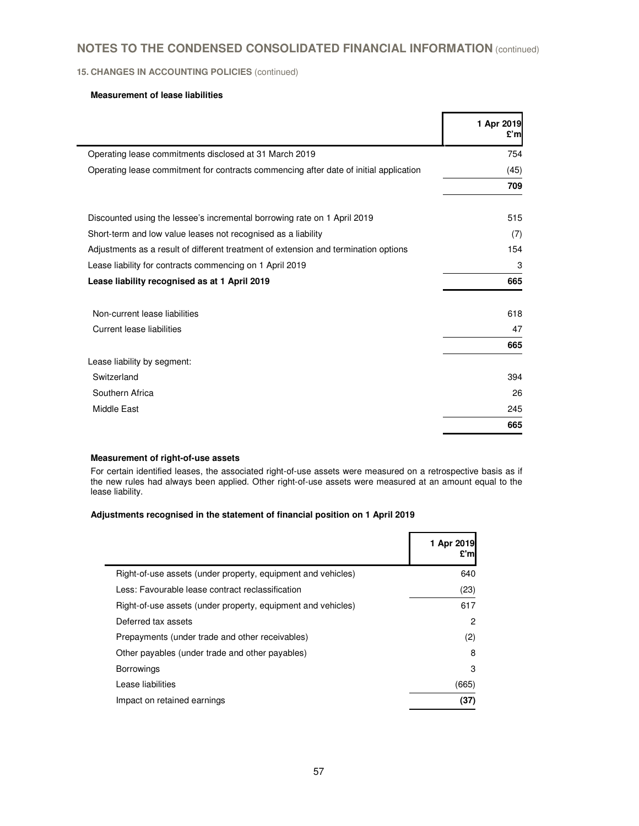## **15. CHANGES IN ACCOUNTING POLICIES** (continued)

## **Measurement of lease liabilities**

|                                                                                       | 1 Apr 2019<br>£'m |
|---------------------------------------------------------------------------------------|-------------------|
| Operating lease commitments disclosed at 31 March 2019                                | 754               |
| Operating lease commitment for contracts commencing after date of initial application | (45)              |
|                                                                                       | 709               |
| Discounted using the lessee's incremental borrowing rate on 1 April 2019              | 515               |
| Short-term and low value leases not recognised as a liability                         | (7)               |
| Adjustments as a result of different treatment of extension and termination options   | 154               |
| Lease liability for contracts commencing on 1 April 2019                              | 3                 |
| Lease liability recognised as at 1 April 2019                                         | 665               |
| Non-current lease liabilities                                                         | 618               |
| <b>Current lease liabilities</b>                                                      | 47                |
|                                                                                       | 665               |
| Lease liability by segment:                                                           |                   |
| Switzerland                                                                           | 394               |
| Southern Africa                                                                       | 26                |
| Middle East                                                                           | 245               |
|                                                                                       | 665               |

## **Measurement of right-of-use assets**

 For certain identified leases, the associated right-of-use assets were measured on a retrospective basis as if the new rules had always been applied. Other right-of-use assets were measured at an amount equal to the lease liability.

## **Adjustments recognised in the statement of financial position on 1 April 2019**

|                                                              | 1 Apr 2019<br>£'ml |
|--------------------------------------------------------------|--------------------|
| Right-of-use assets (under property, equipment and vehicles) | 640                |
| Less: Favourable lease contract reclassification             | (23)               |
| Right-of-use assets (under property, equipment and vehicles) | 617                |
| Deferred tax assets                                          | 2                  |
| Prepayments (under trade and other receivables)              | (2)                |
| Other payables (under trade and other payables)              | 8                  |
| <b>Borrowings</b>                                            | З                  |
| Lease liabilities                                            | (665)              |
| Impact on retained earnings                                  | (37                |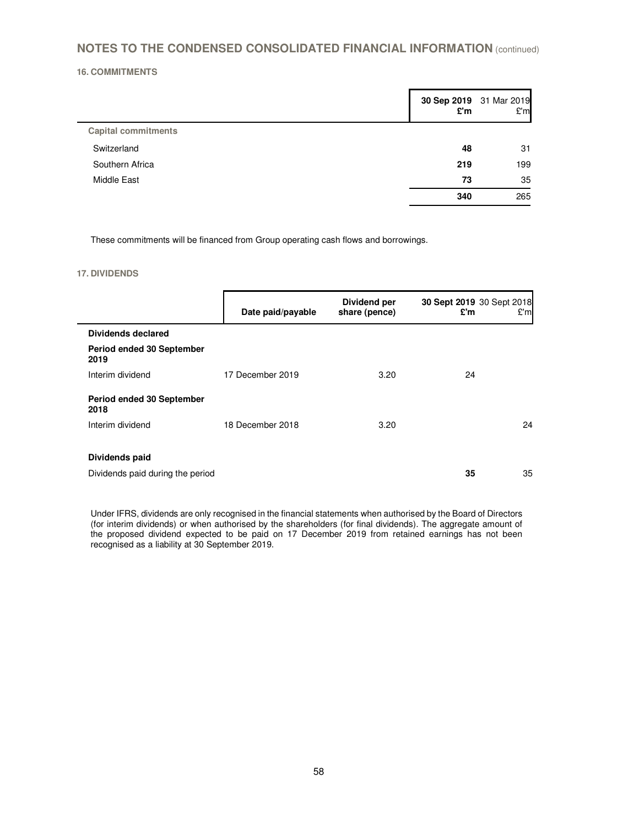## **16. COMMITMENTS**

|                            | 30 Sep 2019 31 Mar 2019<br>£'m | £'m |
|----------------------------|--------------------------------|-----|
| <b>Capital commitments</b> |                                |     |
| Switzerland                | 48                             | 31  |
| Southern Africa            | 219                            | 199 |
| Middle East                | 73                             | 35  |
|                            | 340                            | 265 |

These commitments will be financed from Group operating cash flows and borrowings.

### **17. DIVIDENDS**

|                                   | Date paid/payable | Dividend per<br>share (pence) | 30 Sept 2019 30 Sept 2018<br>£'m | E'm |
|-----------------------------------|-------------------|-------------------------------|----------------------------------|-----|
| <b>Dividends declared</b>         |                   |                               |                                  |     |
| Period ended 30 September<br>2019 |                   |                               |                                  |     |
| Interim dividend                  | 17 December 2019  | 3.20                          | 24                               |     |
| Period ended 30 September<br>2018 |                   |                               |                                  |     |
| Interim dividend                  | 18 December 2018  | 3.20                          |                                  | 24  |
| Dividends paid                    |                   |                               |                                  |     |
| Dividends paid during the period  |                   |                               | 35                               | 35  |

Under IFRS, dividends are only recognised in the financial statements when authorised by the Board of Directors (for interim dividends) or when authorised by the shareholders (for final dividends). The aggregate amount of the proposed dividend expected to be paid on 17 December 2019 from retained earnings has not been recognised as a liability at 30 September 2019.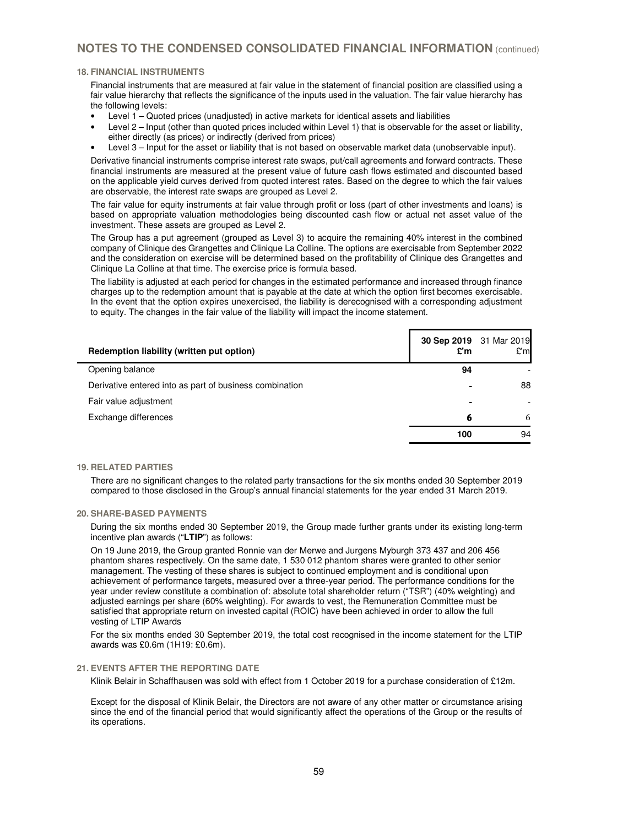### **18. FINANCIAL INSTRUMENTS**

Financial instruments that are measured at fair value in the statement of financial position are classified using a fair value hierarchy that reflects the significance of the inputs used in the valuation. The fair value hierarchy has the following levels:

- Level 1 Quoted prices (unadjusted) in active markets for identical assets and liabilities
- Level 2 Input (other than quoted prices included within Level 1) that is observable for the asset or liability, either directly (as prices) or indirectly (derived from prices)
- Level 3 Input for the asset or liability that is not based on observable market data (unobservable input).

Derivative financial instruments comprise interest rate swaps, put/call agreements and forward contracts. These financial instruments are measured at the present value of future cash flows estimated and discounted based on the applicable yield curves derived from quoted interest rates. Based on the degree to which the fair values are observable, the interest rate swaps are grouped as Level 2.

The fair value for equity instruments at fair value through profit or loss (part of other investments and loans) is based on appropriate valuation methodologies being discounted cash flow or actual net asset value of the investment. These assets are grouped as Level 2.

The Group has a put agreement (grouped as Level 3) to acquire the remaining 40% interest in the combined company of Clinique des Grangettes and Clinique La Colline. The options are exercisable from September 2022 and the consideration on exercise will be determined based on the profitability of Clinique des Grangettes and Clinique La Colline at that time. The exercise price is formula based.

The liability is adjusted at each period for changes in the estimated performance and increased through finance charges up to the redemption amount that is payable at the date at which the option first becomes exercisable. In the event that the option expires unexercised, the liability is derecognised with a corresponding adjustment to equity. The changes in the fair value of the liability will impact the income statement.

| Redemption liability (written put option)               | 30 Sep 2019 31 Mar 2019<br>£'m | E'm |
|---------------------------------------------------------|--------------------------------|-----|
| Opening balance                                         | 94                             |     |
| Derivative entered into as part of business combination |                                | 88  |
| Fair value adjustment                                   | $\blacksquare$                 |     |
| Exchange differences                                    | 6                              | 6   |
|                                                         | 100                            | 94  |

#### **19. RELATED PARTIES**

There are no significant changes to the related party transactions for the six months ended 30 September 2019 compared to those disclosed in the Group's annual financial statements for the year ended 31 March 2019.

#### **20. SHARE-BASED PAYMENTS**

During the six months ended 30 September 2019, the Group made further grants under its existing long-term incentive plan awards ("**LTIP**") as follows:

On 19 June 2019, the Group granted Ronnie van der Merwe and Jurgens Myburgh 373 437 and 206 456 phantom shares respectively. On the same date, 1 530 012 phantom shares were granted to other senior management. The vesting of these shares is subject to continued employment and is conditional upon achievement of performance targets, measured over a three-year period. The performance conditions for the year under review constitute a combination of: absolute total shareholder return ("TSR") (40% weighting) and adjusted earnings per share (60% weighting). For awards to vest, the Remuneration Committee must be satisfied that appropriate return on invested capital (ROIC) have been achieved in order to allow the full vesting of LTIP Awards

For the six months ended 30 September 2019, the total cost recognised in the income statement for the LTIP awards was £0.6m (1H19: £0.6m).

#### **21. EVENTS AFTER THE REPORTING DATE**

Klinik Belair in Schaffhausen was sold with effect from 1 October 2019 for a purchase consideration of £12m.

Except for the disposal of Klinik Belair, the Directors are not aware of any other matter or circumstance arising since the end of the financial period that would significantly affect the operations of the Group or the results of its operations.